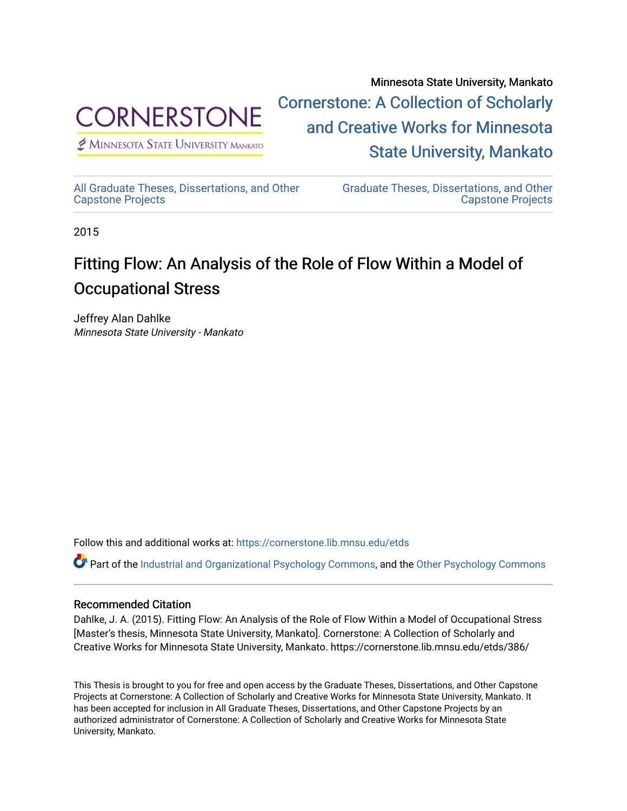

 $<sup>2</sup>$  Minnesota State University Mankato</sup>

Minnesota State University, Mankato [Cornerstone: A Collection of Scholarly](https://cornerstone.lib.mnsu.edu/)  [and Creative Works for Minnesota](https://cornerstone.lib.mnsu.edu/)  [State University, Mankato](https://cornerstone.lib.mnsu.edu/) 

[All Graduate Theses, Dissertations, and Other](https://cornerstone.lib.mnsu.edu/etds)  [Capstone Projects](https://cornerstone.lib.mnsu.edu/etds) 

[Graduate Theses, Dissertations, and Other](https://cornerstone.lib.mnsu.edu/theses_dissertations-capstone)  [Capstone Projects](https://cornerstone.lib.mnsu.edu/theses_dissertations-capstone) 

2015

# Fitting Flow: An Analysis of the Role of Flow Within a Model of Occupational Stress

Jeffrey Alan Dahlke Minnesota State University - Mankato

Follow this and additional works at: [https://cornerstone.lib.mnsu.edu/etds](https://cornerstone.lib.mnsu.edu/etds?utm_source=cornerstone.lib.mnsu.edu%2Fetds%2F386&utm_medium=PDF&utm_campaign=PDFCoverPages) 

Part of the [Industrial and Organizational Psychology Commons,](http://network.bepress.com/hgg/discipline/412?utm_source=cornerstone.lib.mnsu.edu%2Fetds%2F386&utm_medium=PDF&utm_campaign=PDFCoverPages) and the [Other Psychology Commons](http://network.bepress.com/hgg/discipline/415?utm_source=cornerstone.lib.mnsu.edu%2Fetds%2F386&utm_medium=PDF&utm_campaign=PDFCoverPages)

#### Recommended Citation

Dahlke, J. A. (2015). Fitting Flow: An Analysis of the Role of Flow Within a Model of Occupational Stress [Master's thesis, Minnesota State University, Mankato]. Cornerstone: A Collection of Scholarly and Creative Works for Minnesota State University, Mankato. https://cornerstone.lib.mnsu.edu/etds/386/

This Thesis is brought to you for free and open access by the Graduate Theses, Dissertations, and Other Capstone Projects at Cornerstone: A Collection of Scholarly and Creative Works for Minnesota State University, Mankato. It has been accepted for inclusion in All Graduate Theses, Dissertations, and Other Capstone Projects by an authorized administrator of Cornerstone: A Collection of Scholarly and Creative Works for Minnesota State University, Mankato.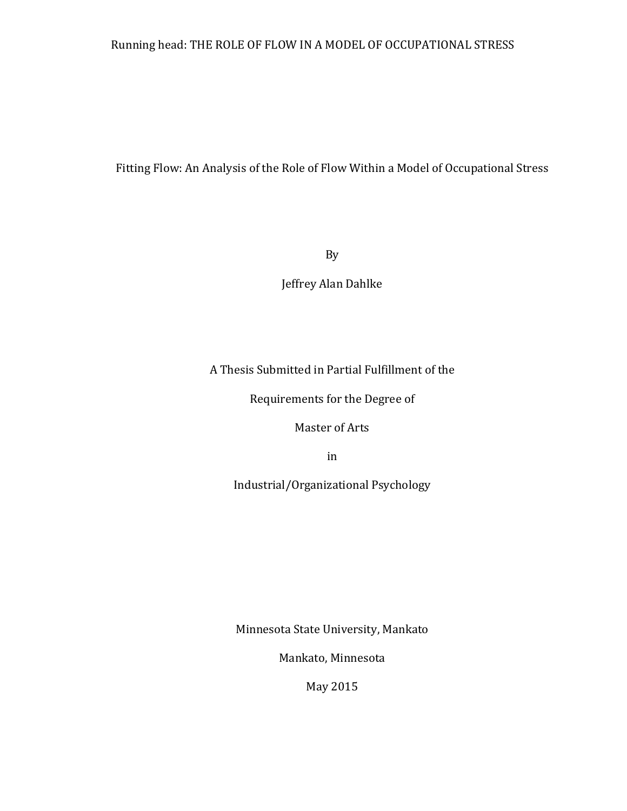# Running head: THE ROLE OF FLOW IN A MODEL OF OCCUPATIONAL STRESS

# Fitting Flow: An Analysis of the Role of Flow Within a Model of Occupational Stress

By

Jeffrey Alan Dahlke

A Thesis Submitted in Partial Fulfillment of the

Requirements for the Degree of

Master of Arts

in

Industrial/Organizational Psychology

Minnesota State University, Mankato

Mankato, Minnesota

May 2015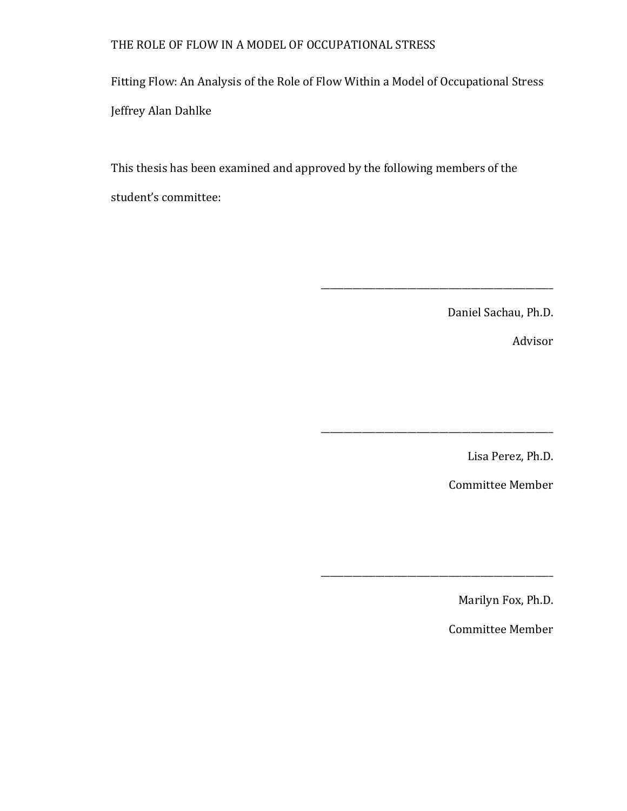Fitting Flow: An Analysis of the Role of Flow Within a Model of Occupational Stress Jeffrey Alan Dahlke

This thesis has been examined and approved by the following members of the student's committee:

Daniel Sachau, Ph.D.

\_\_\_\_\_\_\_\_\_\_\_\_\_\_\_\_\_\_\_\_\_\_\_\_\_\_\_\_\_\_\_\_\_\_\_\_\_\_\_\_\_\_\_\_\_\_\_\_\_\_\_

\_\_\_\_\_\_\_\_\_\_\_\_\_\_\_\_\_\_\_\_\_\_\_\_\_\_\_\_\_\_\_\_\_\_\_\_\_\_\_\_\_\_\_\_\_\_\_\_\_\_\_

\_\_\_\_\_\_\_\_\_\_\_\_\_\_\_\_\_\_\_\_\_\_\_\_\_\_\_\_\_\_\_\_\_\_\_\_\_\_\_\_\_\_\_\_\_\_\_\_\_\_\_

Advisor

Lisa Perez, Ph.D.

Committee Member

Marilyn Fox, Ph.D.

Committee Member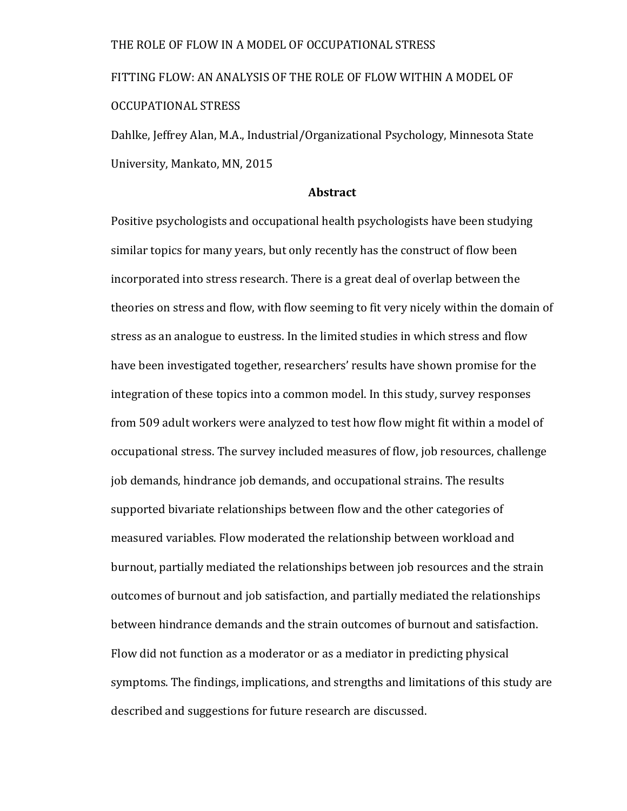FITTING FLOW: AN ANALYSIS OF THE ROLE OF FLOW WITHIN A MODEL OF OCCUPATIONAL STRESS

Dahlke, Jeffrey Alan, M.A., Industrial/Organizational Psychology, Minnesota State University, Mankato, MN, 2015

### **Abstract**

Positive psychologists and occupational health psychologists have been studying similar topics for many vears, but only recently has the construct of flow been incorporated into stress research. There is a great deal of overlap between the theories on stress and flow, with flow seeming to fit very nicely within the domain of stress as an analogue to eustress. In the limited studies in which stress and flow have been investigated together, researchers' results have shown promise for the integration of these topics into a common model. In this study, survey responses from 509 adult workers were analyzed to test how flow might fit within a model of occupational stress. The survey included measures of flow, job resources, challenge job demands, hindrance job demands, and occupational strains. The results supported bivariate relationships between flow and the other categories of measured variables. Flow moderated the relationship between workload and burnout, partially mediated the relationships between job resources and the strain outcomes of burnout and job satisfaction, and partially mediated the relationships between hindrance demands and the strain outcomes of burnout and satisfaction. Flow did not function as a moderator or as a mediator in predicting physical symptoms. The findings, implications, and strengths and limitations of this study are described and suggestions for future research are discussed.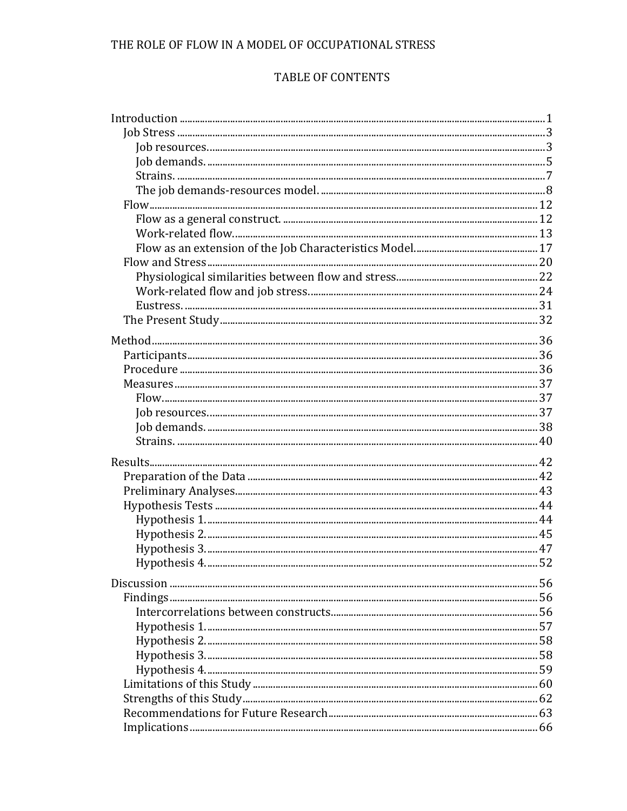# TABLE OF CONTENTS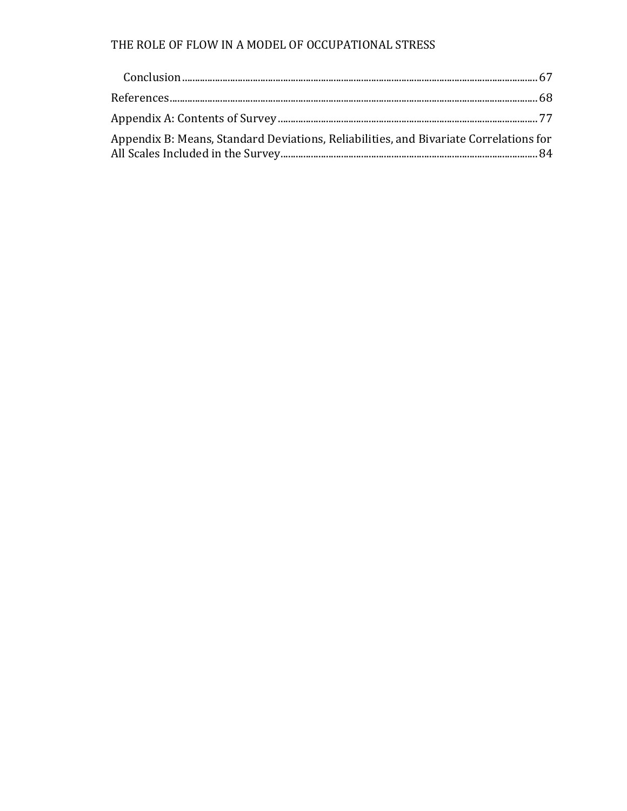| Appendix B: Means, Standard Deviations, Reliabilities, and Bivariate Correlations for |  |
|---------------------------------------------------------------------------------------|--|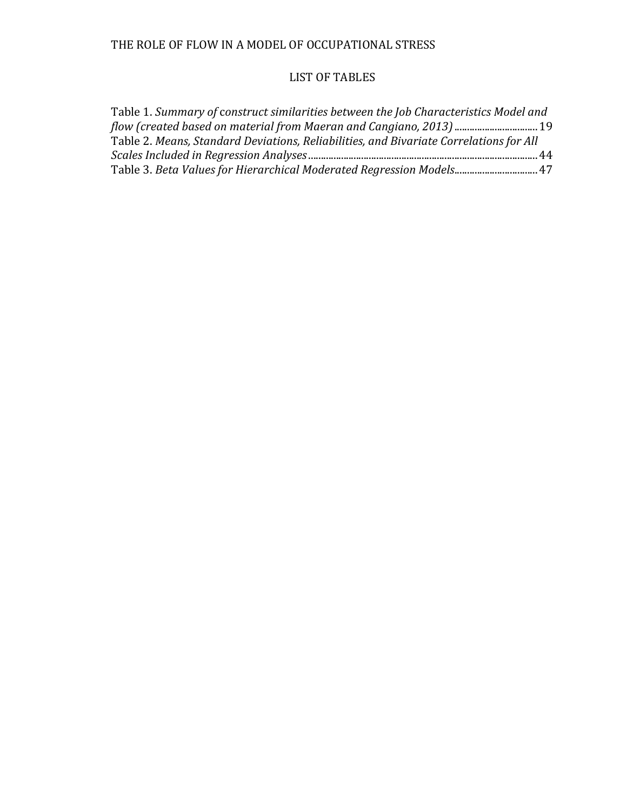# LIST OF TABLES

| Table 1. Summary of construct similarities between the Job Characteristics Model and   |  |
|----------------------------------------------------------------------------------------|--|
|                                                                                        |  |
| Table 2. Means, Standard Deviations, Reliabilities, and Bivariate Correlations for All |  |
|                                                                                        |  |
| Table 3. Beta Values for Hierarchical Moderated Regression Models 47                   |  |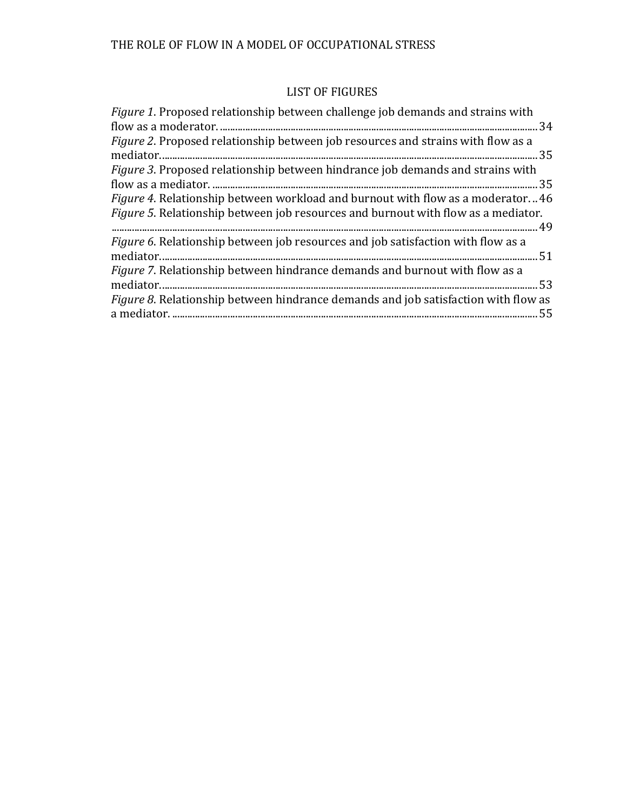# LIST OF FIGURES

| Figure 1. Proposed relationship between challenge job demands and strains with            |  |
|-------------------------------------------------------------------------------------------|--|
|                                                                                           |  |
| <i>Figure 2.</i> Proposed relationship between job resources and strains with flow as a   |  |
|                                                                                           |  |
| Figure 3. Proposed relationship between hindrance job demands and strains with            |  |
|                                                                                           |  |
| <i>Figure 4.</i> Relationship between workload and burnout with flow as a moderator46     |  |
| <i>Figure 5.</i> Relationship between job resources and burnout with flow as a mediator.  |  |
|                                                                                           |  |
| Figure 6. Relationship between job resources and job satisfaction with flow as a          |  |
| mediator.                                                                                 |  |
| <i>Figure 7.</i> Relationship between hindrance demands and burnout with flow as a        |  |
|                                                                                           |  |
| <i>Figure 8.</i> Relationship between hindrance demands and job satisfaction with flow as |  |
|                                                                                           |  |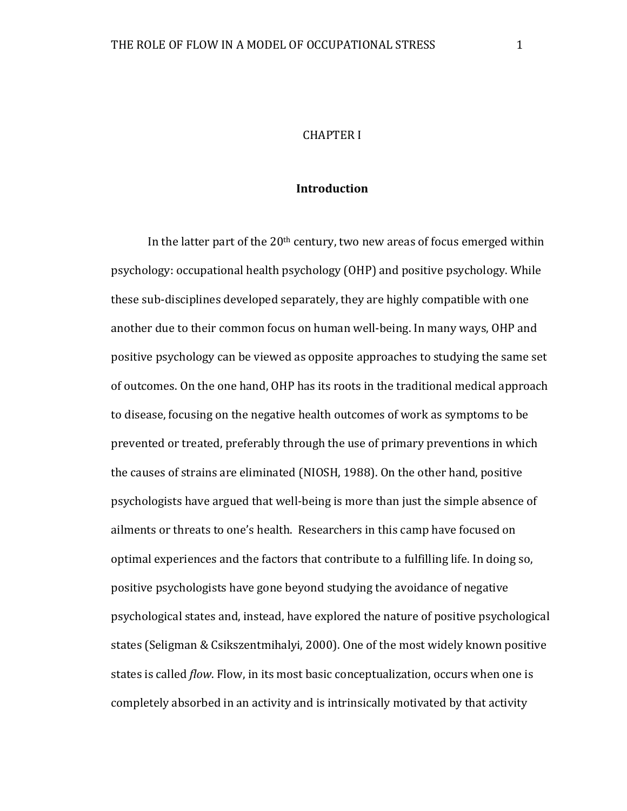### **Introduction**

In the latter part of the  $20<sup>th</sup>$  century, two new areas of focus emerged within psychology: occupational health psychology (OHP) and positive psychology. While these sub-disciplines developed separately, they are highly compatible with one another due to their common focus on human well-being. In many ways, OHP and positive psychology can be viewed as opposite approaches to studying the same set of outcomes. On the one hand, OHP has its roots in the traditional medical approach to disease, focusing on the negative health outcomes of work as symptoms to be prevented or treated, preferably through the use of primary preventions in which the causes of strains are eliminated (NIOSH, 1988). On the other hand, positive psychologists have argued that well-being is more than just the simple absence of ailments or threats to one's health. Researchers in this camp have focused on optimal experiences and the factors that contribute to a fulfilling life. In doing so, positive psychologists have gone beyond studying the avoidance of negative psychological states and, instead, have explored the nature of positive psychological states (Seligman & Csikszentmihalyi, 2000). One of the most widely known positive states is called *flow*. Flow, in its most basic conceptualization, occurs when one is completely absorbed in an activity and is intrinsically motivated by that activity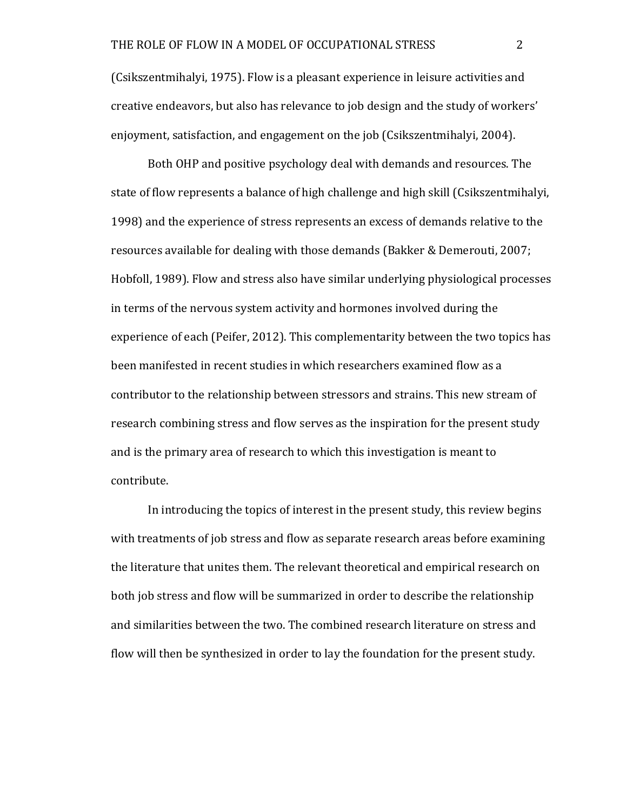(Csikszentmihalyi, 1975). Flow is a pleasant experience in leisure activities and creative endeavors, but also has relevance to job design and the study of workers' enjoyment, satisfaction, and engagement on the job (Csikszentmihalyi, 2004).

Both OHP and positive psychology deal with demands and resources. The state of flow represents a balance of high challenge and high skill (Csikszentmihalyi, 1998) and the experience of stress represents an excess of demands relative to the resources available for dealing with those demands (Bakker & Demerouti, 2007; Hobfoll, 1989). Flow and stress also have similar underlying physiological processes in terms of the nervous system activity and hormones involved during the experience of each (Peifer, 2012). This complementarity between the two topics has been manifested in recent studies in which researchers examined flow as a contributor to the relationship between stressors and strains. This new stream of research combining stress and flow serves as the inspiration for the present study and is the primary area of research to which this investigation is meant to contribute.

In introducing the topics of interest in the present study, this review begins with treatments of job stress and flow as separate research areas before examining the literature that unites them. The relevant theoretical and empirical research on both job stress and flow will be summarized in order to describe the relationship and similarities between the two. The combined research literature on stress and flow will then be synthesized in order to lay the foundation for the present study.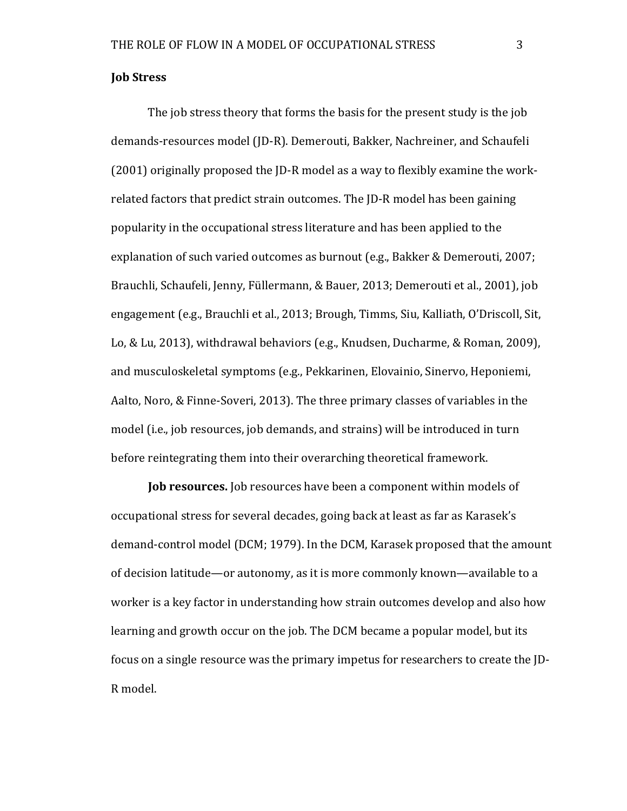#### **Job Stress**

The job stress theory that forms the basis for the present study is the job demands-resources model (JD-R). Demerouti, Bakker, Nachreiner, and Schaufeli  $(2001)$  originally proposed the ID-R model as a way to flexibly examine the workrelated factors that predict strain outcomes. The JD-R model has been gaining popularity in the occupational stress literature and has been applied to the explanation of such varied outcomes as burnout (e.g., Bakker & Demerouti, 2007; Brauchli, Schaufeli, Jenny, Füllermann, & Bauer, 2013; Demerouti et al., 2001), job engagement (e.g., Brauchli et al., 2013; Brough, Timms, Siu, Kalliath, O'Driscoll, Sit, Lo, & Lu, 2013), withdrawal behaviors (e.g., Knudsen, Ducharme, & Roman, 2009), and musculoskeletal symptoms (e.g., Pekkarinen, Elovainio, Sinervo, Heponiemi, Aalto, Noro, & Finne-Soveri, 2013). The three primary classes of variables in the model (i.e., job resources, job demands, and strains) will be introduced in turn before reintegrating them into their overarching theoretical framework.

**Job resources.** Job resources have been a component within models of occupational stress for several decades, going back at least as far as Karasek's demand-control model (DCM; 1979). In the DCM, Karasek proposed that the amount of decision latitude—or autonomy, as it is more commonly known—available to a worker is a key factor in understanding how strain outcomes develop and also how learning and growth occur on the job. The DCM became a popular model, but its focus on a single resource was the primary impetus for researchers to create the [D-R model.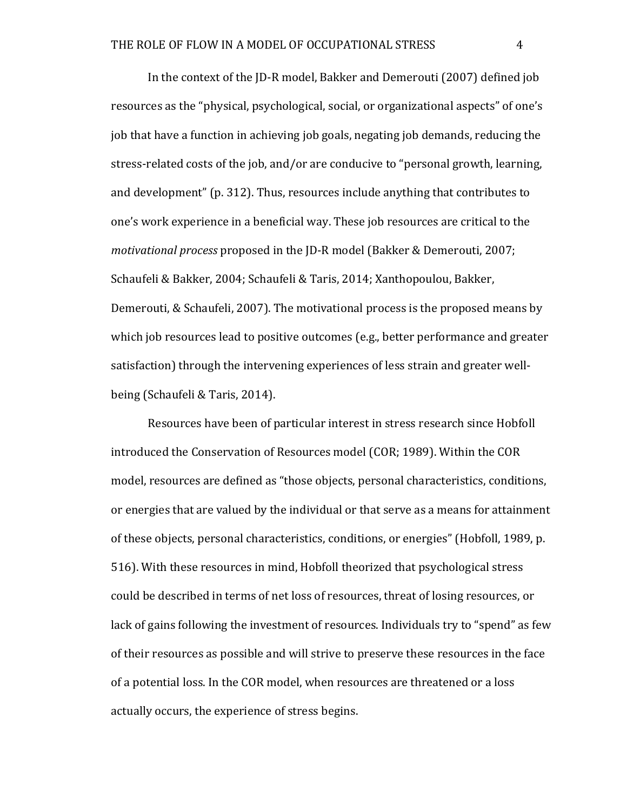In the context of the JD-R model, Bakker and Demerouti (2007) defined job resources as the "physical, psychological, social, or organizational aspects" of one's job that have a function in achieving job goals, negating job demands, reducing the stress-related costs of the job, and/or are conducive to "personal growth, learning, and development" (p. 312). Thus, resources include anything that contributes to one's work experience in a beneficial way. These job resources are critical to the *motivational process* proposed in the ID-R model (Bakker & Demerouti, 2007; Schaufeli & Bakker, 2004; Schaufeli & Taris, 2014; Xanthopoulou, Bakker, Demerouti, & Schaufeli, 2007). The motivational process is the proposed means by which job resources lead to positive outcomes (e.g., better performance and greater satisfaction) through the intervening experiences of less strain and greater wellbeing (Schaufeli & Taris, 2014).

Resources have been of particular interest in stress research since Hobfoll introduced the Conservation of Resources model (COR; 1989). Within the COR model, resources are defined as "those objects, personal characteristics, conditions, or energies that are valued by the individual or that serve as a means for attainment of these objects, personal characteristics, conditions, or energies" (Hobfoll, 1989, p. 516). With these resources in mind, Hobfoll theorized that psychological stress could be described in terms of net loss of resources, threat of losing resources, or lack of gains following the investment of resources. Individuals try to "spend" as few of their resources as possible and will strive to preserve these resources in the face of a potential loss. In the COR model, when resources are threatened or a loss actually occurs, the experience of stress begins.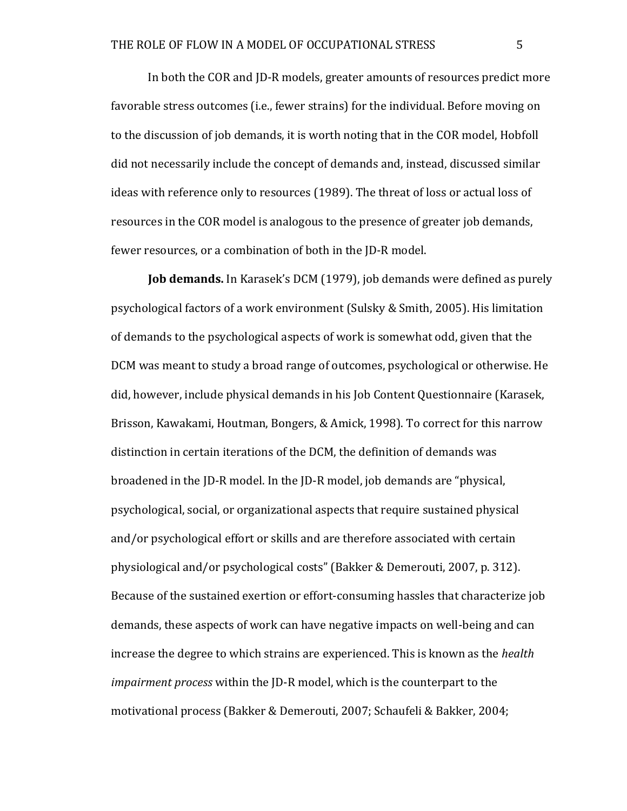In both the COR and JD-R models, greater amounts of resources predict more favorable stress outcomes (i.e., fewer strains) for the individual. Before moving on to the discussion of job demands, it is worth noting that in the COR model, Hobfoll did not necessarily include the concept of demands and, instead, discussed similar ideas with reference only to resources (1989). The threat of loss or actual loss of resources in the COR model is analogous to the presence of greater job demands, fewer resources, or a combination of both in the ID-R model.

**Job demands.** In Karasek's DCM (1979), job demands were defined as purely psychological factors of a work environment (Sulsky & Smith, 2005). His limitation of demands to the psychological aspects of work is somewhat odd, given that the DCM was meant to study a broad range of outcomes, psychological or otherwise. He did, however, include physical demands in his Job Content Questionnaire (Karasek, Brisson, Kawakami, Houtman, Bongers, & Amick, 1998). To correct for this narrow distinction in certain iterations of the DCM, the definition of demands was broadened in the JD-R model. In the JD-R model, job demands are "physical, psychological, social, or organizational aspects that require sustained physical and/or psychological effort or skills and are therefore associated with certain physiological and/or psychological costs" (Bakker & Demerouti, 2007, p. 312). Because of the sustained exertion or effort-consuming hassles that characterize job demands, these aspects of work can have negative impacts on well-being and can increase the degree to which strains are experienced. This is known as the *health impairment process* within the JD-R model, which is the counterpart to the motivational process (Bakker & Demerouti, 2007; Schaufeli & Bakker, 2004;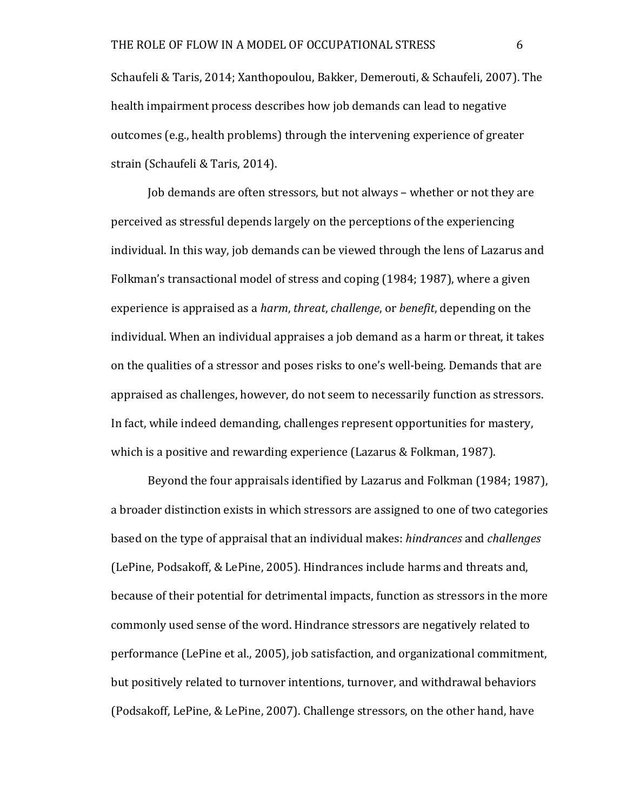Schaufeli & Taris, 2014; Xanthopoulou, Bakker, Demerouti, & Schaufeli, 2007). The health impairment process describes how job demands can lead to negative outcomes (e.g., health problems) through the intervening experience of greater strain (Schaufeli & Taris, 2014).

Job demands are often stressors, but not always – whether or not they are perceived as stressful depends largely on the perceptions of the experiencing individual. In this way, job demands can be viewed through the lens of Lazarus and Folkman's transactional model of stress and coping (1984; 1987), where a given experience is appraised as a *harm*, *threat*, *challenge*, or *benefit*, depending on the individual. When an individual appraises a job demand as a harm or threat, it takes on the qualities of a stressor and poses risks to one's well-being. Demands that are appraised as challenges, however, do not seem to necessarily function as stressors. In fact, while indeed demanding, challenges represent opportunities for mastery, which is a positive and rewarding experience (Lazarus & Folkman, 1987).

Beyond the four appraisals identified by Lazarus and Folkman (1984; 1987), a broader distinction exists in which stressors are assigned to one of two categories based on the type of appraisal that an individual makes: *hindrances* and *challenges* (LePine, Podsakoff, & LePine, 2005). Hindrances include harms and threats and, because of their potential for detrimental impacts, function as stressors in the more commonly used sense of the word. Hindrance stressors are negatively related to performance (LePine et al., 2005), job satisfaction, and organizational commitment, but positively related to turnover intentions, turnover, and withdrawal behaviors (Podsakoff, LePine,  $&$  LePine, 2007). Challenge stressors, on the other hand, have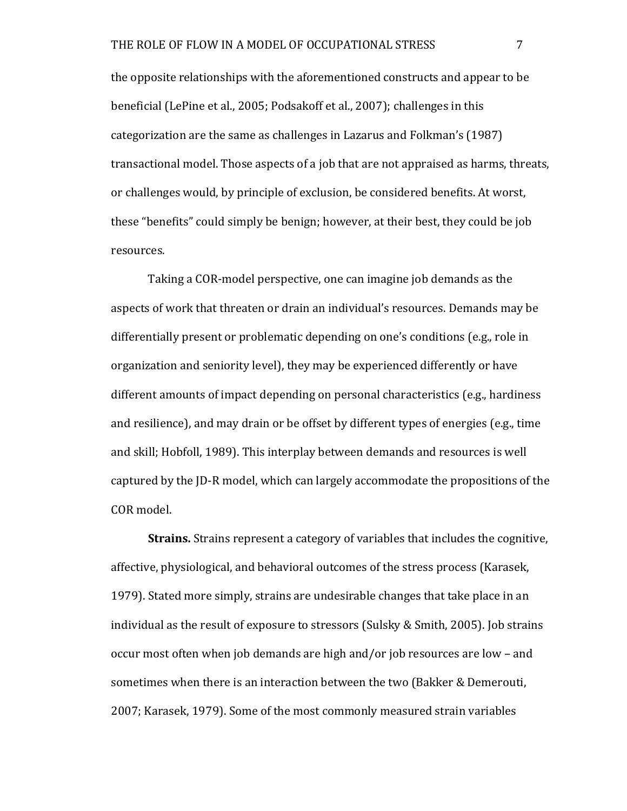the opposite relationships with the aforementioned constructs and appear to be beneficial (LePine et al., 2005; Podsakoff et al., 2007); challenges in this categorization are the same as challenges in Lazarus and Folkman's (1987) transactional model. Those aspects of a job that are not appraised as harms, threats, or challenges would, by principle of exclusion, be considered benefits. At worst, these "benefits" could simply be benign; however, at their best, they could be job resources.

Taking a COR-model perspective, one can imagine job demands as the aspects of work that threaten or drain an individual's resources. Demands may be differentially present or problematic depending on one's conditions (e.g., role in organization and seniority level), they may be experienced differently or have different amounts of impact depending on personal characteristics (e.g., hardiness and resilience), and may drain or be offset by different types of energies (e.g., time and skill; Hobfoll, 1989). This interplay between demands and resources is well captured by the JD-R model, which can largely accommodate the propositions of the COR model.

**Strains.** Strains represent a category of variables that includes the cognitive, affective, physiological, and behavioral outcomes of the stress process (Karasek, 1979). Stated more simply, strains are undesirable changes that take place in an individual as the result of exposure to stressors (Sulsky & Smith, 2005). Job strains occur most often when job demands are high and/or job resources are low - and sometimes when there is an interaction between the two (Bakker & Demerouti, 2007; Karasek, 1979). Some of the most commonly measured strain variables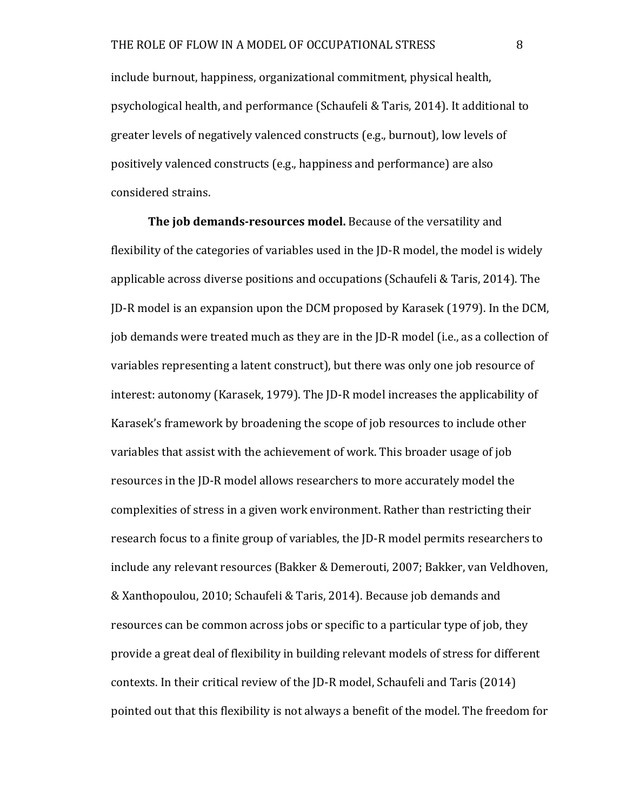include burnout, happiness, organizational commitment, physical health, psychological health, and performance (Schaufeli & Taris, 2014). It additional to greater levels of negatively valenced constructs (e.g., burnout), low levels of positively valenced constructs (e.g., happiness and performance) are also considered strains.

**The job demands-resources model.** Because of the versatility and flexibility of the categories of variables used in the ID-R model, the model is widely applicable across diverse positions and occupations (Schaufeli & Taris, 2014). The JD-R model is an expansion upon the DCM proposed by Karasek (1979). In the DCM, job demands were treated much as they are in the JD-R model (i.e., as a collection of variables representing a latent construct), but there was only one job resource of interest: autonomy (Karasek, 1979). The JD-R model increases the applicability of Karasek's framework by broadening the scope of job resources to include other variables that assist with the achievement of work. This broader usage of job resources in the ID-R model allows researchers to more accurately model the complexities of stress in a given work environment. Rather than restricting their research focus to a finite group of variables, the JD-R model permits researchers to include any relevant resources (Bakker & Demerouti, 2007; Bakker, van Veldhoven, & Xanthopoulou, 2010; Schaufeli & Taris, 2014). Because job demands and resources can be common across jobs or specific to a particular type of job, they provide a great deal of flexibility in building relevant models of stress for different contexts. In their critical review of the JD-R model, Schaufeli and Taris (2014) pointed out that this flexibility is not always a benefit of the model. The freedom for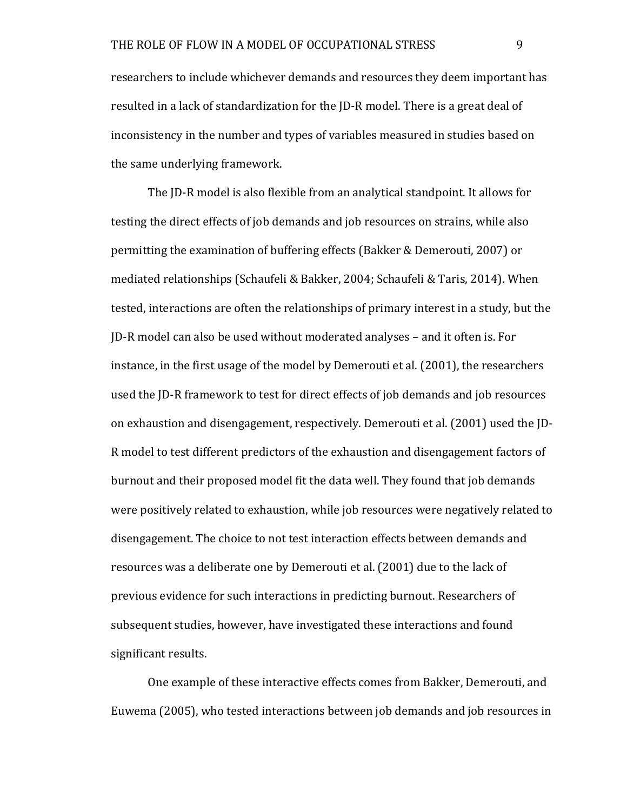researchers to include whichever demands and resources they deem important has resulted in a lack of standardization for the JD-R model. There is a great deal of inconsistency in the number and types of variables measured in studies based on the same underlying framework.

The JD-R model is also flexible from an analytical standpoint. It allows for testing the direct effects of job demands and job resources on strains, while also permitting the examination of buffering effects (Bakker & Demerouti, 2007) or mediated relationships (Schaufeli & Bakker, 2004; Schaufeli & Taris, 2014). When tested, interactions are often the relationships of primary interest in a study, but the JD-R model can also be used without moderated analyses – and it often is. For instance, in the first usage of the model by Demerouti et al. (2001), the researchers used the JD-R framework to test for direct effects of job demands and job resources on exhaustion and disengagement, respectively. Demerouti et al. (2001) used the ID-R model to test different predictors of the exhaustion and disengagement factors of burnout and their proposed model fit the data well. They found that job demands were positively related to exhaustion, while job resources were negatively related to disengagement. The choice to not test interaction effects between demands and resources was a deliberate one by Demerouti et al. (2001) due to the lack of previous evidence for such interactions in predicting burnout. Researchers of subsequent studies, however, have investigated these interactions and found significant results.

One example of these interactive effects comes from Bakker, Demerouti, and Euwema (2005), who tested interactions between job demands and job resources in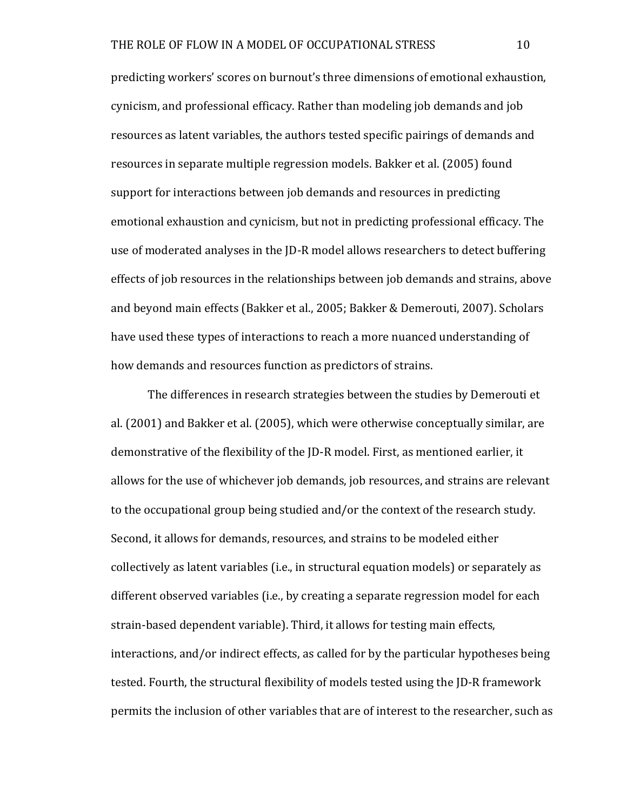predicting workers' scores on burnout's three dimensions of emotional exhaustion, cynicism, and professional efficacy. Rather than modeling job demands and job resources as latent variables, the authors tested specific pairings of demands and resources in separate multiple regression models. Bakker et al. (2005) found support for interactions between job demands and resources in predicting emotional exhaustion and cynicism, but not in predicting professional efficacy. The use of moderated analyses in the JD-R model allows researchers to detect buffering effects of job resources in the relationships between job demands and strains, above and beyond main effects (Bakker et al., 2005; Bakker & Demerouti, 2007). Scholars have used these types of interactions to reach a more nuanced understanding of how demands and resources function as predictors of strains.

The differences in research strategies between the studies by Demerouti et al. (2001) and Bakker et al. (2005), which were otherwise conceptually similar, are demonstrative of the flexibility of the JD-R model. First, as mentioned earlier, it allows for the use of whichever job demands, job resources, and strains are relevant to the occupational group being studied and/or the context of the research study. Second, it allows for demands, resources, and strains to be modeled either collectively as latent variables (i.e., in structural equation models) or separately as different observed variables (i.e., by creating a separate regression model for each strain-based dependent variable). Third, it allows for testing main effects, interactions, and/or indirect effects, as called for by the particular hypotheses being tested. Fourth, the structural flexibility of models tested using the JD-R framework permits the inclusion of other variables that are of interest to the researcher, such as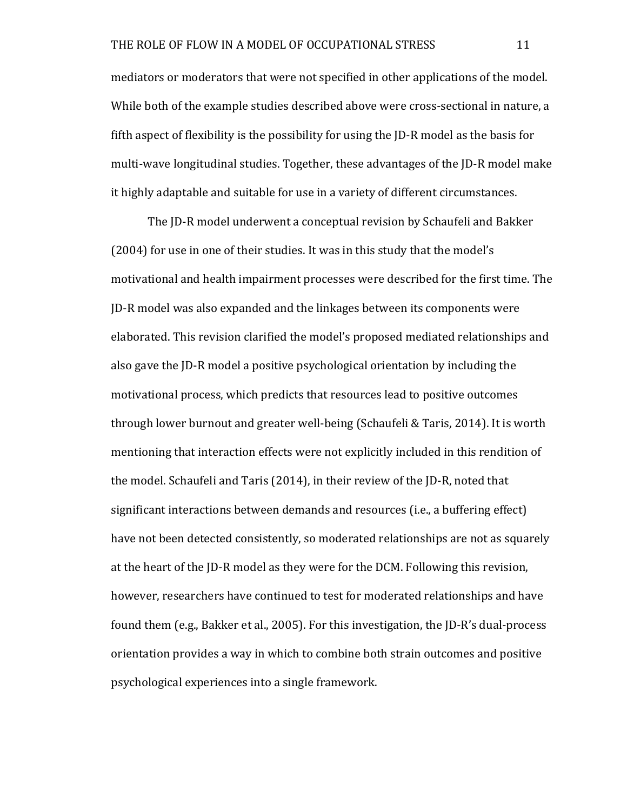mediators or moderators that were not specified in other applications of the model. While both of the example studies described above were cross-sectional in nature, a fifth aspect of flexibility is the possibility for using the  $ID-R$  model as the basis for multi-wave longitudinal studies. Together, these advantages of the JD-R model make it highly adaptable and suitable for use in a variety of different circumstances.

The ID-R model underwent a conceptual revision by Schaufeli and Bakker (2004) for use in one of their studies. It was in this study that the model's motivational and health impairment processes were described for the first time. The JD-R model was also expanded and the linkages between its components were elaborated. This revision clarified the model's proposed mediated relationships and also gave the JD-R model a positive psychological orientation by including the motivational process, which predicts that resources lead to positive outcomes through lower burnout and greater well-being (Schaufeli & Taris, 2014). It is worth mentioning that interaction effects were not explicitly included in this rendition of the model. Schaufeli and Taris  $(2014)$ , in their review of the  $[D-R]$ , noted that significant interactions between demands and resources (i.e., a buffering effect) have not been detected consistently, so moderated relationships are not as squarely at the heart of the JD-R model as they were for the DCM. Following this revision, however, researchers have continued to test for moderated relationships and have found them (e.g., Bakker et al., 2005). For this investigation, the ID-R's dual-process orientation provides a way in which to combine both strain outcomes and positive psychological experiences into a single framework.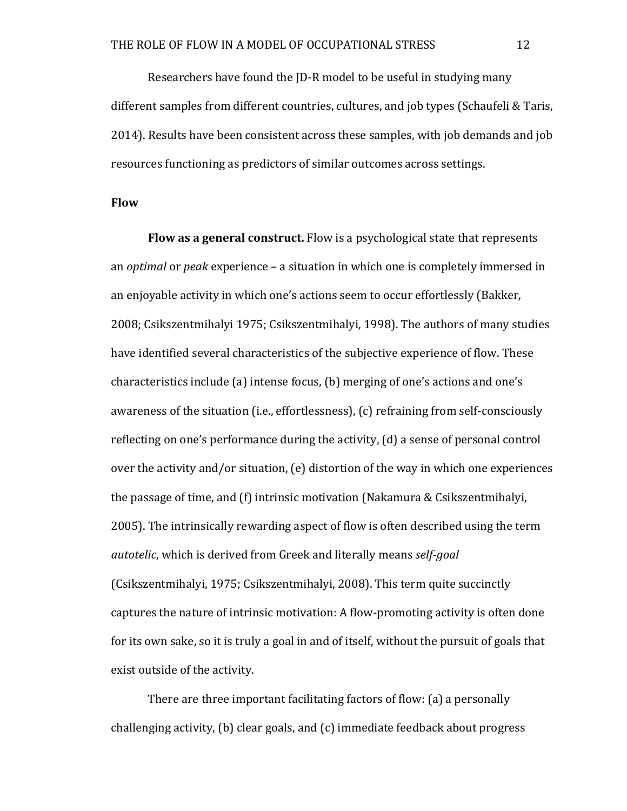Researchers have found the JD-R model to be useful in studying many different samples from different countries, cultures, and job types (Schaufeli & Taris, 2014). Results have been consistent across these samples, with job demands and job resources functioning as predictors of similar outcomes across settings.

### **Flow**

**Flow as a general construct.** Flow is a psychological state that represents an *optimal* or *peak* experience – a situation in which one is completely immersed in an enjoyable activity in which one's actions seem to occur effortlessly (Bakker, 2008; Csikszentmihalyi 1975; Csikszentmihalyi, 1998). The authors of many studies have identified several characteristics of the subjective experience of flow. These characteristics include (a) intense focus, (b) merging of one's actions and one's awareness of the situation (i.e., effortlessness), (c) refraining from self-consciously reflecting on one's performance during the activity,  $(d)$  a sense of personal control over the activity and/or situation,  $(e)$  distortion of the way in which one experiences the passage of time, and  $(f)$  intrinsic motivation (Nakamura & Csikszentmihalyi, 2005). The intrinsically rewarding aspect of flow is often described using the term *autotelic*, which is derived from Greek and literally means *self-goal* (Csikszentmihalyi, 1975; Csikszentmihalyi, 2008). This term quite succinctly captures the nature of intrinsic motivation: A flow-promoting activity is often done for its own sake, so it is truly a goal in and of itself, without the pursuit of goals that exist outside of the activity.

There are three important facilitating factors of flow: (a) a personally challenging activity,  $\Phi$  clear goals, and  $\Phi$  immediate feedback about progress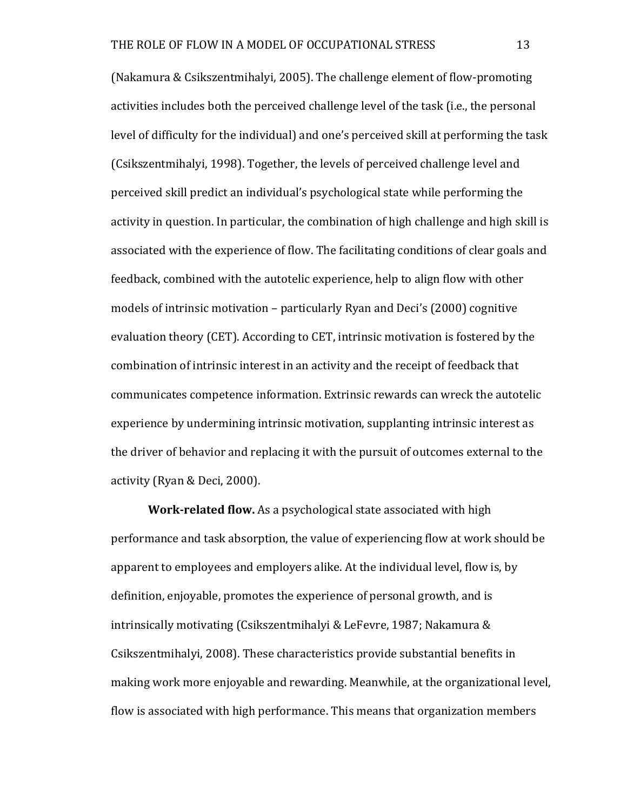(Nakamura & Csikszentmihalyi, 2005). The challenge element of flow-promoting activities includes both the perceived challenge level of the task (i.e., the personal level of difficulty for the individual) and one's perceived skill at performing the task (Csikszentmihalyi, 1998). Together, the levels of perceived challenge level and perceived skill predict an individual's psychological state while performing the activity in question. In particular, the combination of high challenge and high skill is associated with the experience of flow. The facilitating conditions of clear goals and feedback, combined with the autotelic experience, help to align flow with other models of intrinsic motivation – particularly Ryan and Deci's  $(2000)$  cognitive evaluation theory (CET). According to CET, intrinsic motivation is fostered by the combination of intrinsic interest in an activity and the receipt of feedback that communicates competence information. Extrinsic rewards can wreck the autotelic experience by undermining intrinsic motivation, supplanting intrinsic interest as the driver of behavior and replacing it with the pursuit of outcomes external to the activity (Ryan & Deci, 2000).

**Work-related flow.** As a psychological state associated with high performance and task absorption, the value of experiencing flow at work should be apparent to employees and employers alike. At the individual level, flow is, by definition, enjoyable, promotes the experience of personal growth, and is intrinsically motivating (Csikszentmihalyi & LeFevre, 1987; Nakamura & Csikszentmihalyi, 2008). These characteristics provide substantial benefits in making work more enjoyable and rewarding. Meanwhile, at the organizational level, flow is associated with high performance. This means that organization members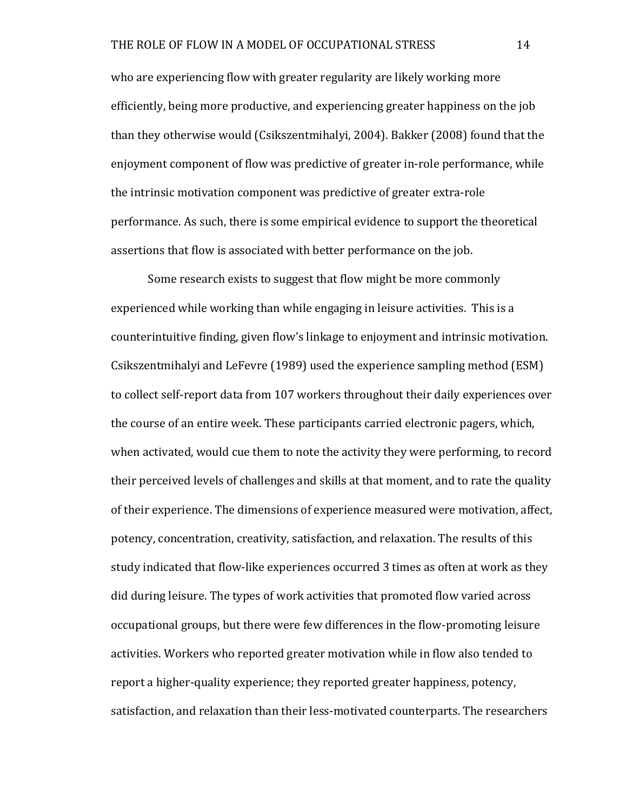who are experiencing flow with greater regularity are likely working more efficiently, being more productive, and experiencing greater happiness on the job than they otherwise would (Csikszentmihalyi, 2004). Bakker (2008) found that the enjoyment component of flow was predictive of greater in-role performance, while the intrinsic motivation component was predictive of greater extra-role performance. As such, there is some empirical evidence to support the theoretical assertions that flow is associated with better performance on the job.

Some research exists to suggest that flow might be more commonly experienced while working than while engaging in leisure activities. This is a counterintuitive finding, given flow's linkage to enjoyment and intrinsic motivation. Csikszentmihalyi and LeFevre (1989) used the experience sampling method (ESM) to collect self-report data from 107 workers throughout their daily experiences over the course of an entire week. These participants carried electronic pagers, which, when activated, would cue them to note the activity they were performing, to record their perceived levels of challenges and skills at that moment, and to rate the quality of their experience. The dimensions of experience measured were motivation, affect, potency, concentration, creativity, satisfaction, and relaxation. The results of this study indicated that flow-like experiences occurred 3 times as often at work as they did during leisure. The types of work activities that promoted flow varied across occupational groups, but there were few differences in the flow-promoting leisure activities. Workers who reported greater motivation while in flow also tended to report a higher-quality experience; they reported greater happiness, potency, satisfaction, and relaxation than their less-motivated counterparts. The researchers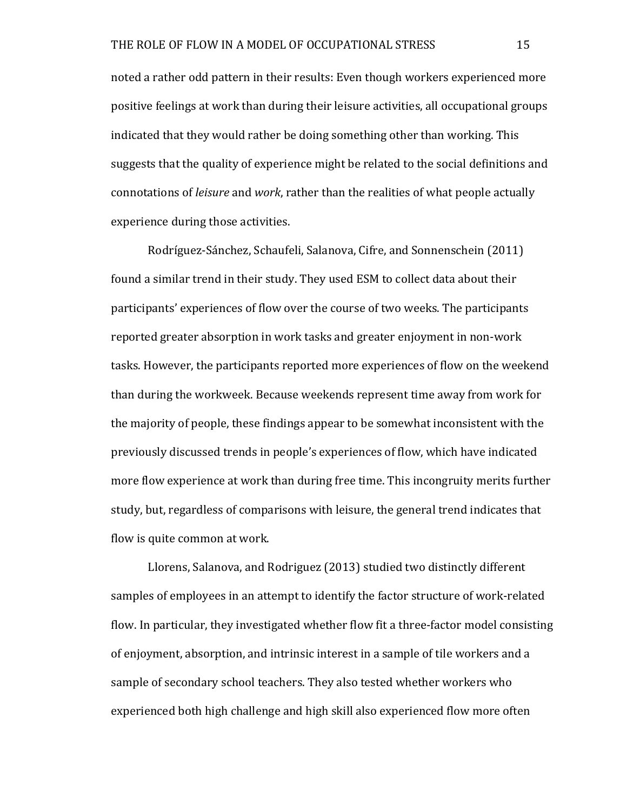noted a rather odd pattern in their results: Even though workers experienced more positive feelings at work than during their leisure activities, all occupational groups indicated that they would rather be doing something other than working. This suggests that the quality of experience might be related to the social definitions and connotations of *leisure* and *work*, rather than the realities of what people actually experience during those activities.

Rodríguez-Sánchez, Schaufeli, Salanova, Cifre, and Sonnenschein (2011) found a similar trend in their study. They used ESM to collect data about their participants' experiences of flow over the course of two weeks. The participants reported greater absorption in work tasks and greater enjoyment in non-work tasks. However, the participants reported more experiences of flow on the weekend than during the workweek. Because weekends represent time away from work for the majority of people, these findings appear to be somewhat inconsistent with the previously discussed trends in people's experiences of flow, which have indicated more flow experience at work than during free time. This incongruity merits further study, but, regardless of comparisons with leisure, the general trend indicates that flow is quite common at work.

Llorens, Salanova, and Rodriguez (2013) studied two distinctly different samples of employees in an attempt to identify the factor structure of work-related flow. In particular, they investigated whether flow fit a three-factor model consisting of enjoyment, absorption, and intrinsic interest in a sample of tile workers and a sample of secondary school teachers. They also tested whether workers who experienced both high challenge and high skill also experienced flow more often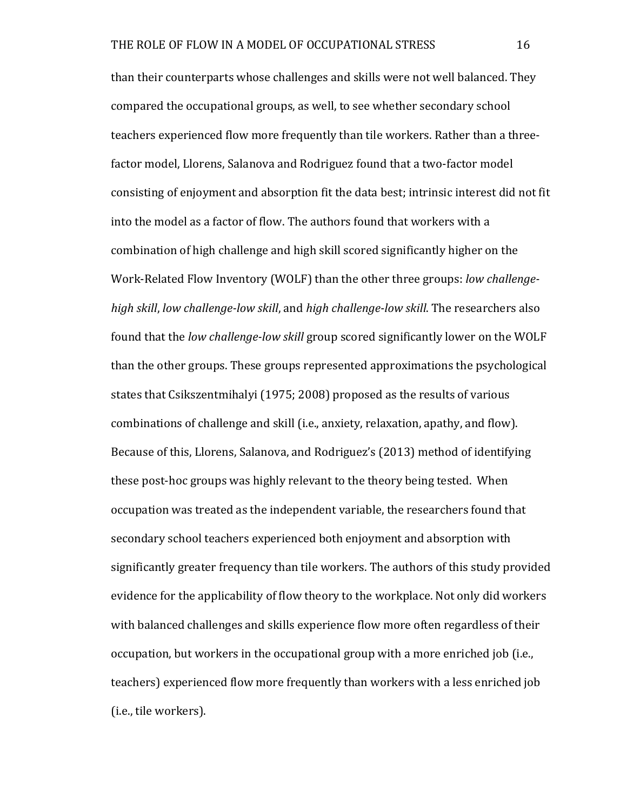than their counterparts whose challenges and skills were not well balanced. They compared the occupational groups, as well, to see whether secondary school teachers experienced flow more frequently than tile workers. Rather than a threefactor model, Llorens, Salanova and Rodriguez found that a two-factor model consisting of enjoyment and absorption fit the data best; intrinsic interest did not fit into the model as a factor of flow. The authors found that workers with a combination of high challenge and high skill scored significantly higher on the Work-Related Flow Inventory (WOLF) than the other three groups: *low challengehigh skill, low challenge-low skill, and high challenge-low skill.* The researchers also found that the *low challenge-low skill* group scored significantly lower on the WOLF than the other groups. These groups represented approximations the psychological states that Csikszentmihalyi (1975; 2008) proposed as the results of various combinations of challenge and skill (i.e., anxiety, relaxation, apathy, and flow). Because of this, Llorens, Salanova, and Rodriguez's (2013) method of identifying these post-hoc groups was highly relevant to the theory being tested. When occupation was treated as the independent variable, the researchers found that secondary school teachers experienced both enjoyment and absorption with significantly greater frequency than tile workers. The authors of this study provided evidence for the applicability of flow theory to the workplace. Not only did workers with balanced challenges and skills experience flow more often regardless of their occupation, but workers in the occupational group with a more enriched job (i.e., teachers) experienced flow more frequently than workers with a less enriched job (*i.e.*, tile workers).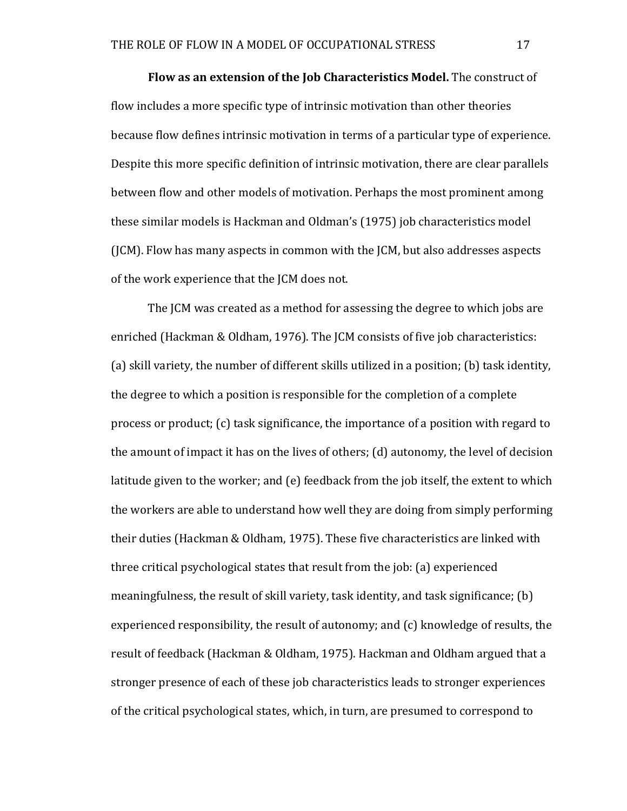**Flow as an extension of the Job Characteristics Model.** The construct of flow includes a more specific type of intrinsic motivation than other theories because flow defines intrinsic motivation in terms of a particular type of experience. Despite this more specific definition of intrinsic motivation, there are clear parallels between flow and other models of motivation. Perhaps the most prominent among these similar models is Hackman and Oldman's (1975) job characteristics model (ICM). Flow has many aspects in common with the ICM, but also addresses aspects of the work experience that the JCM does not.

The ICM was created as a method for assessing the degree to which jobs are enriched (Hackman & Oldham, 1976). The JCM consists of five job characteristics: (a) skill variety, the number of different skills utilized in a position; (b) task identity, the degree to which a position is responsible for the completion of a complete process or product; (c) task significance, the importance of a position with regard to the amount of impact it has on the lives of others;  $(d)$  autonomy, the level of decision latitude given to the worker; and  $(e)$  feedback from the job itself, the extent to which the workers are able to understand how well they are doing from simply performing their duties (Hackman & Oldham, 1975). These five characteristics are linked with three critical psychological states that result from the job: (a) experienced meaningfulness, the result of skill variety, task identity, and task significance; (b) experienced responsibility, the result of autonomy; and  $(c)$  knowledge of results, the result of feedback (Hackman & Oldham, 1975). Hackman and Oldham argued that a stronger presence of each of these job characteristics leads to stronger experiences of the critical psychological states, which, in turn, are presumed to correspond to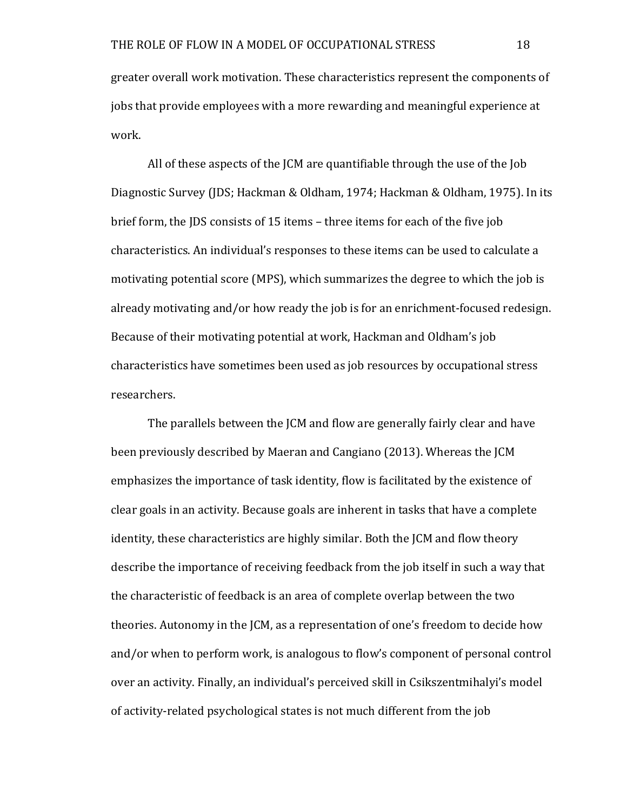greater overall work motivation. These characteristics represent the components of jobs that provide employees with a more rewarding and meaningful experience at work.

All of these aspects of the JCM are quantifiable through the use of the Job Diagnostic Survey (JDS; Hackman & Oldham, 1974; Hackman & Oldham, 1975). In its brief form, the IDS consists of 15 items – three items for each of the five job characteristics. An individual's responses to these items can be used to calculate a motivating potential score (MPS), which summarizes the degree to which the job is already motivating and/or how ready the job is for an enrichment-focused redesign. Because of their motivating potential at work, Hackman and Oldham's job characteristics have sometimes been used as job resources by occupational stress researchers.

The parallels between the ICM and flow are generally fairly clear and have been previously described by Maeran and Cangiano (2013). Whereas the ICM emphasizes the importance of task identity, flow is facilitated by the existence of clear goals in an activity. Because goals are inherent in tasks that have a complete identity, these characteristics are highly similar. Both the JCM and flow theory describe the importance of receiving feedback from the job itself in such a way that the characteristic of feedback is an area of complete overlap between the two theories. Autonomy in the JCM, as a representation of one's freedom to decide how and/or when to perform work, is analogous to flow's component of personal control over an activity. Finally, an individual's perceived skill in Csikszentmihalyi's model of activity-related psychological states is not much different from the job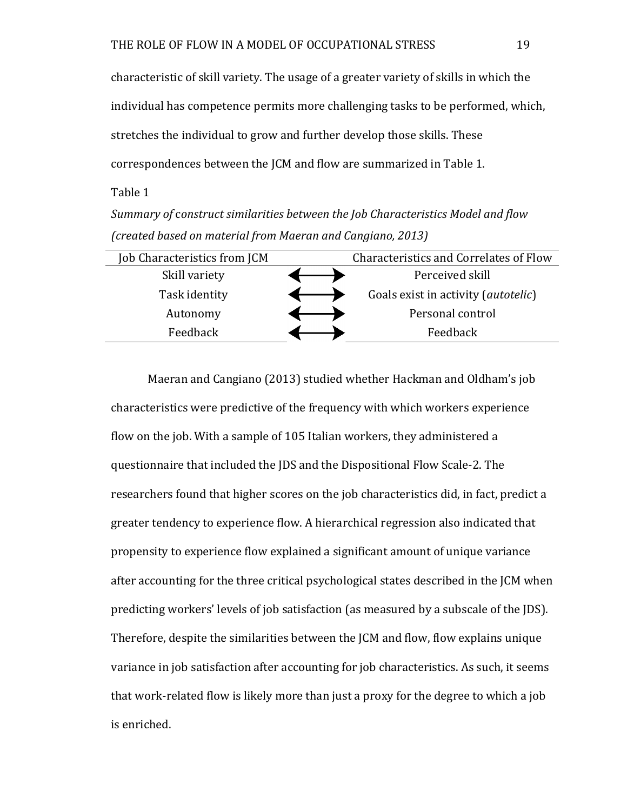characteristic of skill variety. The usage of a greater variety of skills in which the individual has competence permits more challenging tasks to be performed, which, stretches the individual to grow and further develop those skills. These correspondences between the JCM and flow are summarized in Table 1.

Table 1

*Summary of* c*onstruct similarities between the Job Characteristics Model and flow (created based on material from Maeran and Cangiano, 2013)*

| Job Characteristics from JCM | Characteristics and Correlates of Flow       |
|------------------------------|----------------------------------------------|
| Skill variety                | Perceived skill                              |
| Task identity                | Goals exist in activity ( <i>autotelic</i> ) |
| Autonomy                     | Personal control                             |
| Feedback                     | Feedback                                     |
|                              |                                              |

Maeran and Cangiano (2013) studied whether Hackman and Oldham's job characteristics were predictive of the frequency with which workers experience flow on the job. With a sample of 105 Italian workers, they administered a questionnaire that included the JDS and the Dispositional Flow Scale-2. The researchers found that higher scores on the job characteristics did, in fact, predict a greater tendency to experience flow. A hierarchical regression also indicated that propensity to experience flow explained a significant amount of unique variance after accounting for the three critical psychological states described in the JCM when predicting workers' levels of job satisfaction (as measured by a subscale of the JDS). Therefore, despite the similarities between the JCM and flow, flow explains unique variance in job satisfaction after accounting for job characteristics. As such, it seems that work-related flow is likely more than just a proxy for the degree to which a job is enriched.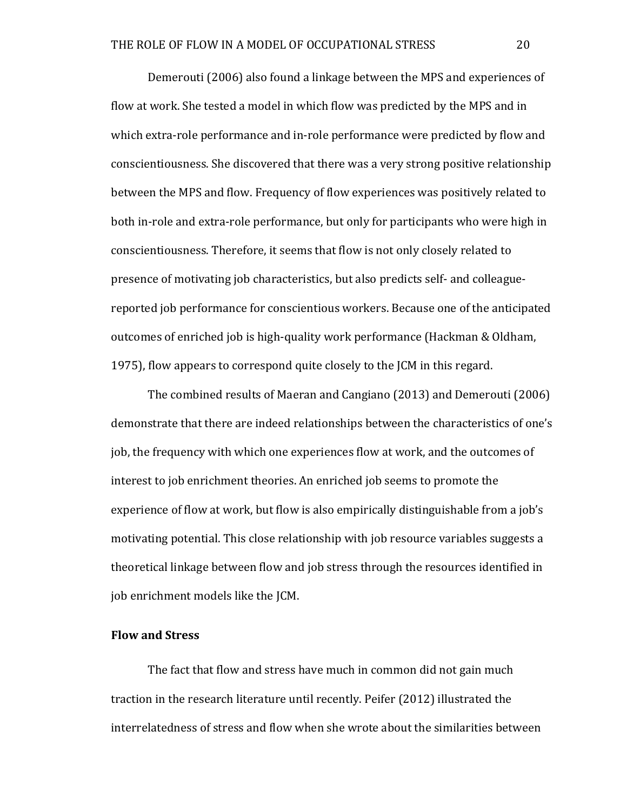Demerouti (2006) also found a linkage between the MPS and experiences of flow at work. She tested a model in which flow was predicted by the MPS and in which extra-role performance and in-role performance were predicted by flow and conscientiousness. She discovered that there was a very strong positive relationship between the MPS and flow. Frequency of flow experiences was positively related to both in-role and extra-role performance, but only for participants who were high in conscientiousness. Therefore, it seems that flow is not only closely related to presence of motivating job characteristics, but also predicts self- and colleaguereported job performance for conscientious workers. Because one of the anticipated outcomes of enriched job is high-quality work performance (Hackman & Oldham, 1975), flow appears to correspond quite closely to the JCM in this regard.

The combined results of Maeran and Cangiano (2013) and Demerouti (2006) demonstrate that there are indeed relationships between the characteristics of one's job, the frequency with which one experiences flow at work, and the outcomes of interest to job enrichment theories. An enriched job seems to promote the experience of flow at work, but flow is also empirically distinguishable from a job's motivating potential. This close relationship with job resource variables suggests a theoretical linkage between flow and job stress through the resources identified in job enrichment models like the JCM.

### **Flow and Stress**

The fact that flow and stress have much in common did not gain much traction in the research literature until recently. Peifer (2012) illustrated the interrelatedness of stress and flow when she wrote about the similarities between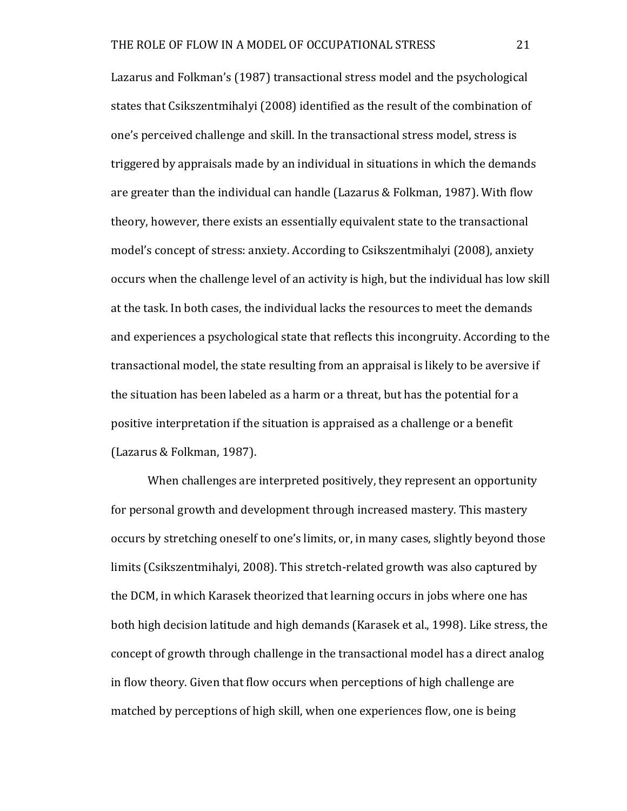Lazarus and Folkman's (1987) transactional stress model and the psychological states that Csikszentmihalyi (2008) identified as the result of the combination of one's perceived challenge and skill. In the transactional stress model, stress is triggered by appraisals made by an individual in situations in which the demands are greater than the individual can handle (Lazarus & Folkman, 1987). With flow theory, however, there exists an essentially equivalent state to the transactional model's concept of stress: anxiety. According to Csikszentmihalyi (2008), anxiety occurs when the challenge level of an activity is high, but the individual has low skill at the task. In both cases, the individual lacks the resources to meet the demands and experiences a psychological state that reflects this incongruity. According to the transactional model, the state resulting from an appraisal is likely to be aversive if the situation has been labeled as a harm or a threat, but has the potential for a positive interpretation if the situation is appraised as a challenge or a benefit (Lazarus & Folkman, 1987).

When challenges are interpreted positively, they represent an opportunity for personal growth and development through increased mastery. This mastery occurs by stretching oneself to one's limits, or, in many cases, slightly beyond those limits (Csikszentmihalyi, 2008). This stretch-related growth was also captured by the DCM, in which Karasek theorized that learning occurs in jobs where one has both high decision latitude and high demands (Karasek et al., 1998). Like stress, the concept of growth through challenge in the transactional model has a direct analog in flow theory. Given that flow occurs when perceptions of high challenge are matched by perceptions of high skill, when one experiences flow, one is being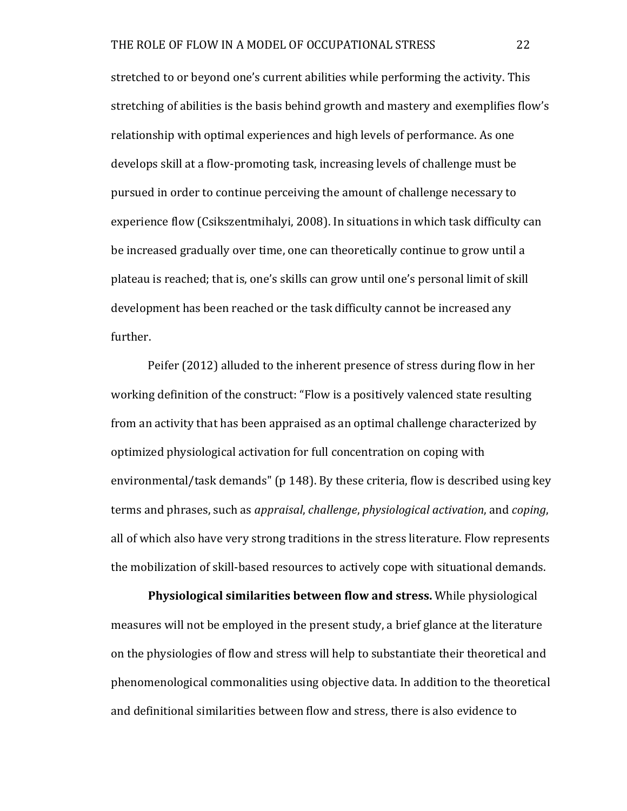stretched to or beyond one's current abilities while performing the activity. This stretching of abilities is the basis behind growth and mastery and exemplifies flow's relationship with optimal experiences and high levels of performance. As one develops skill at a flow-promoting task, increasing levels of challenge must be pursued in order to continue perceiving the amount of challenge necessary to experience flow (Csikszentmihalyi, 2008). In situations in which task difficulty can be increased gradually over time, one can theoretically continue to grow until a plateau is reached; that is, one's skills can grow until one's personal limit of skill development has been reached or the task difficulty cannot be increased any further.

Peifer (2012) alluded to the inherent presence of stress during flow in her working definition of the construct: "Flow is a positively valenced state resulting from an activity that has been appraised as an optimal challenge characterized by optimized physiological activation for full concentration on coping with environmental/task demands" ( $p$  148). By these criteria, flow is described using key terms and phrases, such as *appraisal*, *challenge*, *physiological activation*, and *coping*, all of which also have very strong traditions in the stress literature. Flow represents the mobilization of skill-based resources to actively cope with situational demands.

**Physiological similarities between flow and stress.** While physiological measures will not be employed in the present study, a brief glance at the literature on the physiologies of flow and stress will help to substantiate their theoretical and phenomenological commonalities using objective data. In addition to the theoretical and definitional similarities between flow and stress, there is also evidence to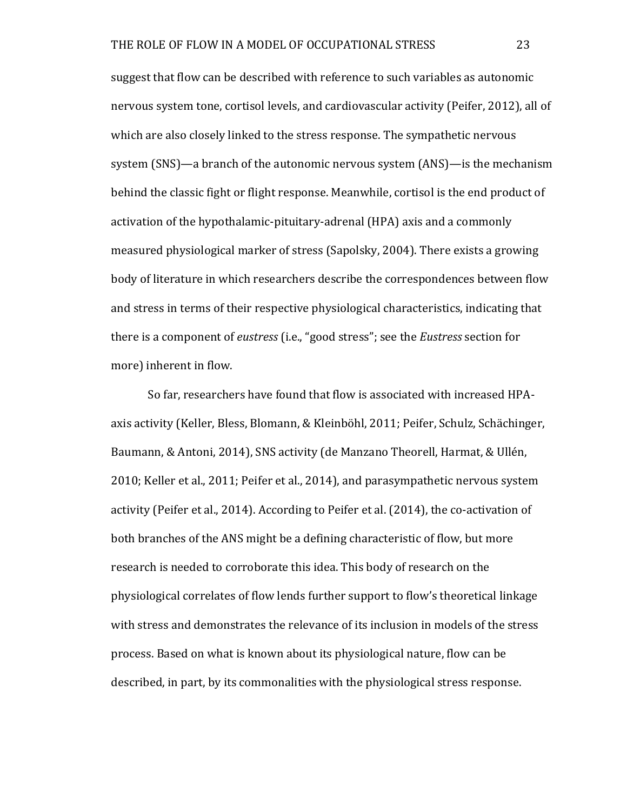suggest that flow can be described with reference to such variables as autonomic nervous system tone, cortisol levels, and cardiovascular activity (Peifer, 2012), all of which are also closely linked to the stress response. The sympathetic nervous system (SNS)—a branch of the autonomic nervous system (ANS)—is the mechanism behind the classic fight or flight response. Meanwhile, cortisol is the end product of activation of the hypothalamic-pituitary-adrenal (HPA) axis and a commonly measured physiological marker of stress (Sapolsky, 2004). There exists a growing body of literature in which researchers describe the correspondences between flow and stress in terms of their respective physiological characteristics, indicating that there is a component of *eustress* (i.e., "good stress"; see the *Eustress* section for more) inherent in flow.

So far, researchers have found that flow is associated with increased HPAaxis activity (Keller, Bless, Blomann, & Kleinböhl, 2011; Peifer, Schulz, Schächinger, Baumann, & Antoni, 2014), SNS activity (de Manzano Theorell, Harmat, & Ullén,  $2010$ ; Keller et al.,  $2011$ ; Peifer et al.,  $2014$ ), and parasympathetic nervous system activity (Peifer et al., 2014). According to Peifer et al. (2014), the co-activation of both branches of the ANS might be a defining characteristic of flow, but more research is needed to corroborate this idea. This body of research on the physiological correlates of flow lends further support to flow's theoretical linkage with stress and demonstrates the relevance of its inclusion in models of the stress process. Based on what is known about its physiological nature, flow can be described, in part, by its commonalities with the physiological stress response.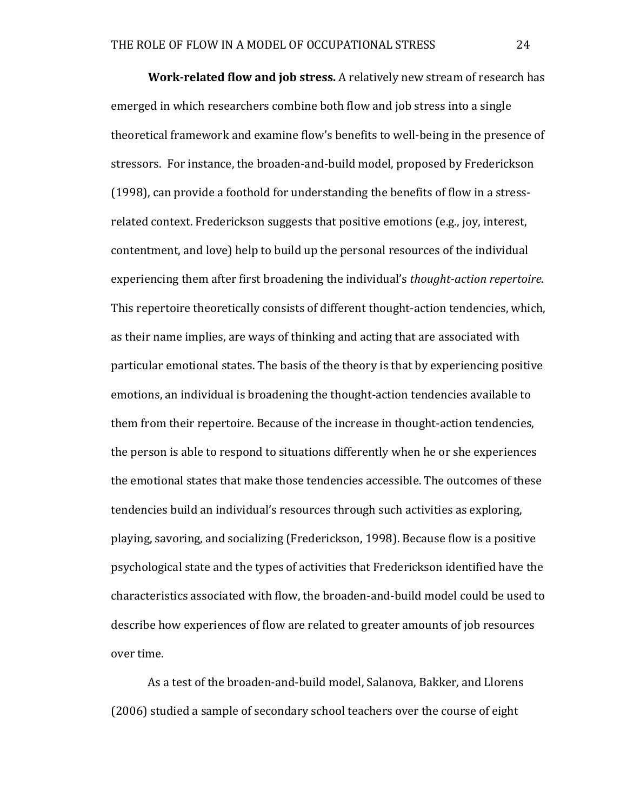**Work-related flow and job stress.** A relatively new stream of research has emerged in which researchers combine both flow and job stress into a single theoretical framework and examine flow's benefits to well-being in the presence of stressors. For instance, the broaden-and-build model, proposed by Frederickson (1998), can provide a foothold for understanding the benefits of flow in a stressrelated context. Frederickson suggests that positive emotions (e.g., joy, interest, contentment, and love) help to build up the personal resources of the individual experiencing them after first broadening the individual's *thought-action repertoire*. This repertoire theoretically consists of different thought-action tendencies, which, as their name implies, are ways of thinking and acting that are associated with particular emotional states. The basis of the theory is that by experiencing positive emotions, an individual is broadening the thought-action tendencies available to them from their repertoire. Because of the increase in thought-action tendencies, the person is able to respond to situations differently when he or she experiences the emotional states that make those tendencies accessible. The outcomes of these tendencies build an individual's resources through such activities as exploring, playing, savoring, and socializing (Frederickson, 1998). Because flow is a positive psychological state and the types of activities that Frederickson identified have the characteristics associated with flow, the broaden-and-build model could be used to describe how experiences of flow are related to greater amounts of job resources over time.

As a test of the broaden-and-build model, Salanova, Bakker, and Llorens (2006) studied a sample of secondary school teachers over the course of eight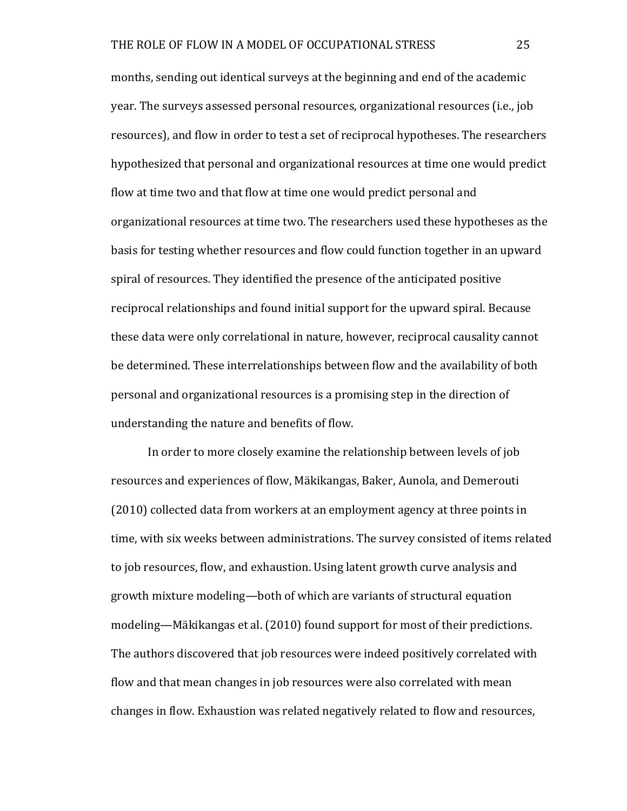months, sending out identical surveys at the beginning and end of the academic year. The surveys assessed personal resources, organizational resources (i.e., job resources), and flow in order to test a set of reciprocal hypotheses. The researchers hypothesized that personal and organizational resources at time one would predict flow at time two and that flow at time one would predict personal and organizational resources at time two. The researchers used these hypotheses as the basis for testing whether resources and flow could function together in an upward spiral of resources. They identified the presence of the anticipated positive reciprocal relationships and found initial support for the upward spiral. Because these data were only correlational in nature, however, reciprocal causality cannot be determined. These interrelationships between flow and the availability of both personal and organizational resources is a promising step in the direction of understanding the nature and benefits of flow.

In order to more closely examine the relationship between levels of job resources and experiences of flow, Mäkikangas, Baker, Aunola, and Demerouti (2010) collected data from workers at an employment agency at three points in time, with six weeks between administrations. The survey consisted of items related to job resources, flow, and exhaustion. Using latent growth curve analysis and growth mixture modeling—both of which are variants of structural equation modeling—Mäkikangas et al. (2010) found support for most of their predictions. The authors discovered that job resources were indeed positively correlated with flow and that mean changes in job resources were also correlated with mean changes in flow. Exhaustion was related negatively related to flow and resources,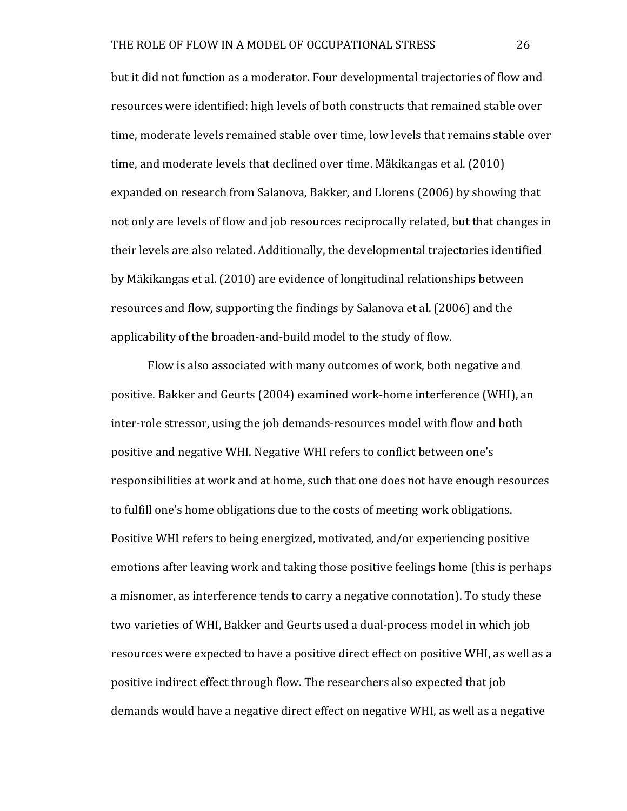but it did not function as a moderator. Four developmental trajectories of flow and resources were identified: high levels of both constructs that remained stable over time, moderate levels remained stable over time, low levels that remains stable over time, and moderate levels that declined over time. Mäkikangas et al. (2010) expanded on research from Salanova, Bakker, and Llorens (2006) by showing that not only are levels of flow and job resources reciprocally related, but that changes in their levels are also related. Additionally, the developmental trajectories identified by Mäkikangas et al. (2010) are evidence of longitudinal relationships between resources and flow, supporting the findings by Salanova et al. (2006) and the applicability of the broaden-and-build model to the study of flow.

Flow is also associated with many outcomes of work, both negative and positive. Bakker and Geurts (2004) examined work-home interference (WHI), an inter-role stressor, using the job demands-resources model with flow and both positive and negative WHI. Negative WHI refers to conflict between one's responsibilities at work and at home, such that one does not have enough resources to fulfill one's home obligations due to the costs of meeting work obligations. Positive WHI refers to being energized, motivated, and/or experiencing positive emotions after leaving work and taking those positive feelings home (this is perhaps a misnomer, as interference tends to carry a negative connotation). To study these two varieties of WHI, Bakker and Geurts used a dual-process model in which job resources were expected to have a positive direct effect on positive WHI, as well as a positive indirect effect through flow. The researchers also expected that job demands would have a negative direct effect on negative WHI, as well as a negative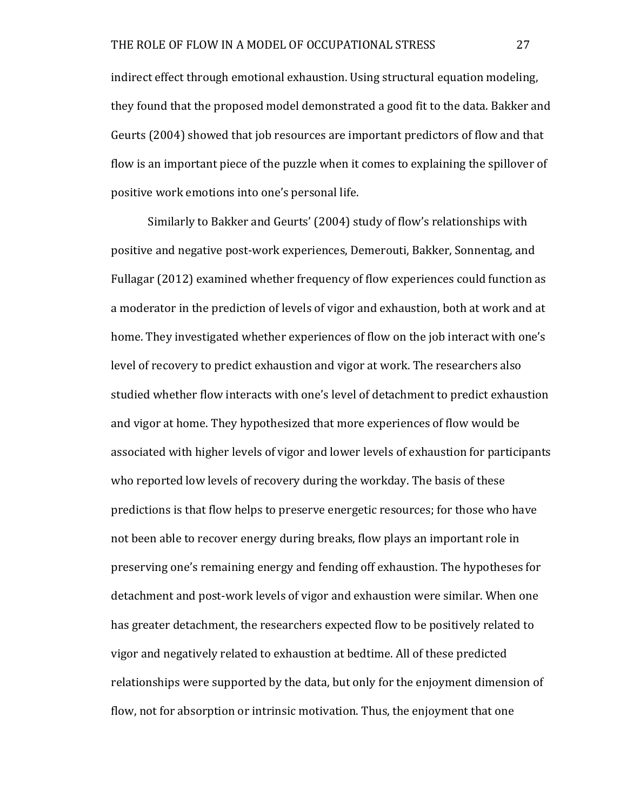indirect effect through emotional exhaustion. Using structural equation modeling, they found that the proposed model demonstrated a good fit to the data. Bakker and Geurts (2004) showed that job resources are important predictors of flow and that flow is an important piece of the puzzle when it comes to explaining the spillover of positive work emotions into one's personal life.

Similarly to Bakker and Geurts' (2004) study of flow's relationships with positive and negative post-work experiences, Demerouti, Bakker, Sonnentag, and Fullagar (2012) examined whether frequency of flow experiences could function as a moderator in the prediction of levels of vigor and exhaustion, both at work and at home. They investigated whether experiences of flow on the job interact with one's level of recovery to predict exhaustion and vigor at work. The researchers also studied whether flow interacts with one's level of detachment to predict exhaustion and vigor at home. They hypothesized that more experiences of flow would be associated with higher levels of vigor and lower levels of exhaustion for participants who reported low levels of recovery during the workday. The basis of these predictions is that flow helps to preserve energetic resources; for those who have not been able to recover energy during breaks, flow plays an important role in preserving one's remaining energy and fending off exhaustion. The hypotheses for detachment and post-work levels of vigor and exhaustion were similar. When one has greater detachment, the researchers expected flow to be positively related to vigor and negatively related to exhaustion at bedtime. All of these predicted relationships were supported by the data, but only for the enjoyment dimension of flow, not for absorption or intrinsic motivation. Thus, the enjoyment that one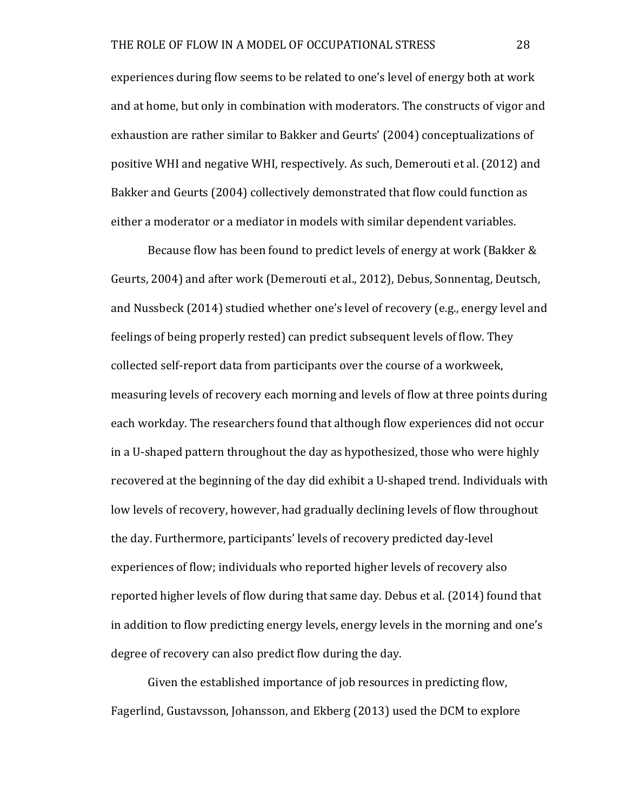experiences during flow seems to be related to one's level of energy both at work and at home, but only in combination with moderators. The constructs of vigor and exhaustion are rather similar to Bakker and Geurts' (2004) conceptualizations of positive WHI and negative WHI, respectively. As such, Demerouti et al. (2012) and Bakker and Geurts (2004) collectively demonstrated that flow could function as either a moderator or a mediator in models with similar dependent variables.

Because flow has been found to predict levels of energy at work (Bakker & Geurts, 2004) and after work (Demerouti et al., 2012), Debus, Sonnentag, Deutsch, and Nussbeck (2014) studied whether one's level of recovery (e.g., energy level and feelings of being properly rested) can predict subsequent levels of flow. They collected self-report data from participants over the course of a workweek, measuring levels of recovery each morning and levels of flow at three points during each workday. The researchers found that although flow experiences did not occur in a U-shaped pattern throughout the day as hypothesized, those who were highly recovered at the beginning of the day did exhibit a U-shaped trend. Individuals with low levels of recovery, however, had gradually declining levels of flow throughout the day. Furthermore, participants' levels of recovery predicted day-level experiences of flow; individuals who reported higher levels of recovery also reported higher levels of flow during that same day. Debus et al. (2014) found that in addition to flow predicting energy levels, energy levels in the morning and one's degree of recovery can also predict flow during the day.

Given the established importance of job resources in predicting flow, Fagerlind, Gustavsson, Johansson, and Ekberg (2013) used the DCM to explore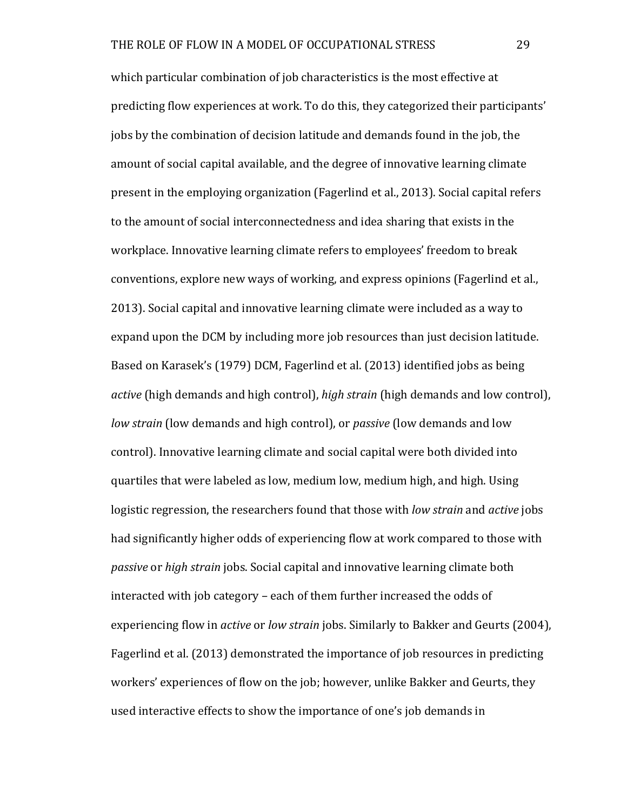which particular combination of job characteristics is the most effective at predicting flow experiences at work. To do this, they categorized their participants' jobs by the combination of decision latitude and demands found in the job, the amount of social capital available, and the degree of innovative learning climate present in the employing organization (Fagerlind et al., 2013). Social capital refers to the amount of social interconnectedness and idea sharing that exists in the workplace. Innovative learning climate refers to employees' freedom to break conventions, explore new ways of working, and express opinions (Fagerlind et al., 2013). Social capital and innovative learning climate were included as a way to expand upon the DCM by including more job resources than just decision latitude. Based on Karasek's (1979) DCM, Fagerlind et al. (2013) identified jobs as being *active* (high demands and high control), *high strain* (high demands and low control), *low strain* (low demands and high control), or *passive* (low demands and low control). Innovative learning climate and social capital were both divided into quartiles that were labeled as low, medium low, medium high, and high. Using logistic regression, the researchers found that those with *low strain* and *active* jobs had significantly higher odds of experiencing flow at work compared to those with *passive* or *high strain* jobs. Social capital and innovative learning climate both interacted with job category – each of them further increased the odds of experiencing flow in *active* or *low strain* jobs. Similarly to Bakker and Geurts (2004), Fagerlind et al. (2013) demonstrated the importance of job resources in predicting workers' experiences of flow on the job; however, unlike Bakker and Geurts, they used interactive effects to show the importance of one's job demands in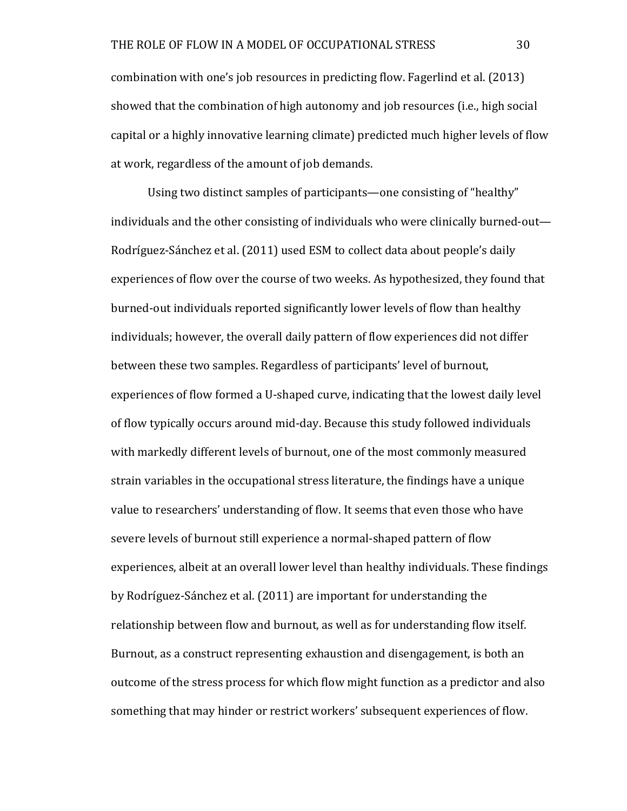combination with one's job resources in predicting flow. Fagerlind et al. (2013) showed that the combination of high autonomy and job resources (i.e., high social capital or a highly innovative learning climate) predicted much higher levels of flow at work, regardless of the amount of job demands.

Using two distinct samples of participants—one consisting of "healthy" individuals and the other consisting of individuals who were clinically burned-out— Rodríguez-Sánchez et al. (2011) used ESM to collect data about people's daily experiences of flow over the course of two weeks. As hypothesized, they found that burned-out individuals reported significantly lower levels of flow than healthy individuals; however, the overall daily pattern of flow experiences did not differ between these two samples. Regardless of participants' level of burnout, experiences of flow formed a U-shaped curve, indicating that the lowest daily level of flow typically occurs around mid-day. Because this study followed individuals with markedly different levels of burnout, one of the most commonly measured strain variables in the occupational stress literature, the findings have a unique value to researchers' understanding of flow. It seems that even those who have severe levels of burnout still experience a normal-shaped pattern of flow experiences, albeit at an overall lower level than healthy individuals. These findings by Rodríguez-Sánchez et al. (2011) are important for understanding the relationship between flow and burnout, as well as for understanding flow itself. Burnout, as a construct representing exhaustion and disengagement, is both an outcome of the stress process for which flow might function as a predictor and also something that may hinder or restrict workers' subsequent experiences of flow.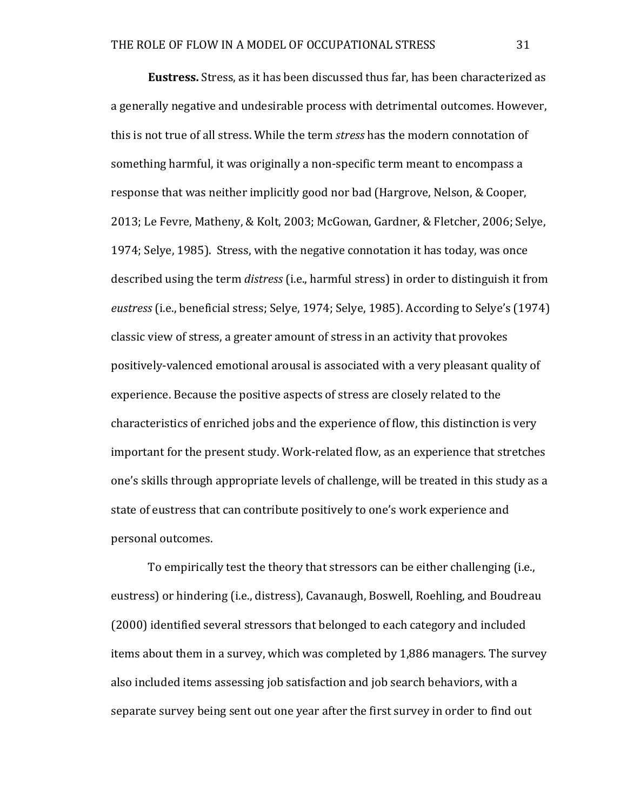**Eustress.** Stress, as it has been discussed thus far, has been characterized as a generally negative and undesirable process with detrimental outcomes. However, this is not true of all stress. While the term *stress* has the modern connotation of something harmful, it was originally a non-specific term meant to encompass a response that was neither implicitly good nor bad (Hargrove, Nelson, & Cooper, 2013; Le Fevre, Matheny, & Kolt, 2003; McGowan, Gardner, & Fletcher, 2006; Selve, 1974; Selve, 1985). Stress, with the negative connotation it has today, was once described using the term *distress* (i.e., harmful stress) in order to distinguish it from *eustress* (i.e., beneficial stress; Selye, 1974; Selye, 1985). According to Selye's (1974) classic view of stress, a greater amount of stress in an activity that provokes positively-valenced emotional arousal is associated with a very pleasant quality of experience. Because the positive aspects of stress are closely related to the characteristics of enriched jobs and the experience of flow, this distinction is very important for the present study. Work-related flow, as an experience that stretches one's skills through appropriate levels of challenge, will be treated in this study as a state of eustress that can contribute positively to one's work experience and personal outcomes.

To empirically test the theory that stressors can be either challenging (i.e., eustress) or hindering (i.e., distress), Cavanaugh, Boswell, Roehling, and Boudreau (2000) identified several stressors that belonged to each category and included items about them in a survey, which was completed by 1,886 managers. The survey also included items assessing job satisfaction and job search behaviors, with a separate survey being sent out one year after the first survey in order to find out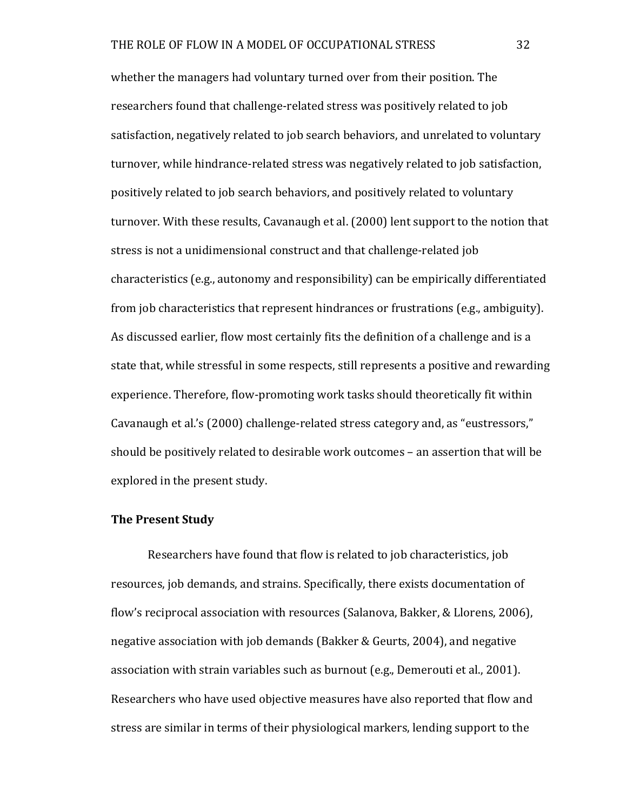whether the managers had voluntary turned over from their position. The researchers found that challenge-related stress was positively related to job satisfaction, negatively related to job search behaviors, and unrelated to voluntary turnover, while hindrance-related stress was negatively related to job satisfaction, positively related to job search behaviors, and positively related to voluntary turnover. With these results, Cavanaugh et al. (2000) lent support to the notion that stress is not a unidimensional construct and that challenge-related job characteristics (e.g., autonomy and responsibility) can be empirically differentiated from job characteristics that represent hindrances or frustrations  $(e.g., ambiguity)$ . As discussed earlier, flow most certainly fits the definition of a challenge and is a state that, while stressful in some respects, still represents a positive and rewarding experience. Therefore, flow-promoting work tasks should theoretically fit within Cavanaugh et al.'s (2000) challenge-related stress category and, as "eustressors," should be positively related to desirable work outcomes - an assertion that will be explored in the present study.

# **The Present Study**

Researchers have found that flow is related to job characteristics, job resources, job demands, and strains. Specifically, there exists documentation of flow's reciprocal association with resources (Salanova, Bakker, & Llorens, 2006), negative association with job demands (Bakker & Geurts, 2004), and negative association with strain variables such as burnout (e.g., Demerouti et al., 2001). Researchers who have used objective measures have also reported that flow and stress are similar in terms of their physiological markers, lending support to the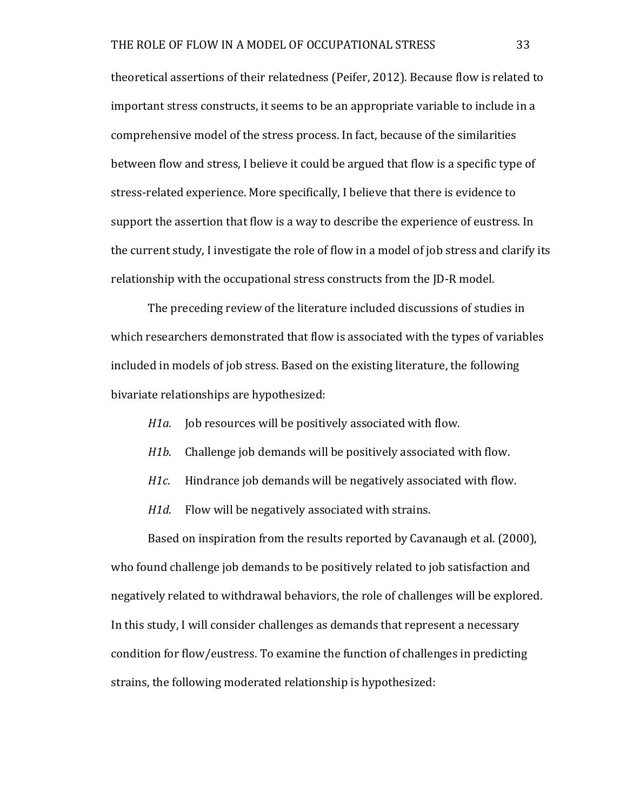theoretical assertions of their relatedness (Peifer, 2012). Because flow is related to important stress constructs, it seems to be an appropriate variable to include in a comprehensive model of the stress process. In fact, because of the similarities between flow and stress, I believe it could be argued that flow is a specific type of stress-related experience. More specifically, I believe that there is evidence to support the assertion that flow is a way to describe the experience of eustress. In the current study, I investigate the role of flow in a model of job stress and clarify its relationship with the occupational stress constructs from the ID-R model.

The preceding review of the literature included discussions of studies in which researchers demonstrated that flow is associated with the types of variables included in models of job stress. Based on the existing literature, the following bivariate relationships are hypothesized:

- *H1a*. Job resources will be positively associated with flow.
- *H1b*. Challenge job demands will be positively associated with flow.
- *H1c.* Hindrance job demands will be negatively associated with flow.
- *H1d.* Flow will be negatively associated with strains.

Based on inspiration from the results reported by Cavanaugh et al. (2000), who found challenge job demands to be positively related to job satisfaction and negatively related to withdrawal behaviors, the role of challenges will be explored. In this study, I will consider challenges as demands that represent a necessary condition for flow/eustress. To examine the function of challenges in predicting strains, the following moderated relationship is hypothesized: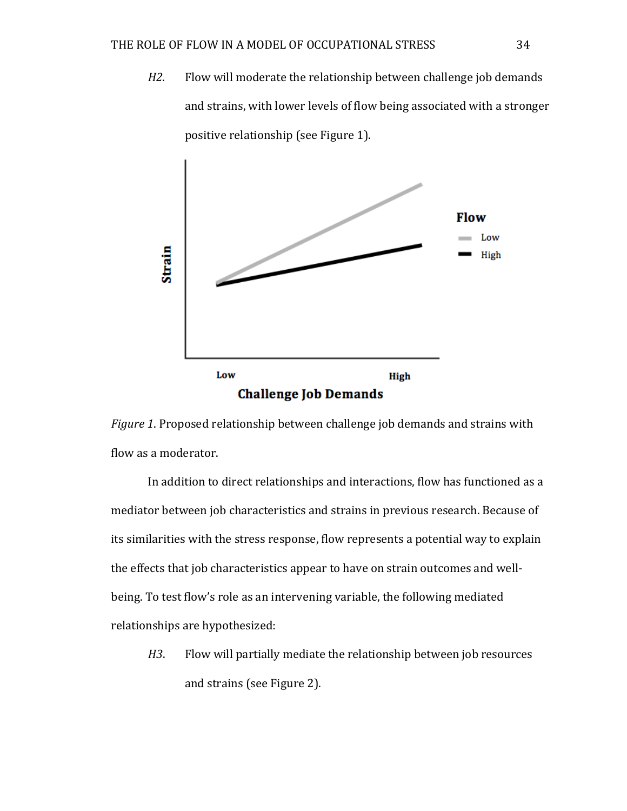*H2.* Flow will moderate the relationship between challenge job demands and strains, with lower levels of flow being associated with a stronger positive relationship (see Figure 1).



*Figure* 1. Proposed relationship between challenge job demands and strains with flow as a moderator.

In addition to direct relationships and interactions, flow has functioned as a mediator between job characteristics and strains in previous research. Because of its similarities with the stress response, flow represents a potential way to explain the effects that job characteristics appear to have on strain outcomes and wellbeing. To test flow's role as an intervening variable, the following mediated relationships are hypothesized:

*H3*. Flow will partially mediate the relationship between job resources and strains (see Figure 2).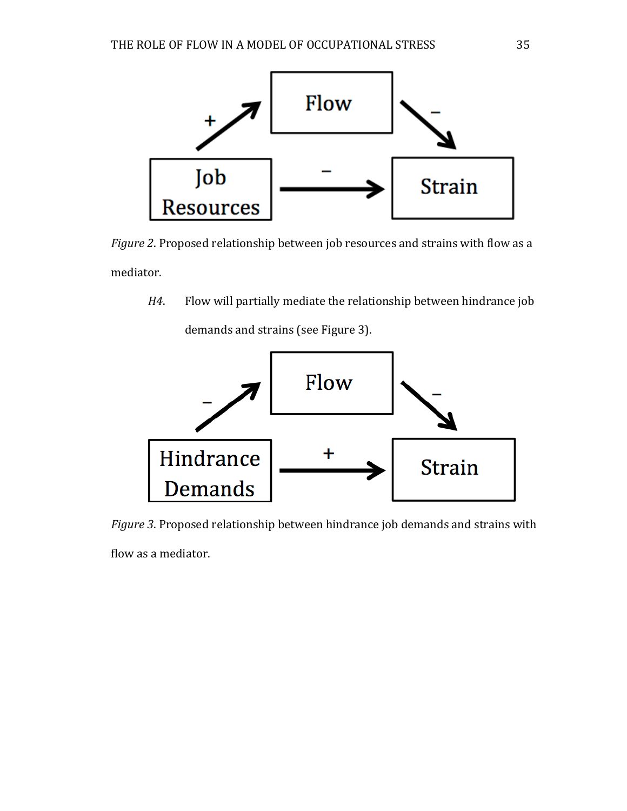

*Figure* 2. Proposed relationship between job resources and strains with flow as a mediator.

*H4*. Flow will partially mediate the relationship between hindrance job demands and strains (see Figure 3).



*Figure* 3. Proposed relationship between hindrance job demands and strains with

flow as a mediator.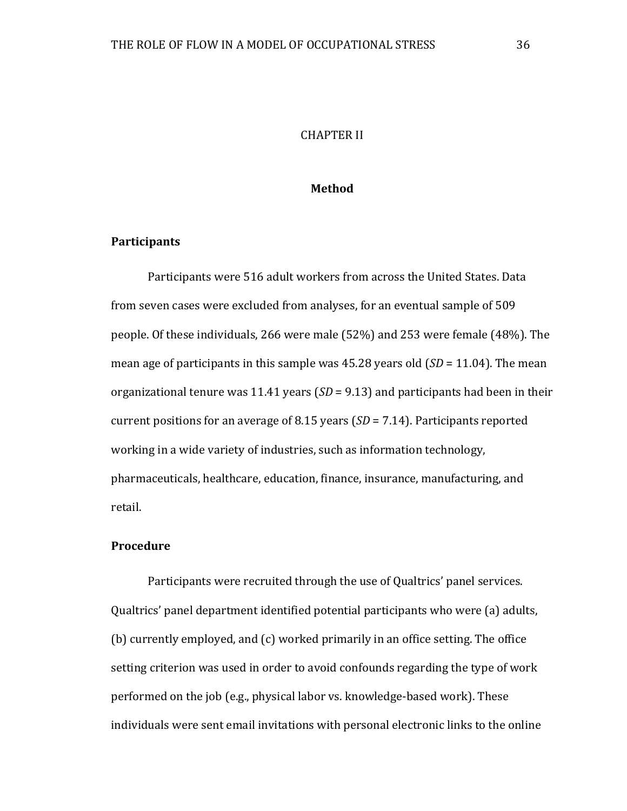# **CHAPTER II**

## **Method**

### **Participants**

Participants were 516 adult workers from across the United States. Data from seven cases were excluded from analyses, for an eventual sample of 509 people. Of these individuals, 266 were male  $(52%)$  and 253 were female  $(48%)$ . The mean age of participants in this sample was  $45.28$  years old  $(SD = 11.04)$ . The mean organizational tenure was 11.41 years  $(SD = 9.13)$  and participants had been in their current positions for an average of 8.15 years  $(SD = 7.14)$ . Participants reported working in a wide variety of industries, such as information technology, pharmaceuticals, healthcare, education, finance, insurance, manufacturing, and retail.

### **Procedure**

Participants were recruited through the use of Qualtrics' panel services. Qualtrics' panel department identified potential participants who were (a) adults, (b) currently employed, and  $(c)$  worked primarily in an office setting. The office setting criterion was used in order to avoid confounds regarding the type of work performed on the job (e.g., physical labor vs. knowledge-based work). These individuals were sent email invitations with personal electronic links to the online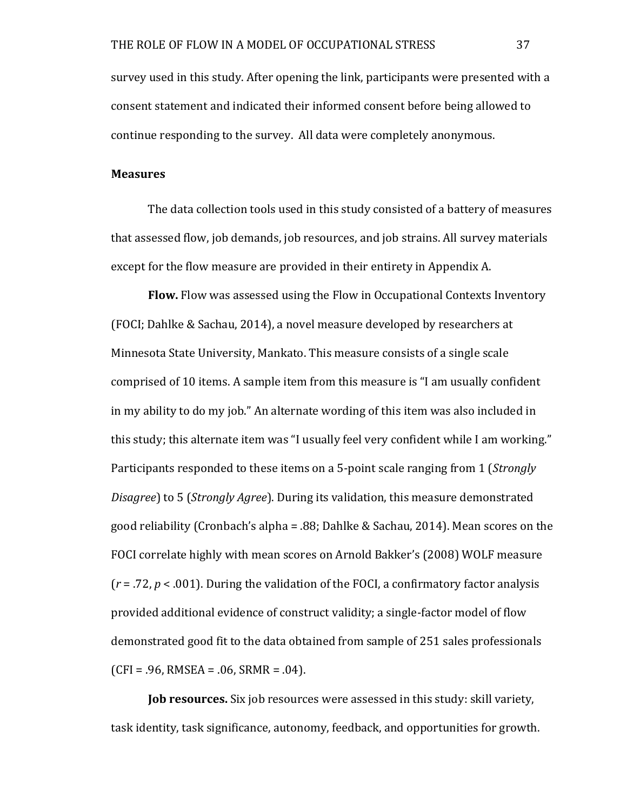survey used in this study. After opening the link, participants were presented with a consent statement and indicated their informed consent before being allowed to continue responding to the survey. All data were completely anonymous.

### **Measures**

The data collection tools used in this study consisted of a battery of measures that assessed flow, job demands, job resources, and job strains. All survey materials except for the flow measure are provided in their entirety in Appendix A.

**Flow.** Flow was assessed using the Flow in Occupational Contexts Inventory (FOCI; Dahlke & Sachau, 2014), a novel measure developed by researchers at Minnesota State University, Mankato. This measure consists of a single scale comprised of 10 items. A sample item from this measure is "I am usually confident in my ability to do my job." An alternate wording of this item was also included in this study; this alternate item was "I usually feel very confident while I am working." Participants responded to these items on a 5-point scale ranging from 1 (*Strongly Disagree*) to 5 (*Strongly Agree*). During its validation, this measure demonstrated good reliability (Cronbach's alpha = .88; Dahlke & Sachau, 2014). Mean scores on the FOCI correlate highly with mean scores on Arnold Bakker's (2008) WOLF measure  $(r = .72, p < .001)$ . During the validation of the FOCI, a confirmatory factor analysis provided additional evidence of construct validity; a single-factor model of flow demonstrated good fit to the data obtained from sample of 251 sales professionals  $(CFI = .96, RMSEA = .06, SRMR = .04)$ .

**Job resources.** Six job resources were assessed in this study: skill variety, task identity, task significance, autonomy, feedback, and opportunities for growth.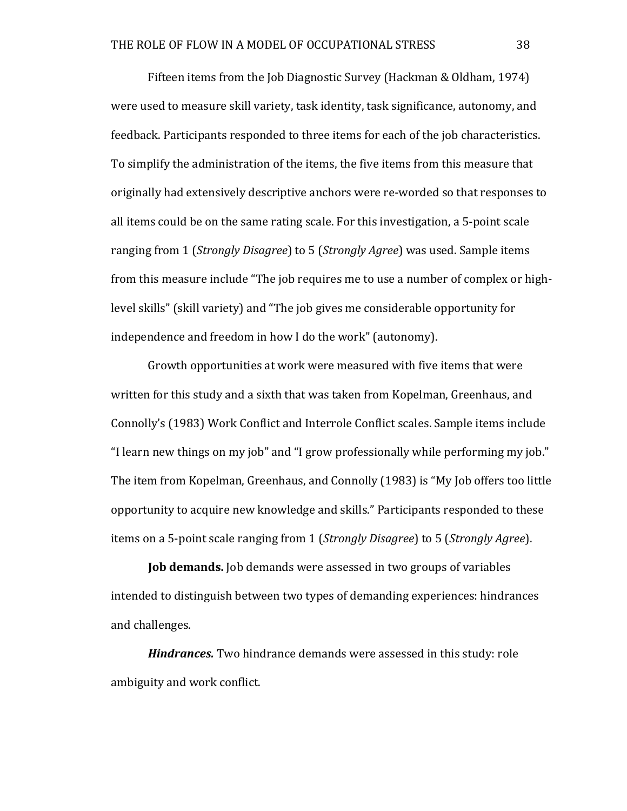Fifteen items from the Job Diagnostic Survey (Hackman & Oldham, 1974) were used to measure skill variety, task identity, task significance, autonomy, and feedback. Participants responded to three items for each of the job characteristics. To simplify the administration of the items, the five items from this measure that originally had extensively descriptive anchors were re-worded so that responses to all items could be on the same rating scale. For this investigation, a 5-point scale ranging from 1 (*Strongly Disagree*) to 5 (*Strongly Agree*) was used. Sample items from this measure include "The job requires me to use a number of complex or highlevel skills" (skill variety) and "The job gives me considerable opportunity for independence and freedom in how I do the work" (autonomy).

Growth opportunities at work were measured with five items that were written for this study and a sixth that was taken from Kopelman, Greenhaus, and Connolly's (1983) Work Conflict and Interrole Conflict scales. Sample items include "I learn new things on my job" and "I grow professionally while performing my job." The item from Kopelman, Greenhaus, and Connolly  $(1983)$  is "My Job offers too little opportunity to acquire new knowledge and skills." Participants responded to these items on a 5-point scale ranging from 1 (*Strongly Disagree*) to 5 (*Strongly Agree*).

**Job demands.** Job demands were assessed in two groups of variables intended to distinguish between two types of demanding experiences: hindrances and challenges.

*Hindrances.* Two hindrance demands were assessed in this study: role ambiguity and work conflict.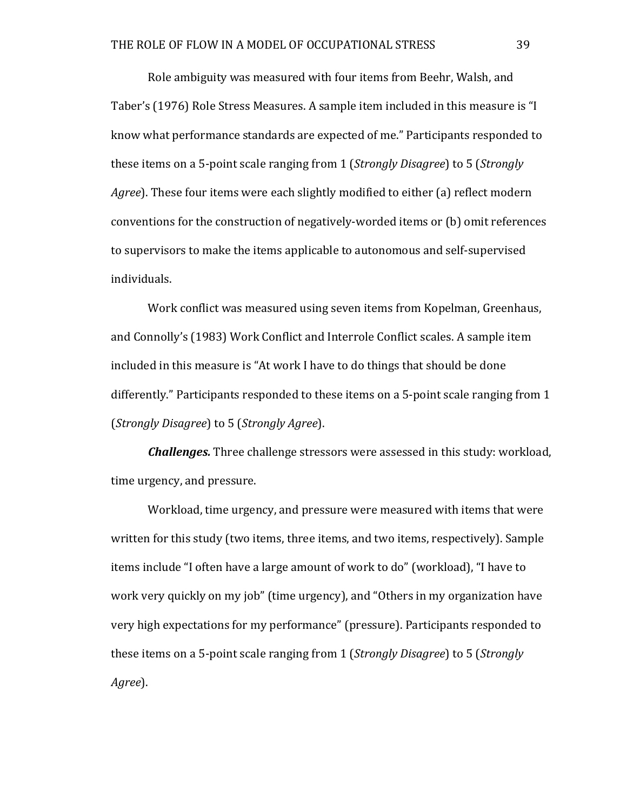Role ambiguity was measured with four items from Beehr, Walsh, and Taber's (1976) Role Stress Measures. A sample item included in this measure is "I know what performance standards are expected of me." Participants responded to these items on a 5-point scale ranging from 1 (*Strongly Disagree*) to 5 (*Strongly Agree*). These four items were each slightly modified to either (a) reflect modern conventions for the construction of negatively-worded items or (b) omit references to supervisors to make the items applicable to autonomous and self-supervised individuals.

Work conflict was measured using seven items from Kopelman, Greenhaus, and Connolly's (1983) Work Conflict and Interrole Conflict scales. A sample item included in this measure is "At work I have to do things that should be done differently." Participants responded to these items on a 5-point scale ranging from 1 (*Strongly Disagree*) to 5 (*Strongly Agree*).

*Challenges.* Three challenge stressors were assessed in this study: workload, time urgency, and pressure.

Workload, time urgency, and pressure were measured with items that were written for this study (two items, three items, and two items, respectively). Sample items include "I often have a large amount of work to do" (workload), "I have to work very quickly on my job" (time urgency), and "Others in my organization have very high expectations for my performance" (pressure). Participants responded to these items on a 5-point scale ranging from 1 (*Strongly Disagree*) to 5 (*Strongly Agree*).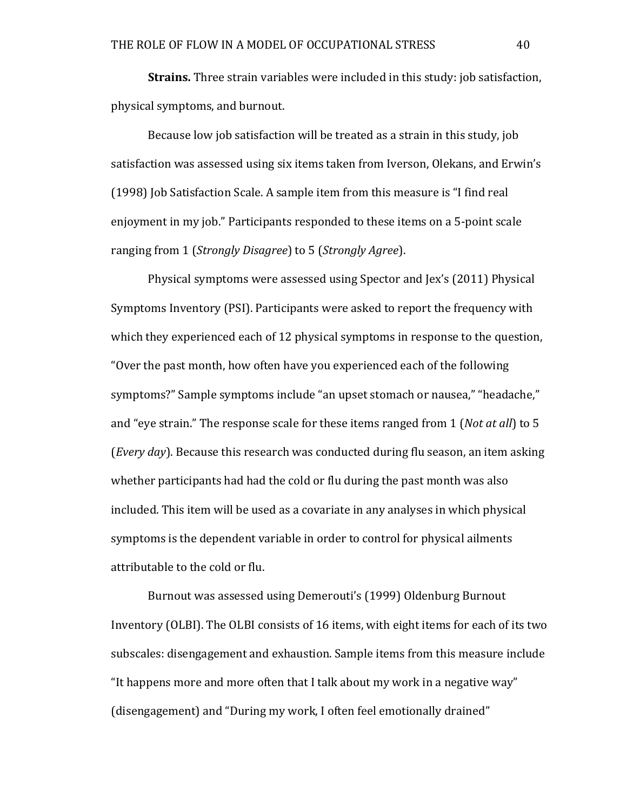**Strains.** Three strain variables were included in this study: job satisfaction, physical symptoms, and burnout.

Because low job satisfaction will be treated as a strain in this study, job satisfaction was assessed using six items taken from Iverson, Olekans, and Erwin's  $(1998)$  Job Satisfaction Scale. A sample item from this measure is "I find real enjoyment in my job." Participants responded to these items on a 5-point scale ranging from 1 (*Strongly Disagree*) to 5 (*Strongly Agree*).

Physical symptoms were assessed using Spector and Jex's (2011) Physical Symptoms Inventory (PSI). Participants were asked to report the frequency with which they experienced each of 12 physical symptoms in response to the question, "Over the past month, how often have you experienced each of the following symptoms?" Sample symptoms include "an upset stomach or nausea," "headache," and "eye strain." The response scale for these items ranged from 1 (*Not at all*) to 5 *(Every day)*. Because this research was conducted during flu season, an item asking whether participants had had the cold or flu during the past month was also included. This item will be used as a covariate in any analyses in which physical symptoms is the dependent variable in order to control for physical ailments attributable to the cold or flu.

Burnout was assessed using Demerouti's (1999) Oldenburg Burnout Inventory (OLBI). The OLBI consists of 16 items, with eight items for each of its two subscales: disengagement and exhaustion. Sample items from this measure include "It happens more and more often that I talk about my work in a negative way" (disengagement) and "During my work, I often feel emotionally drained"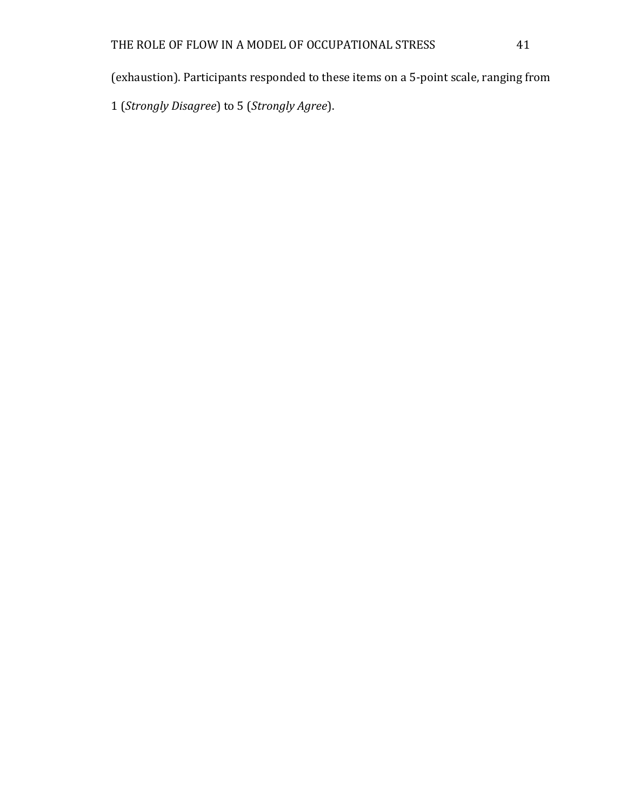(exhaustion). Participants responded to these items on a 5-point scale, ranging from

1 (*Strongly Disagree*) to 5 (*Strongly Agree*).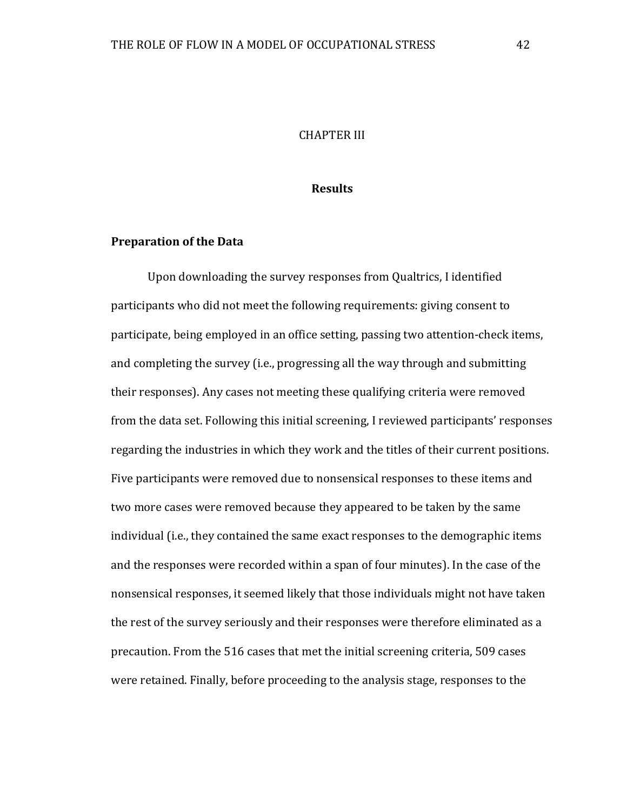## **CHAPTER III**

## **Results**

### **Preparation of the Data**

Upon downloading the survey responses from Qualtrics, I identified participants who did not meet the following requirements: giving consent to participate, being employed in an office setting, passing two attention-check items, and completing the survey (i.e., progressing all the way through and submitting their responses). Any cases not meeting these qualifying criteria were removed from the data set. Following this initial screening, I reviewed participants' responses regarding the industries in which they work and the titles of their current positions. Five participants were removed due to nonsensical responses to these items and two more cases were removed because they appeared to be taken by the same individual (i.e., they contained the same exact responses to the demographic items and the responses were recorded within a span of four minutes). In the case of the nonsensical responses, it seemed likely that those individuals might not have taken the rest of the survey seriously and their responses were therefore eliminated as a precaution. From the 516 cases that met the initial screening criteria, 509 cases were retained. Finally, before proceeding to the analysis stage, responses to the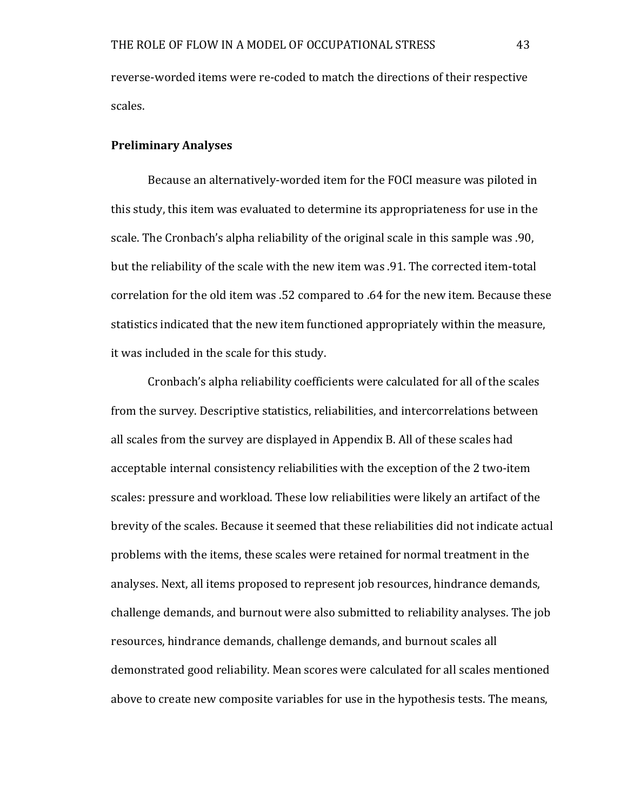reverse-worded items were re-coded to match the directions of their respective scales.

# **Preliminary Analyses**

Because an alternatively-worded item for the FOCI measure was piloted in this study, this item was evaluated to determine its appropriateness for use in the scale. The Cronbach's alpha reliability of the original scale in this sample was .90, but the reliability of the scale with the new item was .91. The corrected item-total correlation for the old item was .52 compared to .64 for the new item. Because these statistics indicated that the new item functioned appropriately within the measure, it was included in the scale for this study.

Cronbach's alpha reliability coefficients were calculated for all of the scales from the survey. Descriptive statistics, reliabilities, and intercorrelations between all scales from the survey are displayed in Appendix B. All of these scales had acceptable internal consistency reliabilities with the exception of the 2 two-item scales: pressure and workload. These low reliabilities were likely an artifact of the brevity of the scales. Because it seemed that these reliabilities did not indicate actual problems with the items, these scales were retained for normal treatment in the analyses. Next, all items proposed to represent job resources, hindrance demands, challenge demands, and burnout were also submitted to reliability analyses. The job resources, hindrance demands, challenge demands, and burnout scales all demonstrated good reliability. Mean scores were calculated for all scales mentioned above to create new composite variables for use in the hypothesis tests. The means,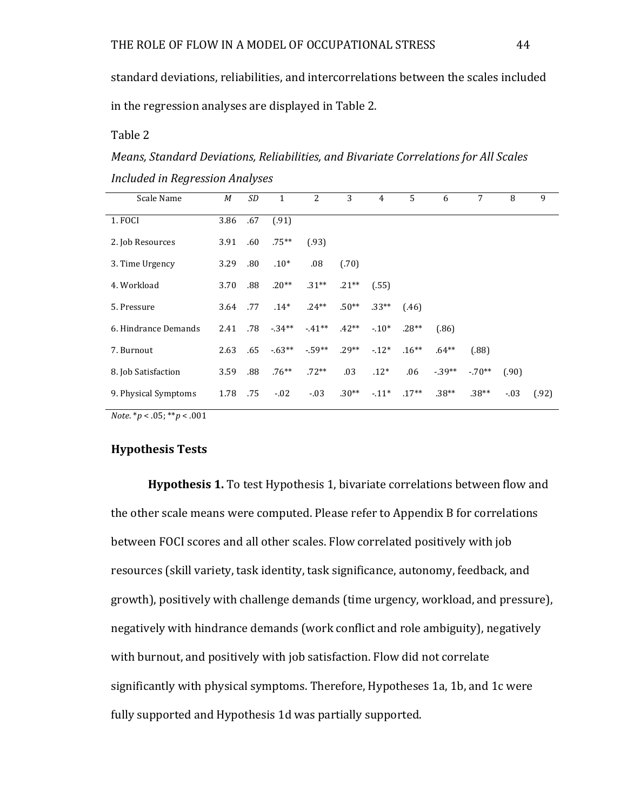standard deviations, reliabilities, and intercorrelations between the scales included in the regression analyses are displayed in Table 2.

Table 2

*Means, Standard Deviations, Reliabilities, and Bivariate Correlations for All Scales Included in Regression Analyses*

| Scale Name           | М    | SD  | 1        | 2       | 3       | 4       | 5        | 6        | 7        | 8      | 9     |
|----------------------|------|-----|----------|---------|---------|---------|----------|----------|----------|--------|-------|
| 1. FOCI              | 3.86 | .67 | (.91)    |         |         |         |          |          |          |        |       |
| 2. Job Resources     | 3.91 | .60 | $.75***$ | (.93)   |         |         |          |          |          |        |       |
| 3. Time Urgency      | 3.29 | .80 | $.10*$   | .08     | (.70)   |         |          |          |          |        |       |
| 4. Workload          | 3.70 | .88 | $.20**$  | $.31**$ | $.21**$ | (.55)   |          |          |          |        |       |
| 5. Pressure          | 3.64 | .77 | $.14*$   | $.24**$ | $.50**$ | $.33**$ | (.46)    |          |          |        |       |
| 6. Hindrance Demands | 2.41 | .78 | $-34**$  | $-41**$ | $.42**$ | $-.10*$ | $.28**$  | (.86)    |          |        |       |
| 7. Burnout           | 2.63 | .65 | $-63**$  | $-59**$ | $.29**$ | $-12*$  | $.16***$ | $.64***$ | (.88)    |        |       |
| 8. Job Satisfaction  | 3.59 | .88 | $.76***$ | $.72**$ | .03     | $.12*$  | .06      | $-39**$  | $-.70**$ | (.90)  |       |
| 9. Physical Symptoms | 1.78 | .75 | $-.02$   | $-.03$  | $.30**$ | $-11*$  | $.17**$  | $.38**$  | $.38**$  | $-.03$ | (.92) |

*Note.*  $* p < .05; * * p < .001$ 

## **Hypothesis Tests**

**Hypothesis 1.** To test Hypothesis 1, bivariate correlations between flow and the other scale means were computed. Please refer to Appendix B for correlations between FOCI scores and all other scales. Flow correlated positively with job resources (skill variety, task identity, task significance, autonomy, feedback, and growth), positively with challenge demands (time urgency, workload, and pressure), negatively with hindrance demands (work conflict and role ambiguity), negatively with burnout, and positively with job satisfaction. Flow did not correlate significantly with physical symptoms. Therefore, Hypotheses 1a, 1b, and 1c were fully supported and Hypothesis 1d was partially supported.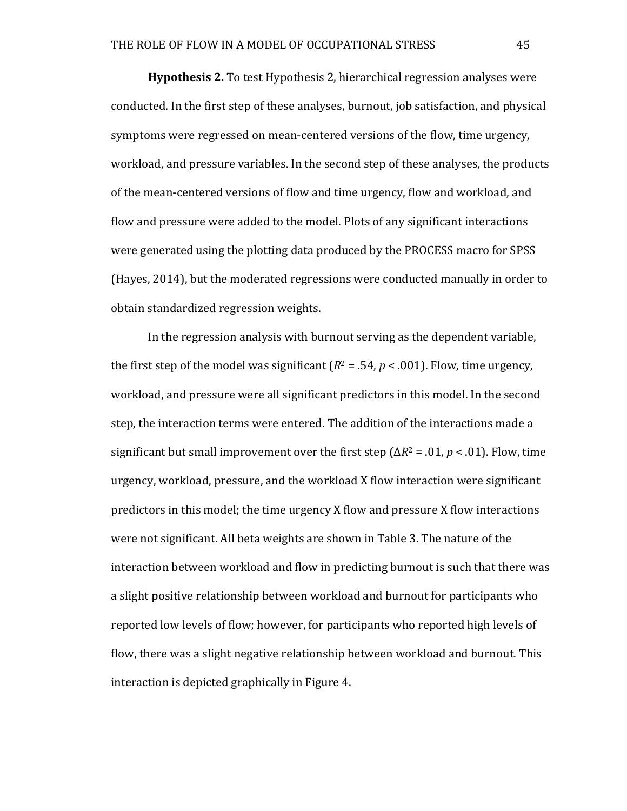**Hypothesis 2.** To test Hypothesis 2, hierarchical regression analyses were conducted. In the first step of these analyses, burnout, job satisfaction, and physical symptoms were regressed on mean-centered versions of the flow, time urgency, workload, and pressure variables. In the second step of these analyses, the products of the mean-centered versions of flow and time urgency, flow and workload, and flow and pressure were added to the model. Plots of any significant interactions were generated using the plotting data produced by the PROCESS macro for SPSS (Hayes, 2014), but the moderated regressions were conducted manually in order to obtain standardized regression weights.

In the regression analysis with burnout serving as the dependent variable, the first step of the model was significant  $(R^2 = .54, p < .001)$ . Flow, time urgency, workload, and pressure were all significant predictors in this model. In the second step, the interaction terms were entered. The addition of the interactions made a significant but small improvement over the first step  $(\Delta R^2 = .01, p < .01)$ . Flow, time urgency, workload, pressure, and the workload X flow interaction were significant predictors in this model; the time urgency  $X$  flow and pressure  $X$  flow interactions were not significant. All beta weights are shown in Table 3. The nature of the interaction between workload and flow in predicting burnout is such that there was a slight positive relationship between workload and burnout for participants who reported low levels of flow; however, for participants who reported high levels of flow, there was a slight negative relationship between workload and burnout. This interaction is depicted graphically in Figure 4.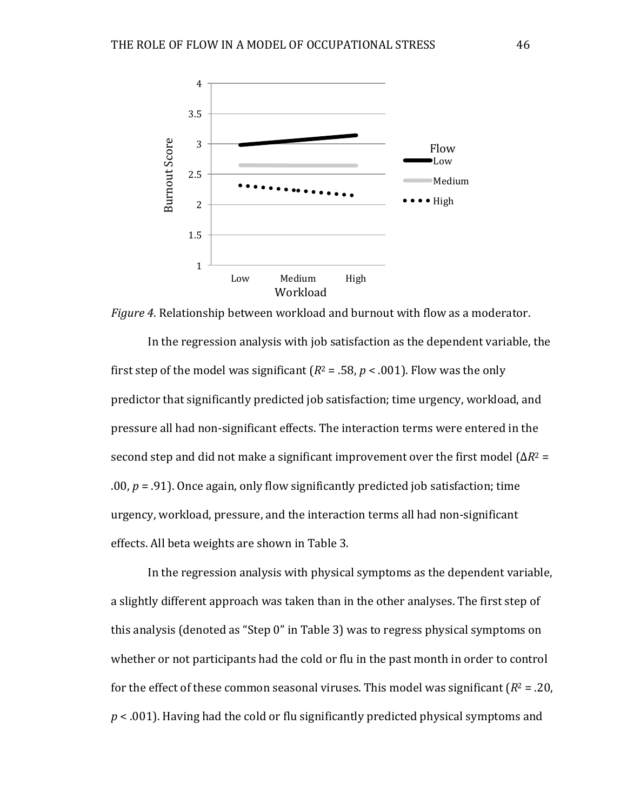

*Figure* 4. Relationship between workload and burnout with flow as a moderator.

In the regression analysis with job satisfaction as the dependent variable, the first step of the model was significant  $(R^2 = .58, p < .001)$ . Flow was the only predictor that significantly predicted job satisfaction; time urgency, workload, and pressure all had non-significant effects. The interaction terms were entered in the second step and did not make a significant improvement over the first model  $(\Delta R^2 =$ .00,  $p = .91$ ). Once again, only flow significantly predicted job satisfaction; time urgency, workload, pressure, and the interaction terms all had non-significant effects. All beta weights are shown in Table 3.

In the regression analysis with physical symptoms as the dependent variable, a slightly different approach was taken than in the other analyses. The first step of this analysis (denoted as "Step 0" in Table 3) was to regress physical symptoms on whether or not participants had the cold or flu in the past month in order to control for the effect of these common seasonal viruses. This model was significant  $(R^2 = .20,$  $p < .001$ ). Having had the cold or flu significantly predicted physical symptoms and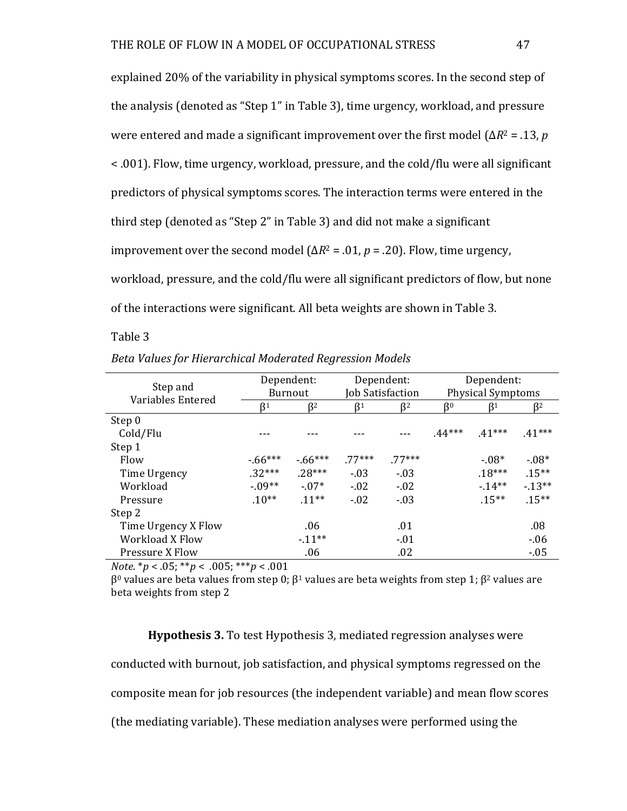explained 20% of the variability in physical symptoms scores. In the second step of the analysis (denoted as "Step 1" in Table 3), time urgency, workload, and pressure were entered and made a significant improvement over the first model  $(\Delta R^2 = .13, p)$ < .001). Flow, time urgency, workload, pressure, and the cold/flu were all significant predictors of physical symptoms scores. The interaction terms were entered in the third step (denoted as "Step 2" in Table 3) and did not make a significant improvement over the second model  $(\Delta R^2 = .01, p = .20)$ . Flow, time urgency, workload, pressure, and the cold/flu were all significant predictors of flow, but none of the interactions were significant. All beta weights are shown in Table 3.

#### Table 3

| Step and<br>Variables Entered | Dependent: |                |                  | Dependent: | Dependent:               |          |          |  |
|-------------------------------|------------|----------------|------------------|------------|--------------------------|----------|----------|--|
|                               |            | <b>Burnout</b> | Job Satisfaction |            | <b>Physical Symptoms</b> |          |          |  |
|                               | ß1         | ß2             | R <sub>1</sub>   | ß2         | 60                       | $_{R_1}$ | ß2       |  |
| Step 0                        |            |                |                  |            |                          |          |          |  |
| Cold/Flu                      |            |                |                  |            | $.44***$                 | $.41***$ | $.41***$ |  |
| Step 1                        |            |                |                  |            |                          |          |          |  |
| Flow                          | $-66***$   | $-66***$       | 77***            | 77***      |                          | $-.08*$  | $-0.08*$ |  |
| Time Urgency                  | $.32***$   | $28***$        | $-.03$           | $-.03$     |                          | $.18***$ | $.15***$ |  |
| Workload                      | $-.09**$   | $-.07*$        | $-.02$           | $-.02$     |                          | $-14**$  | $-13**$  |  |
| Pressure                      | $.10**$    | $.11***$       | $-.02$           | $-.03$     |                          | $.15***$ | $.15***$ |  |
| Step 2                        |            |                |                  |            |                          |          |          |  |
| Time Urgency X Flow           |            | .06            |                  | .01        |                          |          | .08      |  |
| Workload X Flow               |            | $-11**$        |                  | $-.01$     |                          |          | $-06$    |  |
| Pressure X Flow               |            | .06            |                  | .02        |                          |          | $-05$    |  |

|  | Beta Values for Hierarchical Moderated Regression Models |  |  |  |
|--|----------------------------------------------------------|--|--|--|
|--|----------------------------------------------------------|--|--|--|

*Note*.  $* p < .05$ ;  $* p < .005$ ;  $* * p < .001$ 

 $β$ <sup>0</sup> values are beta values from step 0;  $β$ <sup>1</sup> values are beta weights from step 1;  $β$ <sup>2</sup> values are beta weights from step 2

**Hypothesis 3.** To test Hypothesis 3, mediated regression analyses were conducted with burnout, job satisfaction, and physical symptoms regressed on the composite mean for job resources (the independent variable) and mean flow scores (the mediating variable). These mediation analyses were performed using the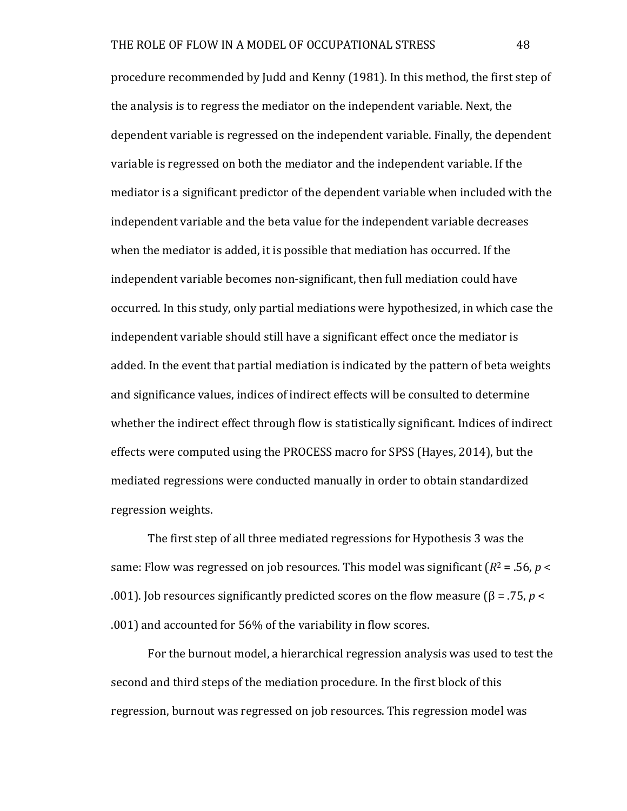procedure recommended by Judd and Kenny (1981). In this method, the first step of the analysis is to regress the mediator on the independent variable. Next, the dependent variable is regressed on the independent variable. Finally, the dependent variable is regressed on both the mediator and the independent variable. If the mediator is a significant predictor of the dependent variable when included with the independent variable and the beta value for the independent variable decreases when the mediator is added, it is possible that mediation has occurred. If the independent variable becomes non-significant, then full mediation could have occurred. In this study, only partial mediations were hypothesized, in which case the independent variable should still have a significant effect once the mediator is added. In the event that partial mediation is indicated by the pattern of beta weights and significance values, indices of indirect effects will be consulted to determine whether the indirect effect through flow is statistically significant. Indices of indirect effects were computed using the PROCESS macro for SPSS (Hayes, 2014), but the mediated regressions were conducted manually in order to obtain standardized regression weights.

The first step of all three mediated regressions for Hypothesis 3 was the same: Flow was regressed on job resources. This model was significant  $(R^2 = .56, p <$ .001). Job resources significantly predicted scores on the flow measure (β = .75, *p* < .001) and accounted for 56% of the variability in flow scores.

For the burnout model, a hierarchical regression analysis was used to test the second and third steps of the mediation procedure. In the first block of this regression, burnout was regressed on job resources. This regression model was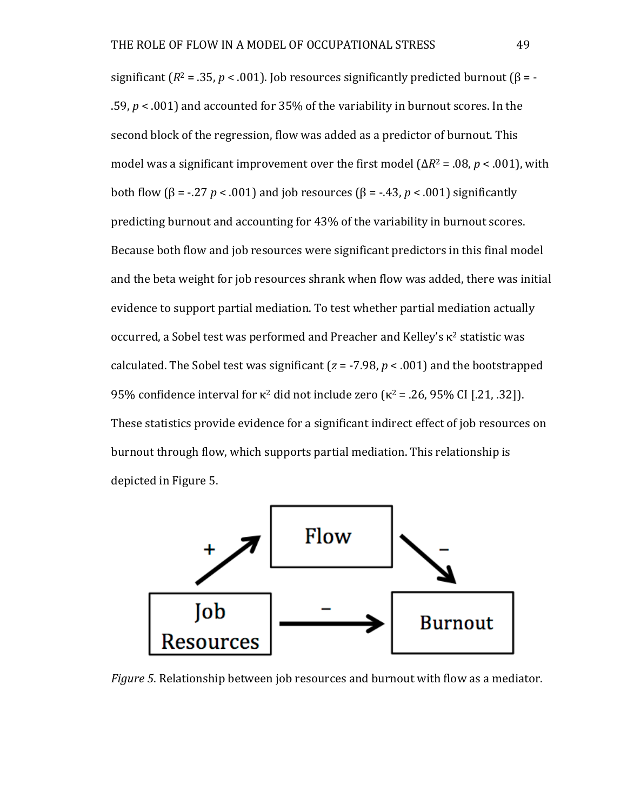significant  $(R^2 = .35, p < .001)$ . Job resources significantly predicted burnout  $(\beta = -1)$ .59,  $p < .001$ ) and accounted for 35% of the variability in burnout scores. In the second block of the regression, flow was added as a predictor of burnout. This model was a significant improvement over the first model  $(\Delta R^2 = .08, p < .001)$ , with both flow (β = -.27 *p* < .001) and job resources (β = -.43, *p* < .001) significantly predicting burnout and accounting for 43% of the variability in burnout scores. Because both flow and job resources were significant predictors in this final model and the beta weight for job resources shrank when flow was added, there was initial evidence to support partial mediation. To test whether partial mediation actually occurred, a Sobel test was performed and Preacher and Kelley's  $κ²$  statistic was calculated. The Sobel test was significant ( $z = -7.98$ ,  $p < .001$ ) and the bootstrapped 95% confidence interval for  $κ^2$  did not include zero  $(κ^2 = .26, 95%$  CI [.21, .32]). These statistics provide evidence for a significant indirect effect of job resources on burnout through flow, which supports partial mediation. This relationship is depicted in Figure 5.



*Figure* 5. Relationship between job resources and burnout with flow as a mediator.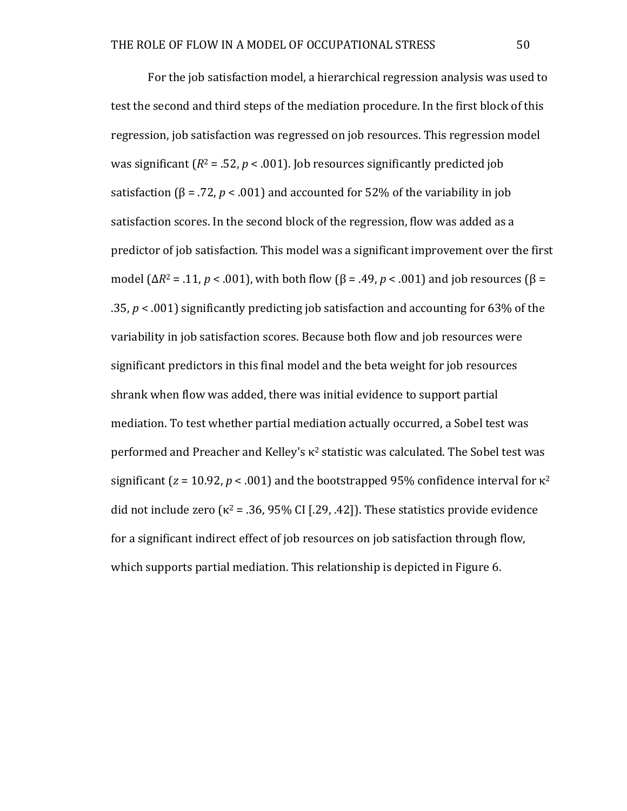For the job satisfaction model, a hierarchical regression analysis was used to test the second and third steps of the mediation procedure. In the first block of this regression, job satisfaction was regressed on job resources. This regression model was significant  $(R^2 = .52, p < .001)$ . Job resources significantly predicted job satisfaction ( $\beta$  = .72, *p* < .001) and accounted for 52% of the variability in job satisfaction scores. In the second block of the regression, flow was added as a predictor of job satisfaction. This model was a significant improvement over the first model  $(\Delta R^2 = .11, p < .001)$ , with both flow  $(\beta = .49, p < .001)$  and job resources  $(\beta =$ .35,  $p < .001$ ) significantly predicting job satisfaction and accounting for 63% of the variability in job satisfaction scores. Because both flow and job resources were significant predictors in this final model and the beta weight for job resources shrank when flow was added, there was initial evidence to support partial mediation. To test whether partial mediation actually occurred, a Sobel test was performed and Preacher and Kelley's  $\kappa^2$  statistic was calculated. The Sobel test was significant  $(z = 10.92, p < .001)$  and the bootstrapped 95% confidence interval for  $\kappa^2$ did not include zero ( $\kappa^2$  = .36, 95% CI [.29, .42]). These statistics provide evidence for a significant indirect effect of job resources on job satisfaction through flow, which supports partial mediation. This relationship is depicted in Figure 6.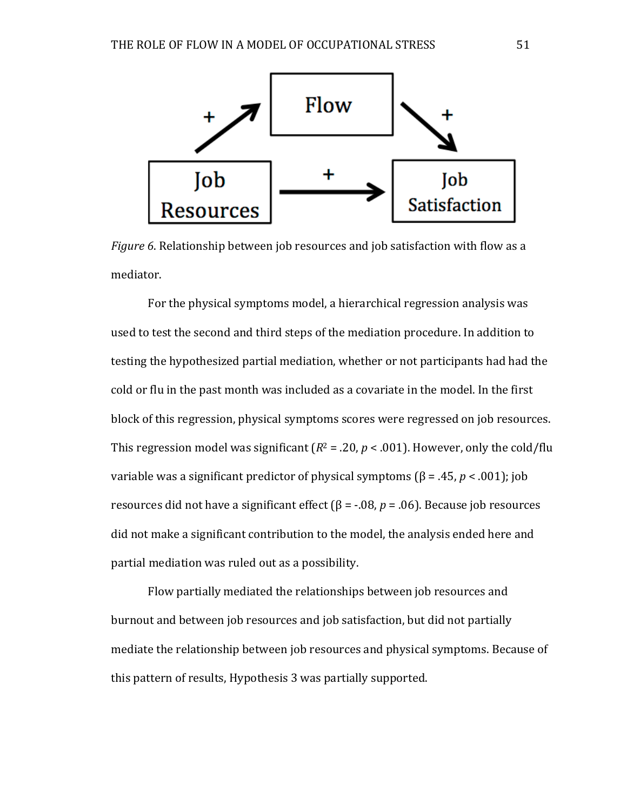

*Figure* 6. Relationship between job resources and job satisfaction with flow as a mediator.

For the physical symptoms model, a hierarchical regression analysis was used to test the second and third steps of the mediation procedure. In addition to testing the hypothesized partial mediation, whether or not participants had had the cold or flu in the past month was included as a covariate in the model. In the first block of this regression, physical symptoms scores were regressed on job resources. This regression model was significant  $(R^2 = .20, p < .001)$ . However, only the cold/flu variable was a significant predictor of physical symptoms (β = .45, *p* < .001); job resources did not have a significant effect ( $\beta$  = -.08,  $p$  = .06). Because job resources did not make a significant contribution to the model, the analysis ended here and partial mediation was ruled out as a possibility.

Flow partially mediated the relationships between job resources and burnout and between job resources and job satisfaction, but did not partially mediate the relationship between job resources and physical symptoms. Because of this pattern of results, Hypothesis 3 was partially supported.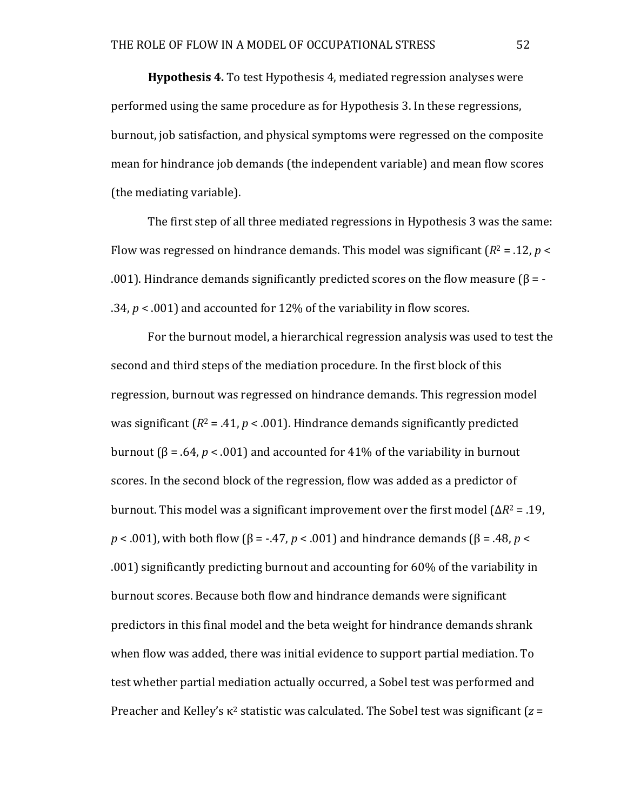**Hypothesis 4.** To test Hypothesis 4, mediated regression analyses were performed using the same procedure as for Hypothesis 3. In these regressions, burnout, job satisfaction, and physical symptoms were regressed on the composite mean for hindrance job demands (the independent variable) and mean flow scores (the mediating variable).

The first step of all three mediated regressions in Hypothesis 3 was the same: Flow was regressed on hindrance demands. This model was significant  $(R^2 = .12, p <$ .001). Hindrance demands significantly predicted scores on the flow measure  $(\beta = -1)$ .34,  $p < .001$ ) and accounted for 12% of the variability in flow scores.

For the burnout model, a hierarchical regression analysis was used to test the second and third steps of the mediation procedure. In the first block of this regression, burnout was regressed on hindrance demands. This regression model was significant  $(R^2 = .41, p < .001)$ . Hindrance demands significantly predicted burnout (β = .64, *p* < .001) and accounted for 41% of the variability in burnout scores. In the second block of the regression, flow was added as a predictor of burnout. This model was a significant improvement over the first model  $(\Delta R^2 = .19, )$  $p$  < .001), with both flow ( $\beta$  = -.47,  $p$  < .001) and hindrance demands ( $\beta$  = .48,  $p$  < .001) significantly predicting burnout and accounting for 60% of the variability in burnout scores. Because both flow and hindrance demands were significant predictors in this final model and the beta weight for hindrance demands shrank when flow was added, there was initial evidence to support partial mediation. To test whether partial mediation actually occurred, a Sobel test was performed and Preacher and Kelley's  $\kappa^2$  statistic was calculated. The Sobel test was significant ( $z =$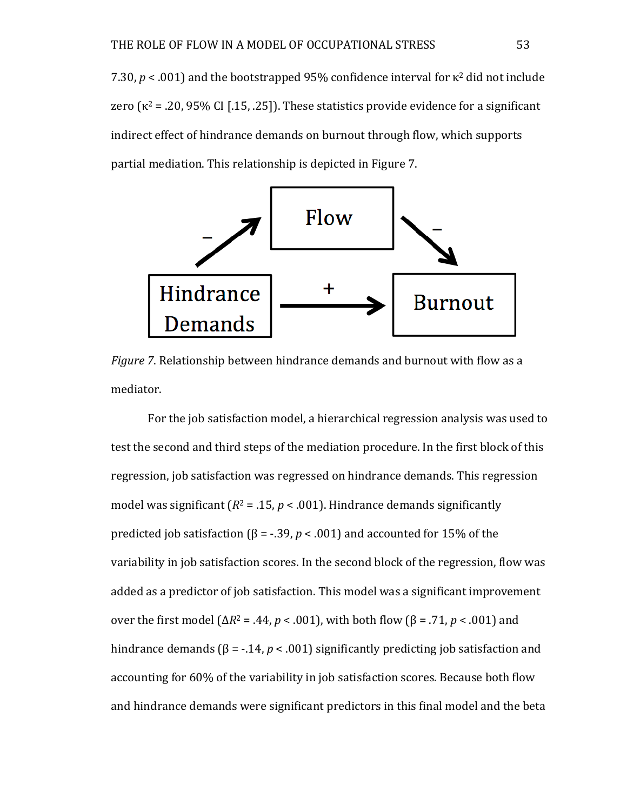7.30,  $p < .001$ ) and the bootstrapped 95% confidence interval for  $\kappa^2$  did not include zero  $(\kappa^2 = .20, 95\% \text{ CI}$  [.15, .25]). These statistics provide evidence for a significant indirect effect of hindrance demands on burnout through flow, which supports partial mediation. This relationship is depicted in Figure 7.



*Figure* 7. Relationship between hindrance demands and burnout with flow as a mediator.

For the job satisfaction model, a hierarchical regression analysis was used to test the second and third steps of the mediation procedure. In the first block of this regression, job satisfaction was regressed on hindrance demands. This regression model was significant  $(R^2 = 0.15, p < 0.01)$ . Hindrance demands significantly predicted job satisfaction ( $\beta$  = -.39,  $p < .001$ ) and accounted for 15% of the variability in job satisfaction scores. In the second block of the regression, flow was added as a predictor of job satisfaction. This model was a significant improvement over the first model (Δ*R*<sup>2</sup> = .44, *p* < .001), with both flow (β = .71, *p* < .001) and hindrance demands ( $\beta$  = -.14,  $p < .001$ ) significantly predicting job satisfaction and accounting for 60% of the variability in job satisfaction scores. Because both flow and hindrance demands were significant predictors in this final model and the beta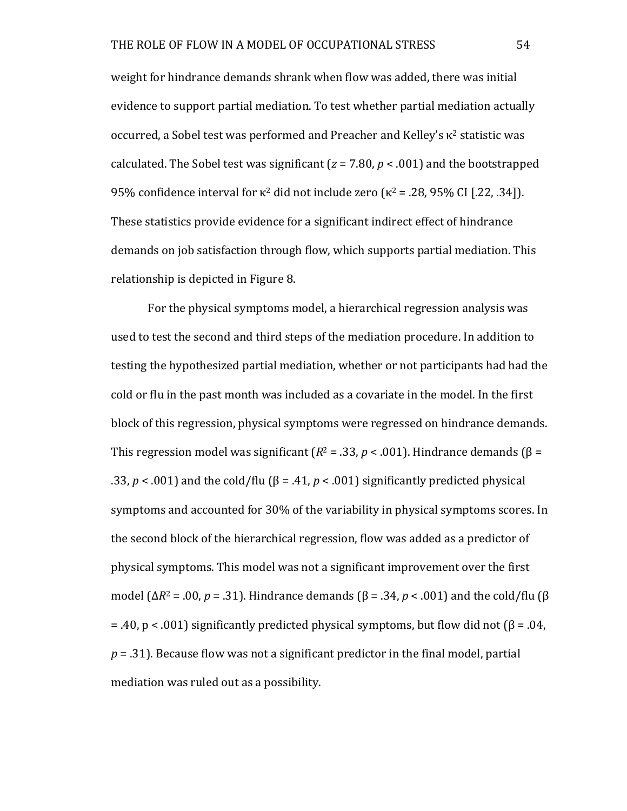weight for hindrance demands shrank when flow was added, there was initial evidence to support partial mediation. To test whether partial mediation actually occurred, a Sobel test was performed and Preacher and Kelley's  $\kappa^2$  statistic was calculated. The Sobel test was significant  $(z = 7.80, p < .001)$  and the bootstrapped 95% confidence interval for  $κ²$  did not include zero  $(κ² = .28, 95%$  CI [.22, .34]). These statistics provide evidence for a significant indirect effect of hindrance demands on job satisfaction through flow, which supports partial mediation. This relationship is depicted in Figure 8.

For the physical symptoms model, a hierarchical regression analysis was used to test the second and third steps of the mediation procedure. In addition to testing the hypothesized partial mediation, whether or not participants had had the cold or flu in the past month was included as a covariate in the model. In the first block of this regression, physical symptoms were regressed on hindrance demands. This regression model was significant  $(R^2 = .33, p < .001)$ . Hindrance demands  $(\beta =$ .33,  $p < .001$ ) and the cold/flu ( $\beta = .41$ ,  $p < .001$ ) significantly predicted physical symptoms and accounted for 30% of the variability in physical symptoms scores. In the second block of the hierarchical regression, flow was added as a predictor of physical symptoms. This model was not a significant improvement over the first model (Δ $R^2$  = .00,  $p = .31$ ). Hindrance demands (β = .34,  $p < .001$ ) and the cold/flu (β  $= .40$ ,  $p < .001$ ) significantly predicted physical symptoms, but flow did not ( $\beta = .04$ ,  $p = .31$ ). Because flow was not a significant predictor in the final model, partial mediation was ruled out as a possibility.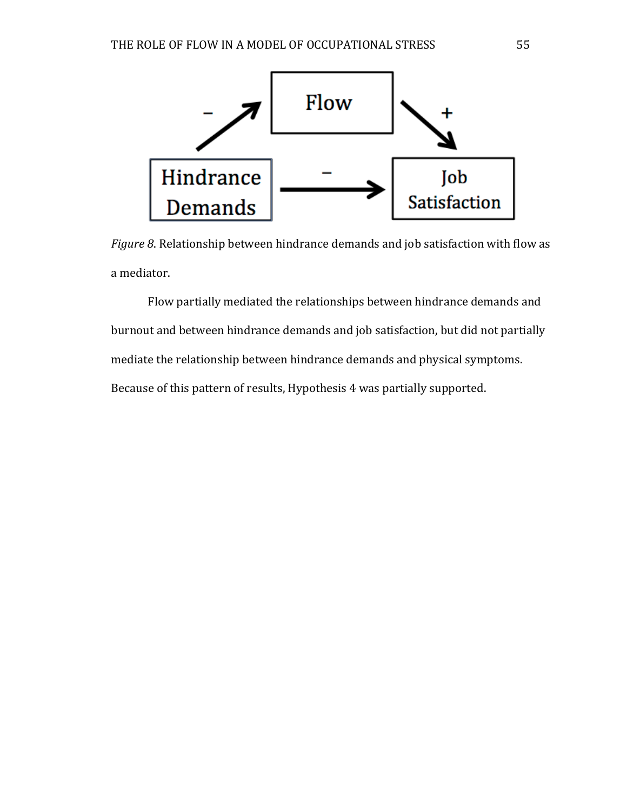

*Figure* 8. Relationship between hindrance demands and job satisfaction with flow as a mediator.

Flow partially mediated the relationships between hindrance demands and burnout and between hindrance demands and job satisfaction, but did not partially mediate the relationship between hindrance demands and physical symptoms. Because of this pattern of results, Hypothesis 4 was partially supported.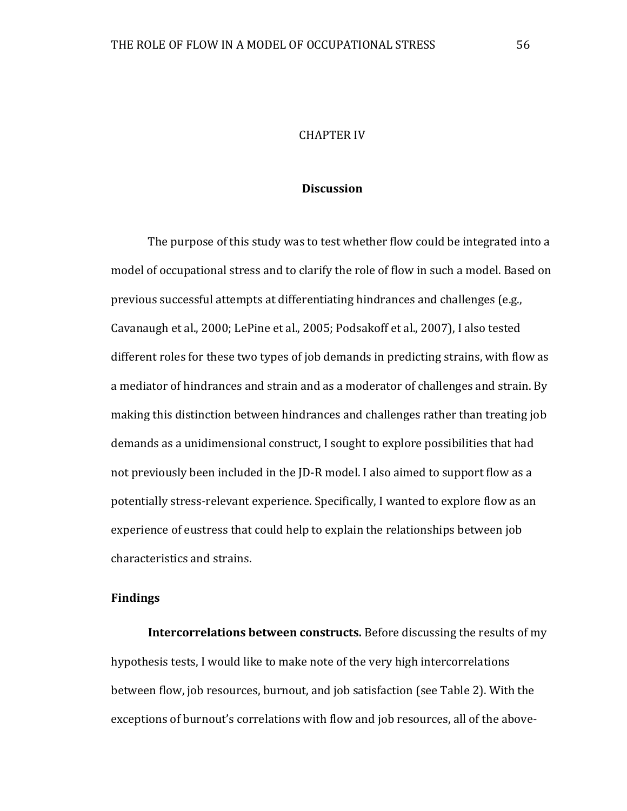# **CHAPTER IV**

# **Discussion**

The purpose of this study was to test whether flow could be integrated into a model of occupational stress and to clarify the role of flow in such a model. Based on previous successful attempts at differentiating hindrances and challenges (e.g., Cavanaugh et al., 2000; LePine et al., 2005; Podsakoff et al., 2007), I also tested different roles for these two types of job demands in predicting strains, with flow as a mediator of hindrances and strain and as a moderator of challenges and strain. By making this distinction between hindrances and challenges rather than treating job demands as a unidimensional construct, I sought to explore possibilities that had not previously been included in the JD-R model. I also aimed to support flow as a potentially stress-relevant experience. Specifically, I wanted to explore flow as an experience of eustress that could help to explain the relationships between job characteristics and strains.

### **Findings**

**Intercorrelations between constructs.** Before discussing the results of my hypothesis tests, I would like to make note of the very high intercorrelations between flow, job resources, burnout, and job satisfaction (see Table 2). With the exceptions of burnout's correlations with flow and job resources, all of the above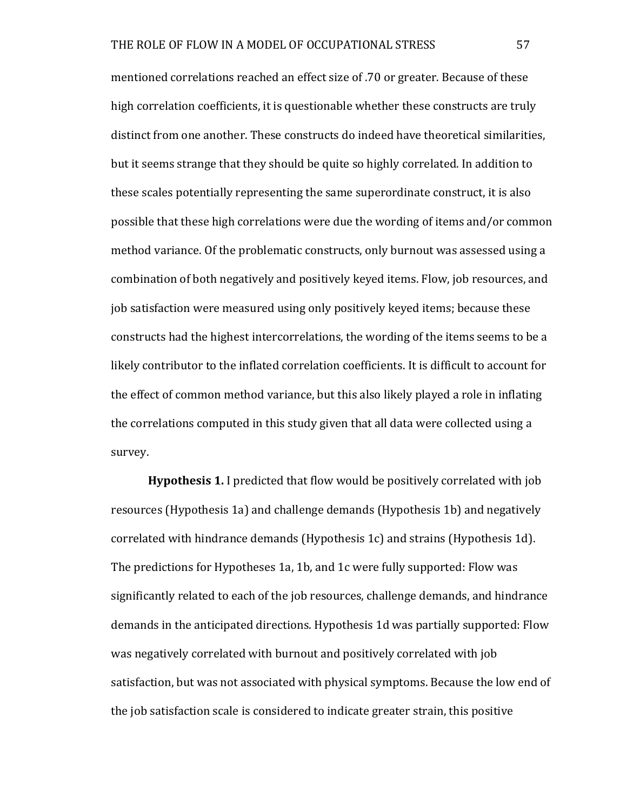mentioned correlations reached an effect size of .70 or greater. Because of these high correlation coefficients, it is questionable whether these constructs are truly distinct from one another. These constructs do indeed have theoretical similarities, but it seems strange that they should be quite so highly correlated. In addition to these scales potentially representing the same superordinate construct, it is also possible that these high correlations were due the wording of items and/or common method variance. Of the problematic constructs, only burnout was assessed using a combination of both negatively and positively keyed items. Flow, job resources, and job satisfaction were measured using only positively keyed items; because these constructs had the highest intercorrelations, the wording of the items seems to be a likely contributor to the inflated correlation coefficients. It is difficult to account for the effect of common method variance, but this also likely played a role in inflating the correlations computed in this study given that all data were collected using a survey.

**Hypothesis 1.** I predicted that flow would be positively correlated with job resources (Hypothesis 1a) and challenge demands (Hypothesis 1b) and negatively correlated with hindrance demands (Hypothesis 1c) and strains (Hypothesis 1d). The predictions for Hypotheses 1a, 1b, and 1c were fully supported: Flow was significantly related to each of the job resources, challenge demands, and hindrance demands in the anticipated directions. Hypothesis 1d was partially supported: Flow was negatively correlated with burnout and positively correlated with job satisfaction, but was not associated with physical symptoms. Because the low end of the job satisfaction scale is considered to indicate greater strain, this positive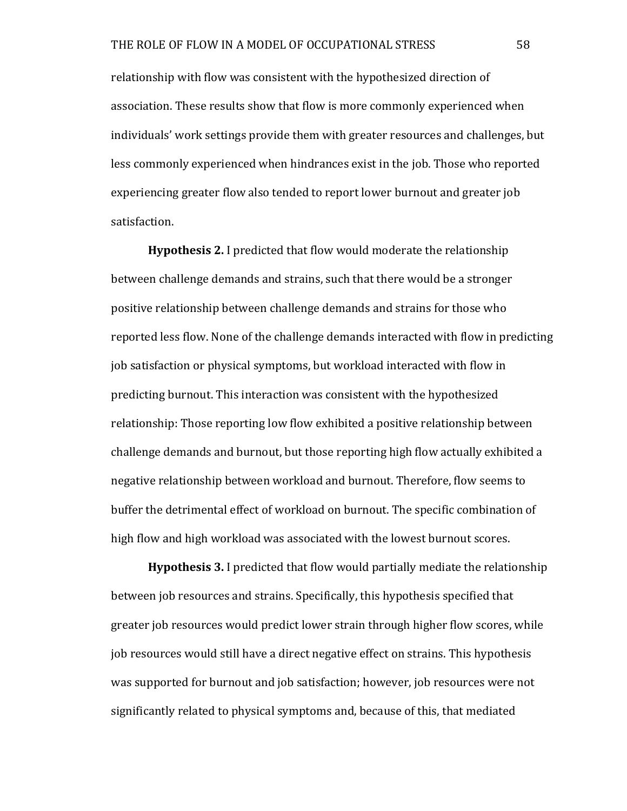relationship with flow was consistent with the hypothesized direction of association. These results show that flow is more commonly experienced when individuals' work settings provide them with greater resources and challenges, but less commonly experienced when hindrances exist in the job. Those who reported experiencing greater flow also tended to report lower burnout and greater job satisfaction.

**Hypothesis 2.** I predicted that flow would moderate the relationship between challenge demands and strains, such that there would be a stronger positive relationship between challenge demands and strains for those who reported less flow. None of the challenge demands interacted with flow in predicting job satisfaction or physical symptoms, but workload interacted with flow in predicting burnout. This interaction was consistent with the hypothesized relationship: Those reporting low flow exhibited a positive relationship between challenge demands and burnout, but those reporting high flow actually exhibited a negative relationship between workload and burnout. Therefore, flow seems to buffer the detrimental effect of workload on burnout. The specific combination of high flow and high workload was associated with the lowest burnout scores.

**Hypothesis 3.** I predicted that flow would partially mediate the relationship between job resources and strains. Specifically, this hypothesis specified that greater job resources would predict lower strain through higher flow scores, while job resources would still have a direct negative effect on strains. This hypothesis was supported for burnout and job satisfaction; however, job resources were not significantly related to physical symptoms and, because of this, that mediated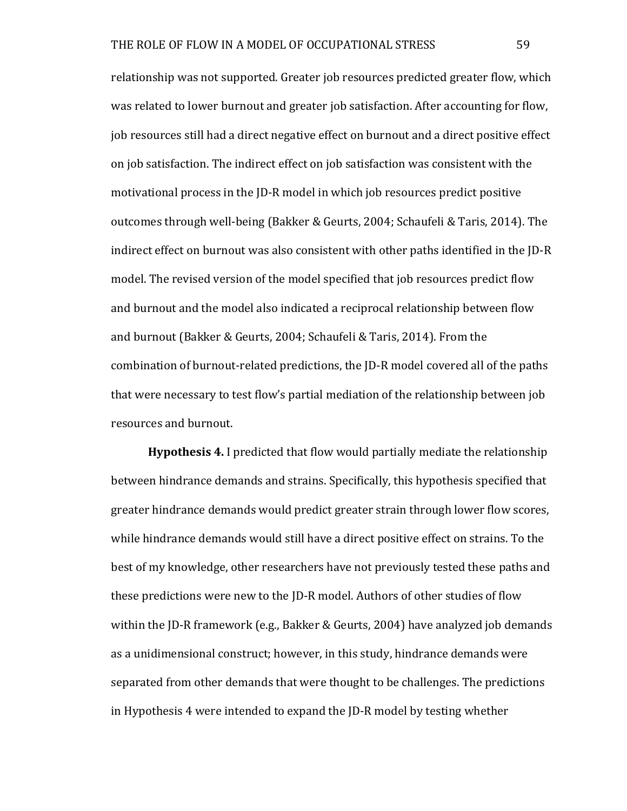relationship was not supported. Greater job resources predicted greater flow, which was related to lower burnout and greater job satisfaction. After accounting for flow, job resources still had a direct negative effect on burnout and a direct positive effect on job satisfaction. The indirect effect on job satisfaction was consistent with the motivational process in the JD-R model in which job resources predict positive outcomes through well-being (Bakker & Geurts, 2004; Schaufeli & Taris, 2014). The indirect effect on burnout was also consistent with other paths identified in the ID-R model. The revised version of the model specified that job resources predict flow and burnout and the model also indicated a reciprocal relationship between flow and burnout (Bakker & Geurts, 2004; Schaufeli & Taris, 2014). From the combination of burnout-related predictions, the JD-R model covered all of the paths that were necessary to test flow's partial mediation of the relationship between job resources and burnout.

**Hypothesis 4.** I predicted that flow would partially mediate the relationship between hindrance demands and strains. Specifically, this hypothesis specified that greater hindrance demands would predict greater strain through lower flow scores, while hindrance demands would still have a direct positive effect on strains. To the best of my knowledge, other researchers have not previously tested these paths and these predictions were new to the JD-R model. Authors of other studies of flow within the JD-R framework (e.g., Bakker & Geurts, 2004) have analyzed job demands as a unidimensional construct; however, in this study, hindrance demands were separated from other demands that were thought to be challenges. The predictions in Hypothesis 4 were intended to expand the ID-R model by testing whether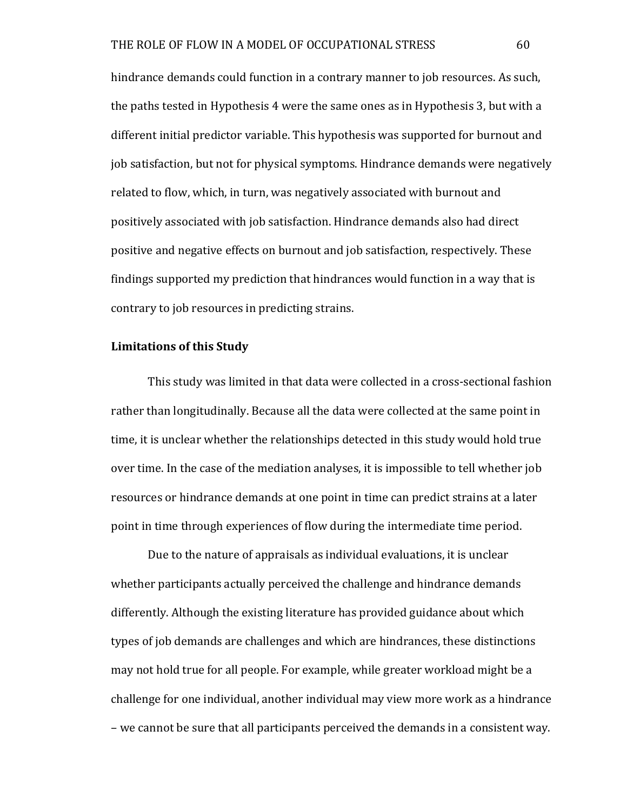hindrance demands could function in a contrary manner to job resources. As such, the paths tested in Hypothesis 4 were the same ones as in Hypothesis 3, but with a different initial predictor variable. This hypothesis was supported for burnout and job satisfaction, but not for physical symptoms. Hindrance demands were negatively related to flow, which, in turn, was negatively associated with burnout and positively associated with job satisfaction. Hindrance demands also had direct positive and negative effects on burnout and job satisfaction, respectively. These findings supported my prediction that hindrances would function in a way that is contrary to job resources in predicting strains.

# Limitations of this Study

This study was limited in that data were collected in a cross-sectional fashion rather than longitudinally. Because all the data were collected at the same point in time, it is unclear whether the relationships detected in this study would hold true over time. In the case of the mediation analyses, it is impossible to tell whether job resources or hindrance demands at one point in time can predict strains at a later point in time through experiences of flow during the intermediate time period.

Due to the nature of appraisals as individual evaluations, it is unclear whether participants actually perceived the challenge and hindrance demands differently. Although the existing literature has provided guidance about which types of job demands are challenges and which are hindrances, these distinctions may not hold true for all people. For example, while greater workload might be a challenge for one individual, another individual may view more work as a hindrance – we cannot be sure that all participants perceived the demands in a consistent way.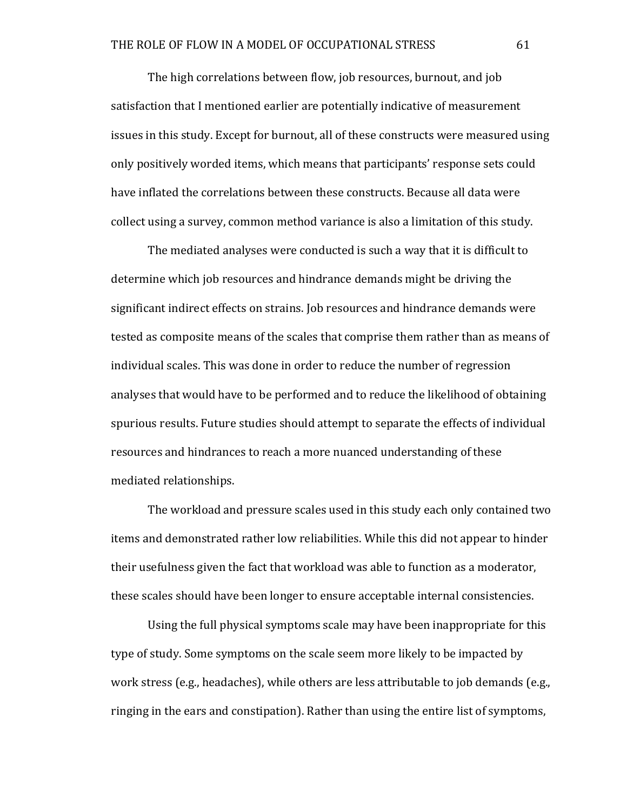The high correlations between flow, job resources, burnout, and job satisfaction that I mentioned earlier are potentially indicative of measurement issues in this study. Except for burnout, all of these constructs were measured using only positively worded items, which means that participants' response sets could have inflated the correlations between these constructs. Because all data were collect using a survey, common method variance is also a limitation of this study.

The mediated analyses were conducted is such a way that it is difficult to determine which job resources and hindrance demands might be driving the significant indirect effects on strains. Job resources and hindrance demands were tested as composite means of the scales that comprise them rather than as means of individual scales. This was done in order to reduce the number of regression analyses that would have to be performed and to reduce the likelihood of obtaining spurious results. Future studies should attempt to separate the effects of individual resources and hindrances to reach a more nuanced understanding of these mediated relationships.

The workload and pressure scales used in this study each only contained two items and demonstrated rather low reliabilities. While this did not appear to hinder their usefulness given the fact that workload was able to function as a moderator, these scales should have been longer to ensure acceptable internal consistencies.

Using the full physical symptoms scale may have been inappropriate for this type of study. Some symptoms on the scale seem more likely to be impacted by work stress (e.g., headaches), while others are less attributable to job demands (e.g., ringing in the ears and constipation). Rather than using the entire list of symptoms,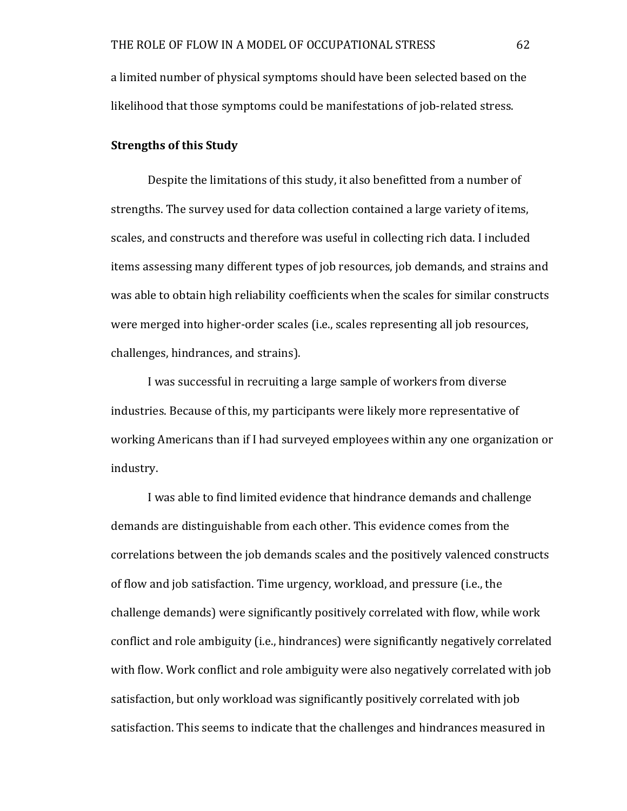a limited number of physical symptoms should have been selected based on the likelihood that those symptoms could be manifestations of job-related stress.

# **Strengths of this Study**

Despite the limitations of this study, it also benefitted from a number of strengths. The survey used for data collection contained a large variety of items, scales, and constructs and therefore was useful in collecting rich data. I included items assessing many different types of job resources, job demands, and strains and was able to obtain high reliability coefficients when the scales for similar constructs were merged into higher-order scales (i.e., scales representing all job resources, challenges, hindrances, and strains).

I was successful in recruiting a large sample of workers from diverse industries. Because of this, my participants were likely more representative of working Americans than if I had surveyed employees within any one organization or industry. 

I was able to find limited evidence that hindrance demands and challenge demands are distinguishable from each other. This evidence comes from the correlations between the job demands scales and the positively valenced constructs of flow and job satisfaction. Time urgency, workload, and pressure (i.e., the challenge demands) were significantly positively correlated with flow, while work conflict and role ambiguity (i.e., hindrances) were significantly negatively correlated with flow. Work conflict and role ambiguity were also negatively correlated with job satisfaction, but only workload was significantly positively correlated with job satisfaction. This seems to indicate that the challenges and hindrances measured in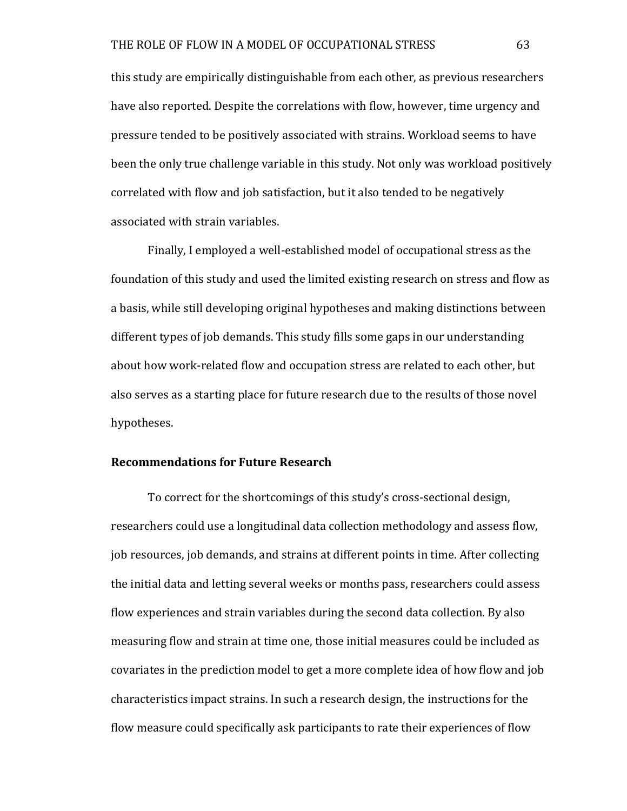this study are empirically distinguishable from each other, as previous researchers have also reported. Despite the correlations with flow, however, time urgency and pressure tended to be positively associated with strains. Workload seems to have been the only true challenge variable in this study. Not only was workload positively correlated with flow and job satisfaction, but it also tended to be negatively associated with strain variables.

Finally, I employed a well-established model of occupational stress as the foundation of this study and used the limited existing research on stress and flow as a basis, while still developing original hypotheses and making distinctions between different types of job demands. This study fills some gaps in our understanding about how work-related flow and occupation stress are related to each other, but also serves as a starting place for future research due to the results of those novel hypotheses. 

# **Recommendations for Future Research**

To correct for the shortcomings of this study's cross-sectional design, researchers could use a longitudinal data collection methodology and assess flow, job resources, job demands, and strains at different points in time. After collecting the initial data and letting several weeks or months pass, researchers could assess flow experiences and strain variables during the second data collection. By also measuring flow and strain at time one, those initial measures could be included as covariates in the prediction model to get a more complete idea of how flow and job characteristics impact strains. In such a research design, the instructions for the flow measure could specifically ask participants to rate their experiences of flow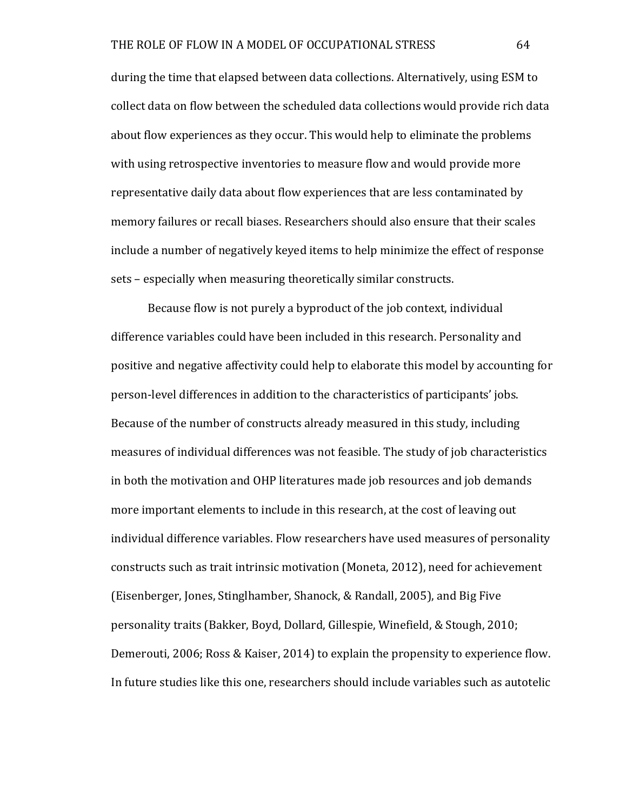during the time that elapsed between data collections. Alternatively, using ESM to collect data on flow between the scheduled data collections would provide rich data about flow experiences as they occur. This would help to eliminate the problems with using retrospective inventories to measure flow and would provide more representative daily data about flow experiences that are less contaminated by memory failures or recall biases. Researchers should also ensure that their scales include a number of negatively keyed items to help minimize the effect of response sets – especially when measuring theoretically similar constructs.

Because flow is not purely a byproduct of the job context, individual difference variables could have been included in this research. Personality and positive and negative affectivity could help to elaborate this model by accounting for person-level differences in addition to the characteristics of participants' jobs. Because of the number of constructs already measured in this study, including measures of individual differences was not feasible. The study of job characteristics in both the motivation and OHP literatures made job resources and job demands more important elements to include in this research, at the cost of leaving out individual difference variables. Flow researchers have used measures of personality constructs such as trait intrinsic motivation (Moneta, 2012), need for achievement (Eisenberger, Jones, Stinglhamber, Shanock, & Randall, 2005), and Big Five personality traits (Bakker, Boyd, Dollard, Gillespie, Winefield, & Stough, 2010; Demerouti, 2006; Ross & Kaiser, 2014) to explain the propensity to experience flow. In future studies like this one, researchers should include variables such as autotelic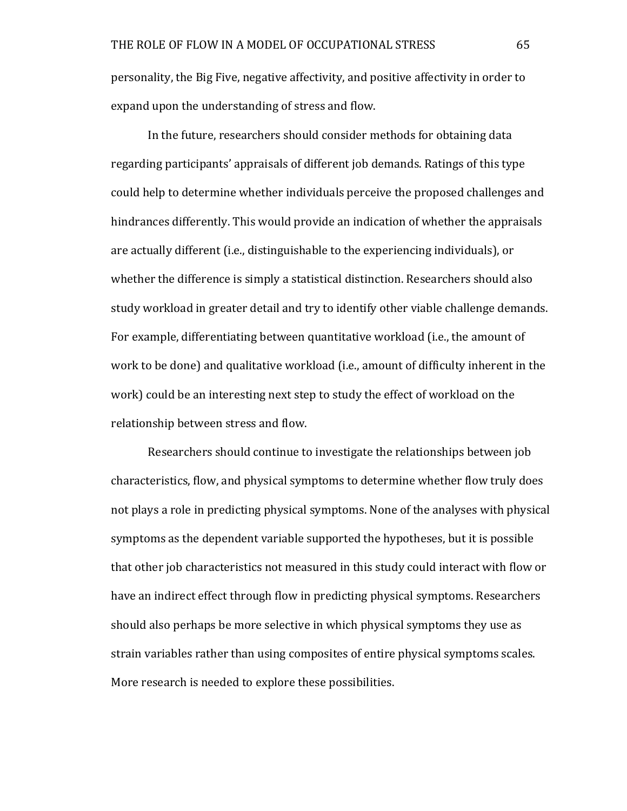personality, the Big Five, negative affectivity, and positive affectivity in order to expand upon the understanding of stress and flow.

In the future, researchers should consider methods for obtaining data regarding participants' appraisals of different job demands. Ratings of this type could help to determine whether individuals perceive the proposed challenges and hindrances differently. This would provide an indication of whether the appraisals are actually different (i.e., distinguishable to the experiencing individuals), or whether the difference is simply a statistical distinction. Researchers should also study workload in greater detail and try to identify other viable challenge demands. For example, differentiating between quantitative workload (i.e., the amount of work to be done) and qualitative workload (i.e., amount of difficulty inherent in the work) could be an interesting next step to study the effect of workload on the relationship between stress and flow.

Researchers should continue to investigate the relationships between job characteristics, flow, and physical symptoms to determine whether flow truly does not plays a role in predicting physical symptoms. None of the analyses with physical symptoms as the dependent variable supported the hypotheses, but it is possible that other job characteristics not measured in this study could interact with flow or have an indirect effect through flow in predicting physical symptoms. Researchers should also perhaps be more selective in which physical symptoms they use as strain variables rather than using composites of entire physical symptoms scales. More research is needed to explore these possibilities.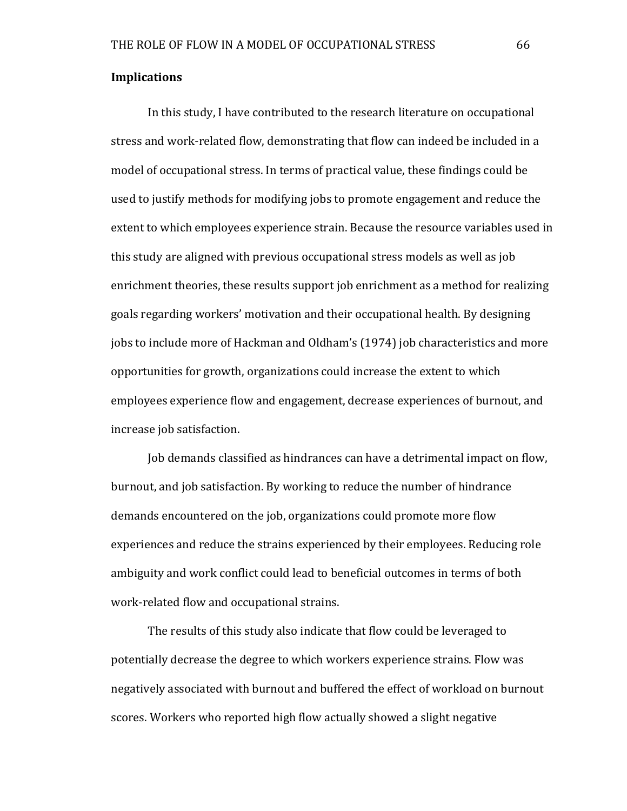#### **Implications**

In this study, I have contributed to the research literature on occupational stress and work-related flow, demonstrating that flow can indeed be included in a model of occupational stress. In terms of practical value, these findings could be used to justify methods for modifying jobs to promote engagement and reduce the extent to which employees experience strain. Because the resource variables used in this study are aligned with previous occupational stress models as well as job enrichment theories, these results support job enrichment as a method for realizing goals regarding workers' motivation and their occupational health. By designing jobs to include more of Hackman and Oldham's (1974) job characteristics and more opportunities for growth, organizations could increase the extent to which employees experience flow and engagement, decrease experiences of burnout, and increase job satisfaction.

Job demands classified as hindrances can have a detrimental impact on flow, burnout, and job satisfaction. By working to reduce the number of hindrance demands encountered on the job, organizations could promote more flow experiences and reduce the strains experienced by their employees. Reducing role ambiguity and work conflict could lead to beneficial outcomes in terms of both work-related flow and occupational strains.

The results of this study also indicate that flow could be leveraged to potentially decrease the degree to which workers experience strains. Flow was negatively associated with burnout and buffered the effect of workload on burnout scores. Workers who reported high flow actually showed a slight negative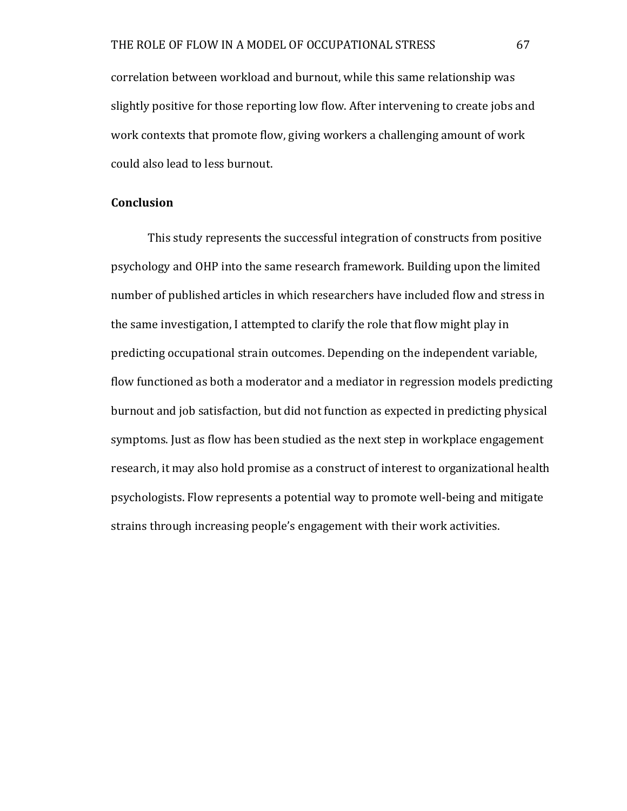correlation between workload and burnout, while this same relationship was slightly positive for those reporting low flow. After intervening to create jobs and work contexts that promote flow, giving workers a challenging amount of work could also lead to less burnout.

### **Conclusion**

This study represents the successful integration of constructs from positive psychology and OHP into the same research framework. Building upon the limited number of published articles in which researchers have included flow and stress in the same investigation, I attempted to clarify the role that flow might play in predicting occupational strain outcomes. Depending on the independent variable, flow functioned as both a moderator and a mediator in regression models predicting burnout and job satisfaction, but did not function as expected in predicting physical symptoms. Just as flow has been studied as the next step in workplace engagement research, it may also hold promise as a construct of interest to organizational health psychologists. Flow represents a potential way to promote well-being and mitigate strains through increasing people's engagement with their work activities.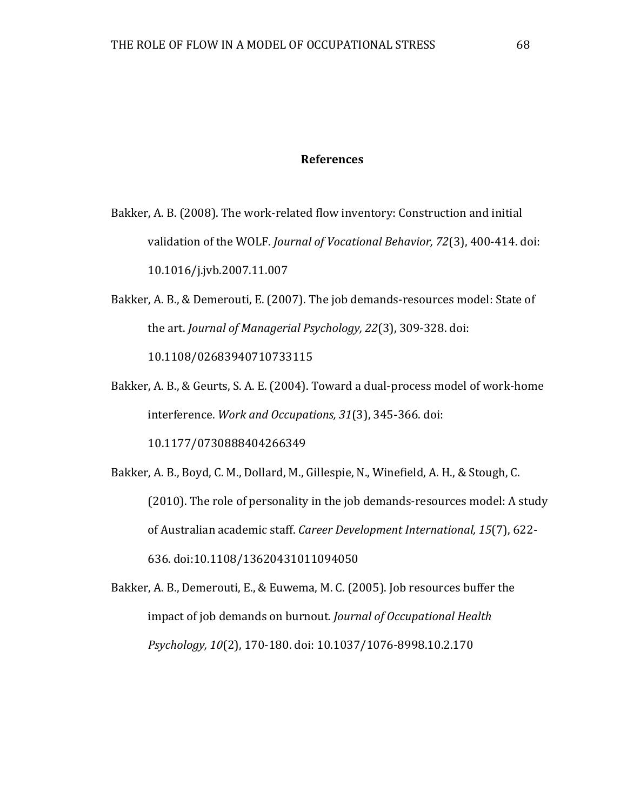#### **References**

- Bakker, A. B. (2008). The work-related flow inventory: Construction and initial validation of the WOLF. *Journal of Vocational Behavior, 72*(3), 400-414. doi: 10.1016/j.jvb.2007.11.007
- Bakker, A. B., & Demerouti, E. (2007). The job demands-resources model: State of the art. *Journal of Managerial Psychology, 22*(3), 309-328. doi: 10.1108/02683940710733115
- Bakker, A. B., & Geurts, S. A. E. (2004). Toward a dual-process model of work-home interference. Work and Occupations, 31(3), 345-366. doi:

10.1177/0730888404266349

Bakker, A. B., Boyd, C. M., Dollard, M., Gillespie, N., Winefield, A. H., & Stough, C. (2010). The role of personality in the job demands-resources model: A study of Australian academic staff. *Career Development International*, 15(7), 622-636. doi:10.1108/13620431011094050

Bakker, A. B., Demerouti, E., & Euwema, M. C. (2005). Job resources buffer the impact of job demands on burnout. *Journal of Occupational Health Psychology, 10*(2), 170-180. doi: 10.1037/1076-8998.10.2.170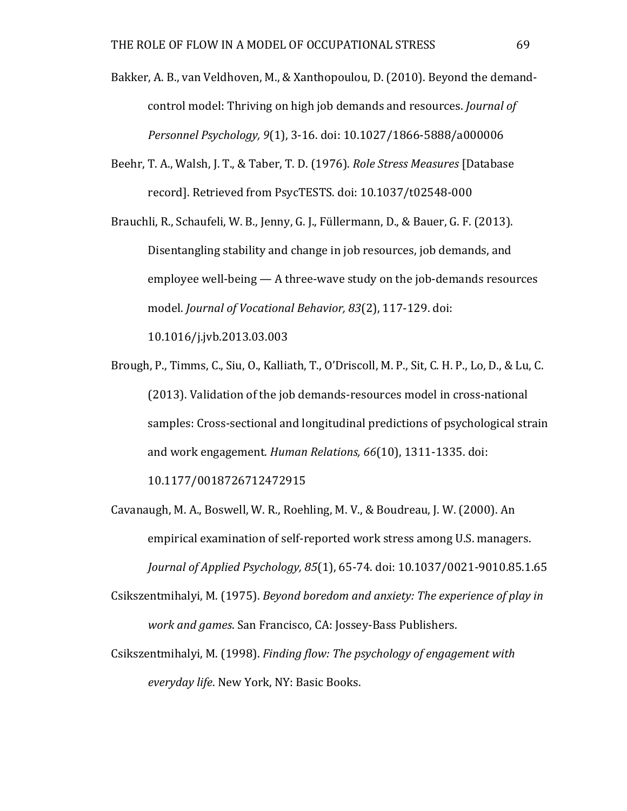Bakker, A. B., van Veldhoven, M., & Xanthopoulou, D. (2010). Beyond the demandcontrol model: Thriving on high job demands and resources. *Journal of Personnel Psychology, 9*(1), 3-16. doi: 10.1027/1866-5888/a000006

- Beehr, T. A., Walsh, J. T., & Taber, T. D. (1976). *Role Stress Measures* [Database record]. Retrieved from PsycTESTS. doi: 10.1037/t02548-000
- Brauchli, R., Schaufeli, W. B., Jenny, G. J., Füllermann, D., & Bauer, G. F. (2013). Disentangling stability and change in job resources, job demands, and employee well-being  $-$  A three-wave study on the job-demands resources model. *Journal of Vocational Behavior, 83*(2), 117-129. doi:

10.1016/j.jvb.2013.03.003

- Brough, P., Timms, C., Siu, O., Kalliath, T., O'Driscoll, M. P., Sit, C. H. P., Lo, D., & Lu, C. (2013). Validation of the job demands-resources model in cross-national samples: Cross-sectional and longitudinal predictions of psychological strain and work engagement. *Human Relations, 66*(10), 1311-1335. doi: 10.1177/0018726712472915
- Cavanaugh, M. A., Boswell, W. R., Roehling, M. V., & Boudreau, J. W. (2000). An empirical examination of self-reported work stress among U.S. managers. *Journal of Applied Psychology, 85*(1), 65-74. doi: 10.1037/0021-9010.85.1.65
- Csikszentmihalyi, M. (1975). *Beyond boredom and anxiety: The experience of play in work and games.* San Francisco, CA: Jossey-Bass Publishers.
- Csikszentmihalyi, M. (1998). *Finding flow: The psychology of engagement with everyday life*. New York, NY: Basic Books.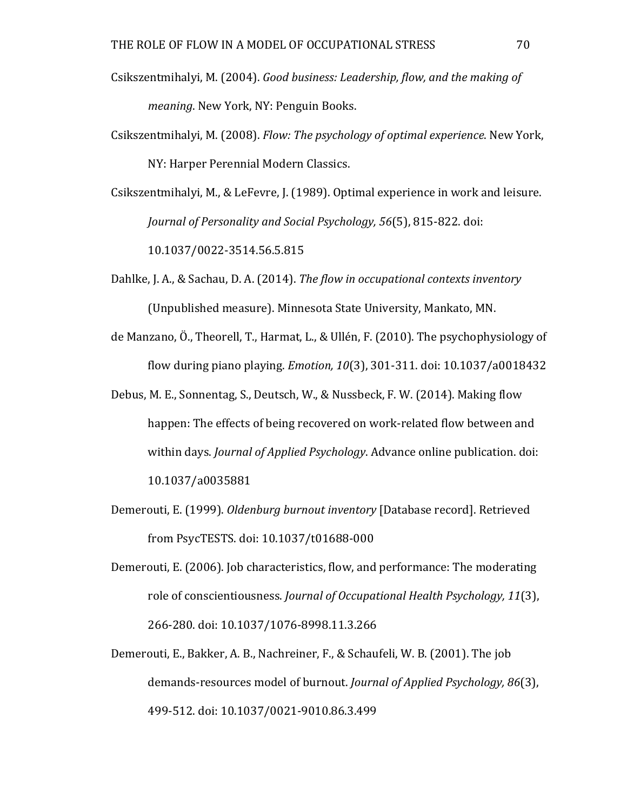- Csikszentmihalyi, M. (2004). *Good business: Leadership, flow, and the making of meaning*. New York, NY: Penguin Books.
- Csikszentmihalyi, M. (2008). *Flow: The psychology of optimal experience*. New York, NY: Harper Perennial Modern Classics.

Csikszentmihalyi, M., & LeFevre, J. (1989). Optimal experience in work and leisure. *Journal of Personality and Social Psychology, 56*(5), 815-822. doi: 10.1037/0022-3514.56.5.815

Dahlke, J. A., & Sachau, D. A. (2014). *The flow in occupational contexts inventory* (Unpublished measure). Minnesota State University, Mankato, MN.

- de Manzano, Ö., Theorell, T., Harmat, L., & Ullén, F. (2010). The psychophysiology of flow during piano playing. *Emotion, 10*(3), 301-311. doi: 10.1037/a0018432
- Debus, M. E., Sonnentag, S., Deutsch, W., & Nussbeck, F. W. (2014). Making flow happen: The effects of being recovered on work-related flow between and within days. *Journal of Applied Psychology*. Advance online publication. doi: 10.1037/a0035881
- Demerouti, E. (1999). *Oldenburg burnout inventory* [Database record]. Retrieved from PsycTESTS. doi: 10.1037/t01688-000
- Demerouti, E. (2006). Job characteristics, flow, and performance: The moderating role of conscientiousness. *Journal of Occupational Health Psychology, 11*(3), 266-280. doi: 10.1037/1076-8998.11.3.266
- Demerouti, E., Bakker, A. B., Nachreiner, F., & Schaufeli, W. B. (2001). The job demands-resources model of burnout. *Journal of Applied Psychology*, 86(3), 499-512. doi: 10.1037/0021-9010.86.3.499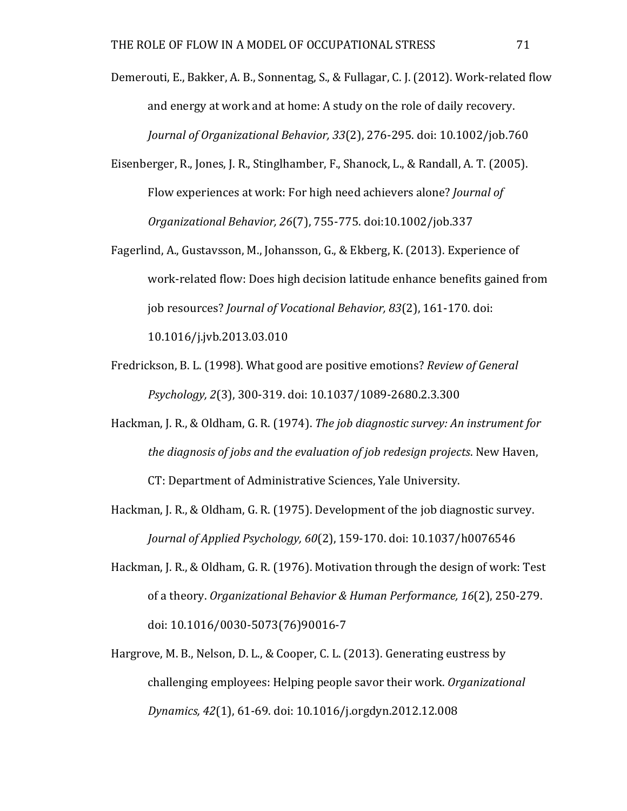Demerouti, E., Bakker, A. B., Sonnentag, S., & Fullagar, C. J. (2012). Work-related flow and energy at work and at home: A study on the role of daily recovery. *Journal of Organizational Behavior, 33(2), 276-295. doi: 10.1002/job.760* 

- Eisenberger, R., Jones, J. R., Stinglhamber, F., Shanock, L., & Randall, A. T. (2005). Flow experiences at work: For high need achievers alone? *Journal of Organizational Behavior, 26*(7), 755-775. doi:10.1002/job.337
- Fagerlind, A., Gustavsson, M., Johansson, G., & Ekberg, K. (2013). Experience of work-related flow: Does high decision latitude enhance benefits gained from job resources? *Journal of Vocational Behavior, 83*(2), 161-170. doi: 10.1016/j.jvb.2013.03.010
- Fredrickson, B. L. (1998). What good are positive emotions? *Review of General Psychology, 2*(3), 300-319. doi: 10.1037/1089-2680.2.3.300
- Hackman, J. R., & Oldham, G. R. (1974). *The job diagnostic survey: An instrument for the diagnosis of jobs and the evaluation of job redesign projects.* New Haven, CT: Department of Administrative Sciences, Yale University.
- Hackman, J. R., & Oldham, G. R. (1975). Development of the job diagnostic survey. *Journal of Applied Psychology, 60*(2), 159-170. doi: 10.1037/h0076546
- Hackman, J. R., & Oldham, G. R. (1976). Motivation through the design of work: Test of a theory. *Organizational Behavior & Human Performance*, 16(2), 250-279. doi: 10.1016/0030-5073(76)90016-7
- Hargrove, M. B., Nelson, D. L., & Cooper, C. L. (2013). Generating eustress by challenging employees: Helping people sayor their work. *Organizational Dynamics, 42*(1), 61-69. doi: 10.1016/j.orgdyn.2012.12.008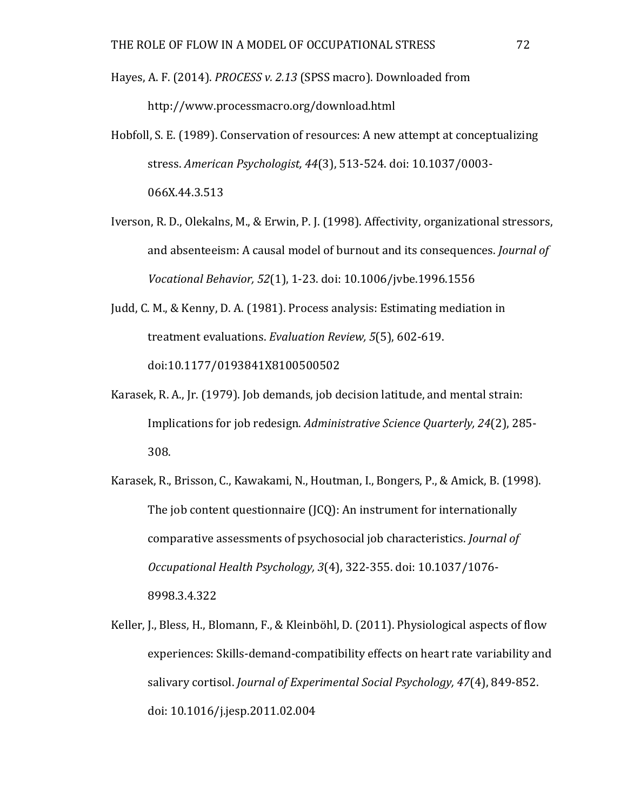- Hayes, A. F. (2014). *PROCESS v. 2.13* (SPSS macro). Downloaded from http://www.processmacro.org/download.html
- Hobfoll, S. E. (1989). Conservation of resources: A new attempt at conceptualizing stress. American Psychologist, 44(3), 513-524. doi: 10.1037/0003-066X.44.3.513
- Iverson, R. D., Olekalns, M., & Erwin, P. J. (1998). Affectivity, organizational stressors, and absenteeism: A causal model of burnout and its consequences. *Journal of Vocational Behavior, 52*(1), 1-23. doi: 10.1006/jvbe.1996.1556
- Judd, C. M., & Kenny, D. A. (1981). Process analysis: Estimating mediation in treatment evaluations. *Evaluation Review*, 5(5), 602-619. doi:10.1177/0193841X8100500502
- Karasek, R. A., Jr. (1979). Job demands, job decision latitude, and mental strain: Implications for job redesign. Administrative Science Quarterly, 24(2), 285-308.
- Karasek, R., Brisson, C., Kawakami, N., Houtman, I., Bongers, P., & Amick, B. (1998). The job content questionnaire  $(ICQ)$ : An instrument for internationally comparative assessments of psychosocial job characteristics. *Journal of Occupational Health Psychology, 3*(4), 322-355. doi: 10.1037/1076- 8998.3.4.322
- Keller, J., Bless, H., Blomann, F., & Kleinböhl, D. (2011). Physiological aspects of flow experiences: Skills-demand-compatibility effects on heart rate variability and salivary cortisol. *Journal of Experimental Social Psychology, 47*(4), 849-852. doi: 10.1016/j.jesp.2011.02.004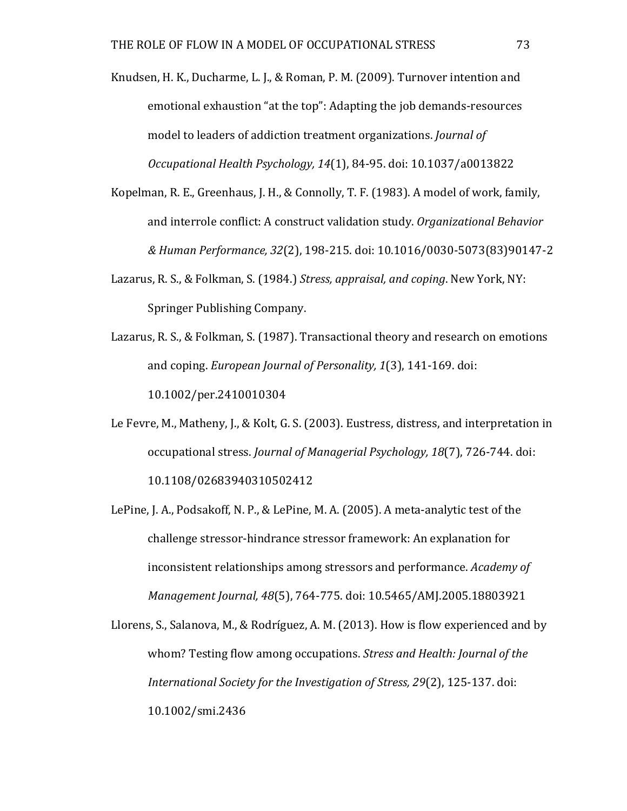Knudsen, H. K., Ducharme, L. J., & Roman, P. M. (2009). Turnover intention and emotional exhaustion "at the top": Adapting the job demands-resources model to leaders of addiction treatment organizations. *Journal of Occupational Health Psychology, 14*(1), 84-95. doi: 10.1037/a0013822

- Kopelman, R. E., Greenhaus, J. H., & Connolly, T. F. (1983). A model of work, family, and interrole conflict: A construct validation study. *Organizational Behavior & Human Performance, 32*(2), 198-215. doi: 10.1016/0030-5073(83)90147-2
- Lazarus, R. S., & Folkman, S. (1984.) *Stress, appraisal, and coping*. New York, NY: Springer Publishing Company.
- Lazarus, R. S., & Folkman, S. (1987). Transactional theory and research on emotions and coping. *European Journal of Personality,* 1(3), 141-169. doi: 10.1002/per.2410010304
- Le Fevre, M., Matheny, J., & Kolt, G. S. (2003). Eustress, distress, and interpretation in occupational stress. *Journal of Managerial Psychology, 18*(7), 726-744. doi: 10.1108/02683940310502412
- LePine, J. A., Podsakoff, N. P., & LePine, M. A. (2005). A meta-analytic test of the challenge stressor-hindrance stressor framework: An explanation for inconsistent relationships among stressors and performance. *Academy of Management Journal, 48*(5), 764-775. doi: 10.5465/AMJ.2005.18803921

Llorens, S., Salanova, M., & Rodríguez, A. M. (2013). How is flow experienced and by whom? Testing flow among occupations. *Stress and Health: Journal of the* International Society for the Investigation of Stress, 29(2), 125-137. doi: 10.1002/smi.2436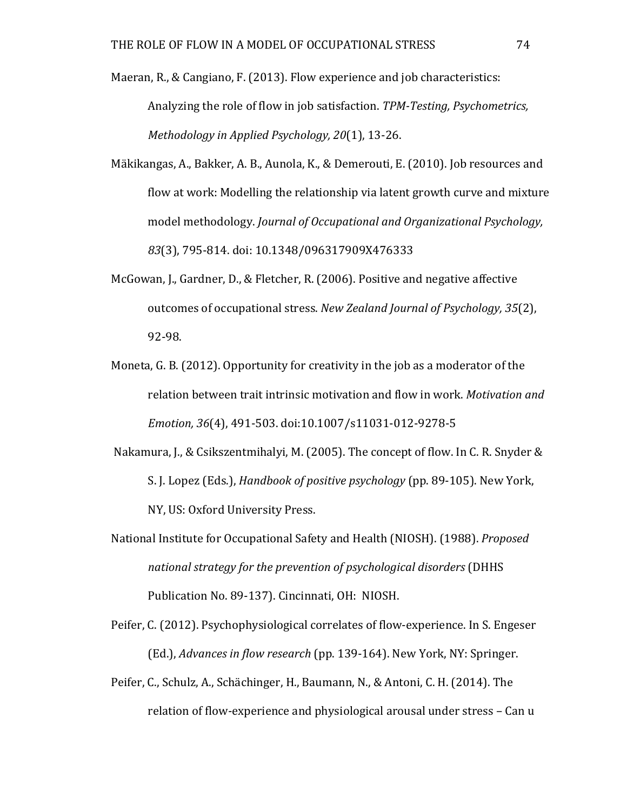- Maeran, R., & Cangiano, F. (2013). Flow experience and job characteristics: Analyzing the role of flow in job satisfaction. *TPM-Testing, Psychometrics, Methodology in Applied Psychology, 20*(1), 13-26.
- Mäkikangas, A., Bakker, A. B., Aunola, K., & Demerouti, E. (2010). Job resources and flow at work: Modelling the relationship via latent growth curve and mixture model methodology. *Journal of Occupational and Organizational Psychology*, *83*(3), 795-814. doi: 10.1348/096317909X476333
- McGowan, J., Gardner, D., & Fletcher, R. (2006). Positive and negative affective outcomes of occupational stress. *New Zealand Journal of Psychology, 35*(2), 92-98.
- Moneta, G. B. (2012). Opportunity for creativity in the job as a moderator of the relation between trait intrinsic motivation and flow in work. Motivation and *Emotion, 36*(4), 491-503. doi:10.1007/s11031-012-9278-5
- Nakamura, I., & Csikszentmihalyi, M. (2005). The concept of flow. In C. R. Snyder & S. J. Lopez (Eds.), *Handbook of positive psychology* (pp. 89-105). New York, NY, US: Oxford University Press.
- National Institute for Occupational Safety and Health (NIOSH). (1988). *Proposed national strategy for the prevention of psychological disorders* (DHHS Publication No. 89-137). Cincinnati, OH: NIOSH.
- Peifer, C. (2012). Psychophysiological correlates of flow-experience. In S. Engeser (Ed.), *Advances in flow research* (pp. 139-164). New York, NY: Springer.
- Peifer, C., Schulz, A., Schächinger, H., Baumann, N., & Antoni, C. H. (2014). The relation of flow-experience and physiological arousal under stress – Can u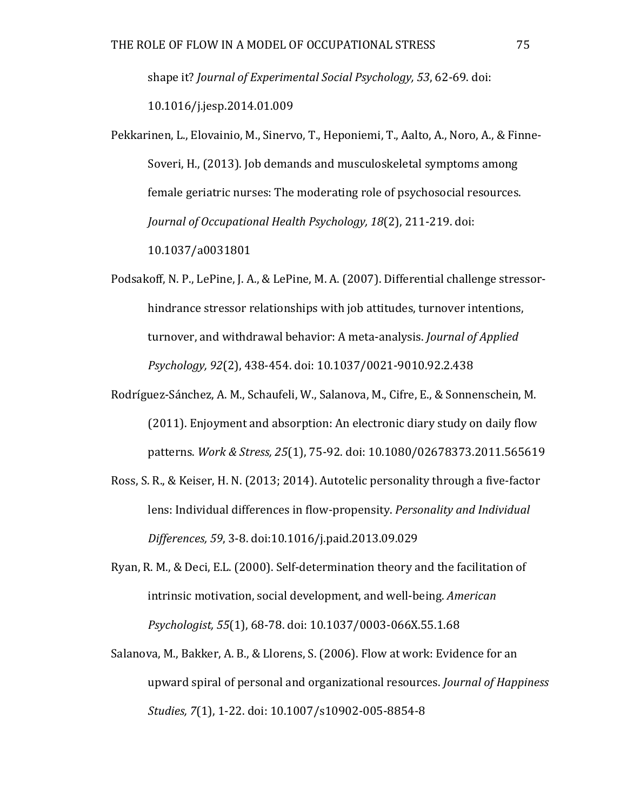shape it? *Journal of Experimental Social Psychology,* 53, 62-69. doi: 10.1016/j.jesp.2014.01.009

- Pekkarinen, L., Elovainio, M., Sinervo, T., Heponiemi, T., Aalto, A., Noro, A., & Finne-Soveri, H., (2013). Job demands and musculoskeletal symptoms among female geriatric nurses: The moderating role of psychosocial resources. *Journal of Occupational Health Psychology, 18*(2), 211-219. doi: 10.1037/a0031801
- Podsakoff, N. P., LePine, J. A., & LePine, M. A. (2007). Differential challenge stressorhindrance stressor relationships with job attitudes, turnover intentions, turnover, and withdrawal behavior: A meta-analysis. *Journal of Applied Psychology, 92*(2), 438-454. doi: 10.1037/0021-9010.92.2.438
- Rodríguez-Sánchez, A. M., Schaufeli, W., Salanova, M., Cifre, E., & Sonnenschein, M. (2011). Enjoyment and absorption: An electronic diary study on daily flow patterns. *Work & Stress, 25*(1), 75-92. doi: 10.1080/02678373.2011.565619
- Ross, S. R., & Keiser, H. N. (2013; 2014). Autotelic personality through a five-factor lens: Individual differences in flow-propensity. *Personality and Individual Differences, 59*, 3-8. doi:10.1016/j.paid.2013.09.029
- Ryan, R. M., & Deci, E.L. (2000). Self-determination theory and the facilitation of intrinsic motivation, social development, and well-being. *American Psychologist, 55*(1), 68-78. doi: 10.1037/0003-066X.55.1.68
- Salanova, M., Bakker, A. B., & Llorens, S. (2006). Flow at work: Evidence for an upward spiral of personal and organizational resources. *Journal of Happiness Studies, 7*(1), 1-22. doi: 10.1007/s10902-005-8854-8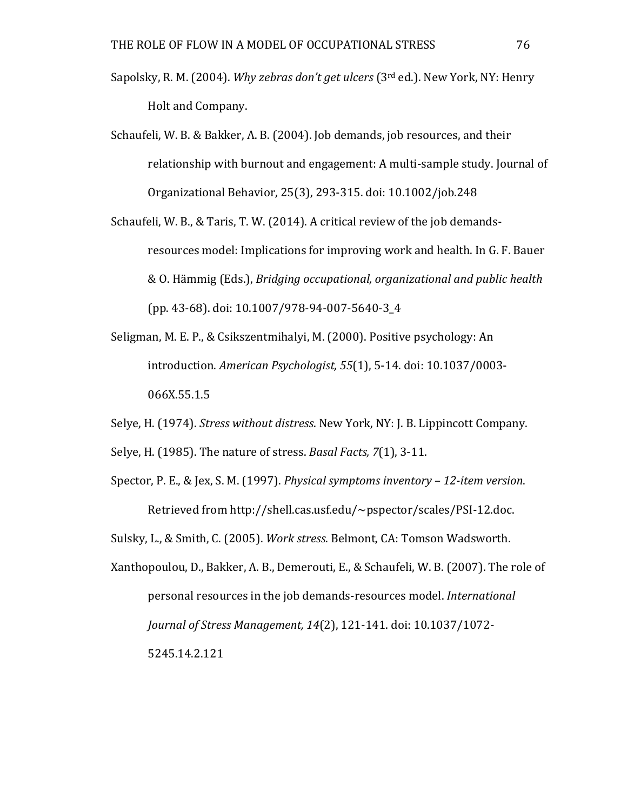- Sapolsky, R. M. (2004). *Why zebras don't get ulcers* (3<sup>rd</sup> ed.). New York, NY: Henry Holt and Company.
- Schaufeli, W. B. & Bakker, A. B. (2004). Job demands, job resources, and their relationship with burnout and engagement: A multi-sample study. Journal of Organizational Behavior, 25(3), 293-315. doi: 10.1002/job.248
- Schaufeli, W. B., & Taris, T. W. (2014). A critical review of the job demandsresources model: Implications for improving work and health. In G. F. Bauer & O. Hämmig (Eds.), *Bridging occupational, organizational and public health* (pp. 43-68). doi: 10.1007/978-94-007-5640-3\_4
- Seligman, M. E. P., & Csikszentmihalyi, M. (2000). Positive psychology: An introduction. *American Psychologist,* 55(1), 5-14. doi: 10.1037/0003-066X.55.1.5
- Selve, H. (1974). *Stress without distress*. New York, NY: J. B. Lippincott Company.

Selve, H. (1985). The nature of stress. *Basal Facts, 7*(1), 3-11.

Spector, P. E., & Jex, S. M. (1997). *Physical symptoms inventory* – 12-item version. Retrieved from http://shell.cas.usf.edu/~pspector/scales/PSI-12.doc.

Sulsky, L., & Smith, C. (2005). *Work stress*. Belmont, CA: Tomson Wadsworth.

Xanthopoulou, D., Bakker, A. B., Demerouti, E., & Schaufeli, W. B. (2007). The role of personal resources in the job demands-resources model. *International Journal of Stress Management, 14(2), 121-141. doi: 10.1037/1072-*5245.14.2.121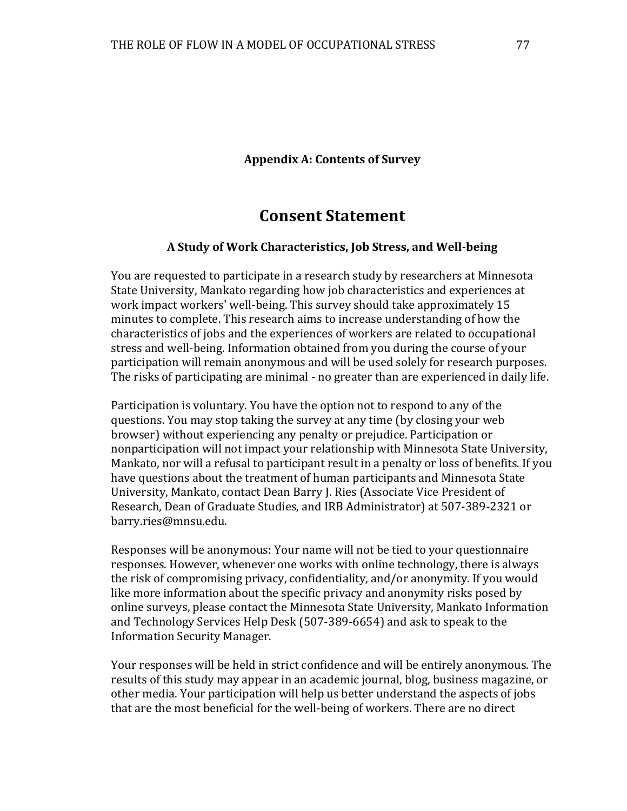#### **Appendix A: Contents of Survey**

# **Consent Statement**

#### **A Study of Work Characteristics, Job Stress, and Well-being**

You are requested to participate in a research study by researchers at Minnesota State University, Mankato regarding how job characteristics and experiences at work impact workers' well-being. This survey should take approximately 15 minutes to complete. This research aims to increase understanding of how the characteristics of jobs and the experiences of workers are related to occupational stress and well-being. Information obtained from you during the course of your participation will remain anonymous and will be used solely for research purposes. The risks of participating are minimal - no greater than are experienced in daily life.

Participation is voluntary. You have the option not to respond to any of the questions. You may stop taking the survey at any time (by closing your web browser) without experiencing any penalty or prejudice. Participation or nonparticipation will not impact your relationship with Minnesota State University, Mankato, nor will a refusal to participant result in a penalty or loss of benefits. If you have questions about the treatment of human participants and Minnesota State University, Mankato, contact Dean Barry J. Ries (Associate Vice President of Research, Dean of Graduate Studies, and IRB Administrator) at 507-389-2321 or barry.ries@mnsu.edu.

Responses will be anonymous: Your name will not be tied to your questionnaire responses. However, whenever one works with online technology, there is always the risk of compromising privacy, confidentiality, and/or anonymity. If you would like more information about the specific privacy and anonymity risks posed by online surveys, please contact the Minnesota State University, Mankato Information and Technology Services Help Desk (507-389-6654) and ask to speak to the Information Security Manager.

Your responses will be held in strict confidence and will be entirely anonymous. The results of this study may appear in an academic journal, blog, business magazine, or other media. Your participation will help us better understand the aspects of jobs that are the most beneficial for the well-being of workers. There are no direct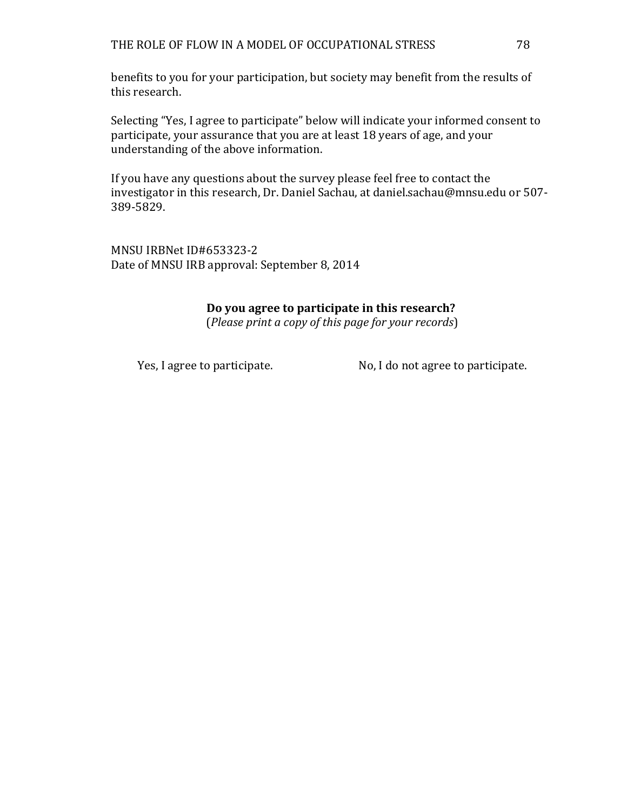benefits to you for your participation, but society may benefit from the results of this research.

Selecting "Yes, I agree to participate" below will indicate your informed consent to participate, your assurance that you are at least 18 years of age, and your understanding of the above information.

If you have any questions about the survey please feel free to contact the investigator in this research, Dr. Daniel Sachau, at daniel.sachau@mnsu.edu or 507-389-5829.

MNSU IRBNet ID#653323-2 Date of MNSU IRB approval: September 8, 2014

### **Do you agree to participate in this research?**

(*Please print a copy of this page for your records*)

Yes, I agree to participate. No, I do not agree to participate.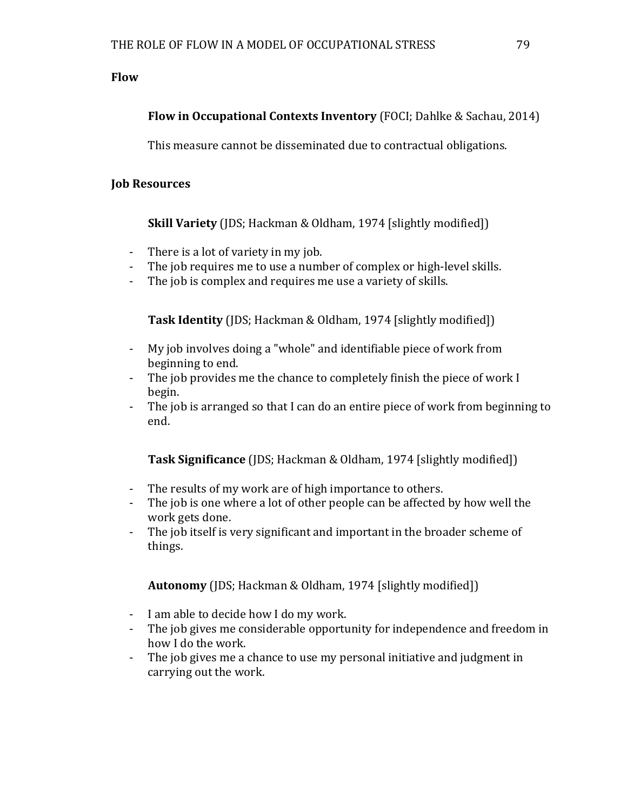### **Flow**

### **Flow in Occupational Contexts Inventory** (FOCI; Dahlke & Sachau, 2014)

This measure cannot be disseminated due to contractual obligations.

### **Job Resources**

**Skill Variety** (JDS; Hackman & Oldham, 1974 [slightly modified])

- There is a lot of variety in my job.<br>- The iob requires me to use a numb
- The job requires me to use a number of complex or high-level skills.
- The job is complex and requires me use a variety of skills.

**Task Identity** (JDS; Hackman & Oldham, 1974 [slightly modified])

- My job involves doing a "whole" and identifiable piece of work from beginning to end.
- The job provides me the chance to completely finish the piece of work  $I$ begin.
- The job is arranged so that I can do an entire piece of work from beginning to end.

**Task Significance** (JDS; Hackman & Oldham, 1974 [slightly modified])

- The results of my work are of high importance to others.<br>- The iob is one where a lot of other neonle can be affected
- The job is one where a lot of other people can be affected by how well the work gets done.
- The job itself is very significant and important in the broader scheme of things.

**Autonomy** (JDS; Hackman & Oldham, 1974 [slightly modified])

- I am able to decide how I do my work.
- The job gives me considerable opportunity for independence and freedom in how I do the work.
- The job gives me a chance to use my personal initiative and judgment in carrying out the work.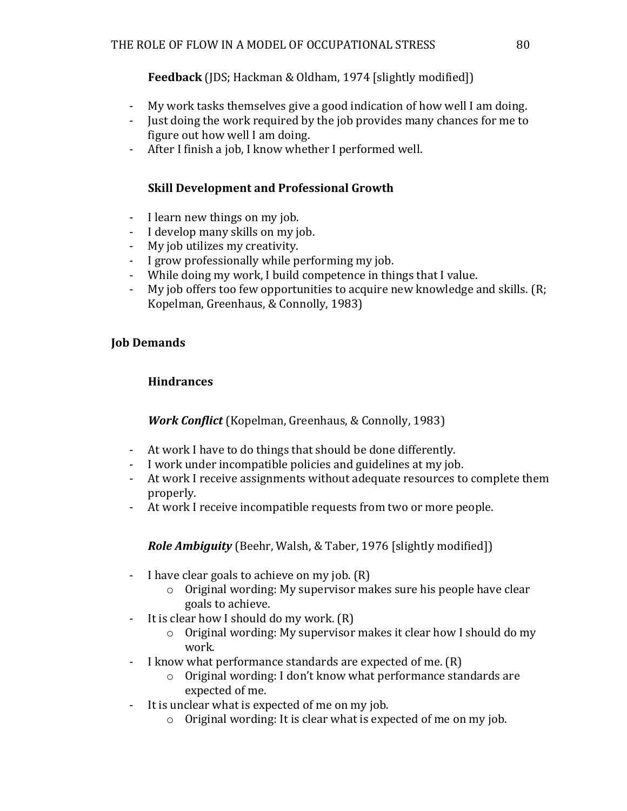### **Feedback** (JDS; Hackman & Oldham, 1974 [slightly modified])

- My work tasks themselves give a good indication of how well I am doing.
- Just doing the work required by the job provides many chances for me to figure out how well I am doing.
- After I finish a job, I know whether I performed well.

## **Skill Development and Professional Growth**

- I learn new things on my job.
- I develop many skills on my job.
- My job utilizes my creativity.
- I grow professionally while performing my job.
- While doing my work, I build competence in things that I value.
- My job offers too few opportunities to acquire new knowledge and skills. (R; Kopelman, Greenhaus, & Connolly, 1983)

### **Job Demands**

# **Hindrances**

# *Work Conflict* (Kopelman, Greenhaus, & Connolly, 1983)

- At work I have to do things that should be done differently.
- I work under incompatible policies and guidelines at my job.
- At work I receive assignments without adequate resources to complete them properly.
- At work I receive incompatible requests from two or more people.

**Role Ambiguity** (Beehr, Walsh, & Taber, 1976 [slightly modified])

- I have clear goals to achieve on my job.  $(R)$ 
	- $\circ$  Original wording: My supervisor makes sure his people have clear goals to achieve.
- It is clear how I should do my work.  $(R)$ 
	- $\circ$  Original wording: My supervisor makes it clear how I should do my work.
- I know what performance standards are expected of me.  $(R)$ 
	- $\circ$  Original wording: I don't know what performance standards are expected of me.
- It is unclear what is expected of me on my job.
	- $\circ$  Original wording: It is clear what is expected of me on my job.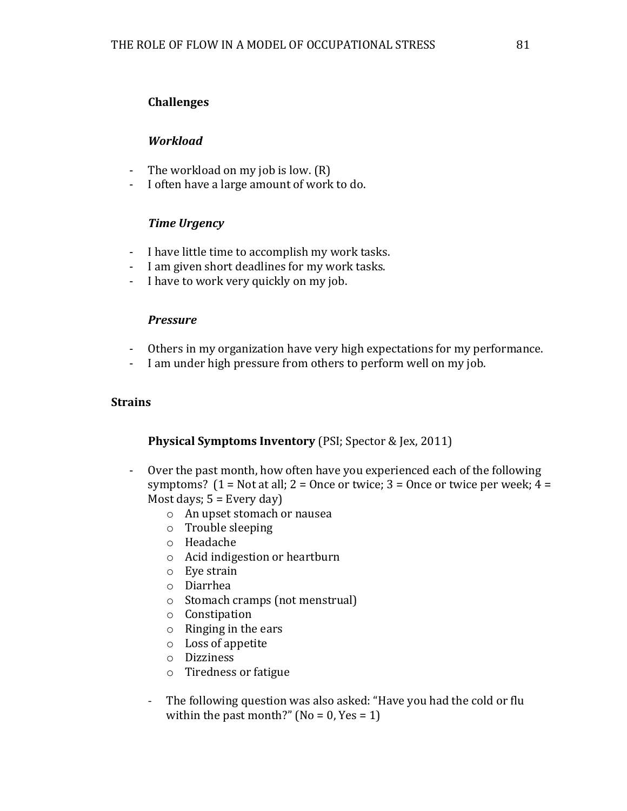### **Challenges**

### *Workload*

- The workload on my job is low.  $(R)$
- I often have a large amount of work to do.

### *Time Urgency*

- I have little time to accomplish my work tasks.
- I am given short deadlines for my work tasks.
- I have to work very quickly on my job.

### *Pressure*

- Others in my organization have very high expectations for my performance.
- I am under high pressure from others to perform well on my job.

### **Strains**

### **Physical Symptoms Inventory** (PSI; Spector & Jex, 2011)

- Over the past month, how often have you experienced each of the following symptoms?  $(1 = Not at all; 2 = Once or twice; 3 = Once or twice per week; 4 =$ Most days;  $5 =$  Every day)
	- o An upset stomach or nausea
	- $\circ$  Trouble sleeping
	- o Headache
	- $\circ$  Acid indigestion or heartburn
	- $\circ$  Eve strain
	- o Diarrhea
	- $\circ$  Stomach cramps (not menstrual)
	- o Constipation
	- $\circ$  Ringing in the ears
	- $\circ$  Loss of appetite
	- o Dizziness
	- $\circ$  Tiredness or fatigue
	- The following question was also asked: "Have you had the cold or flu within the past month?" ( $No = 0$ ,  $Yes = 1$ )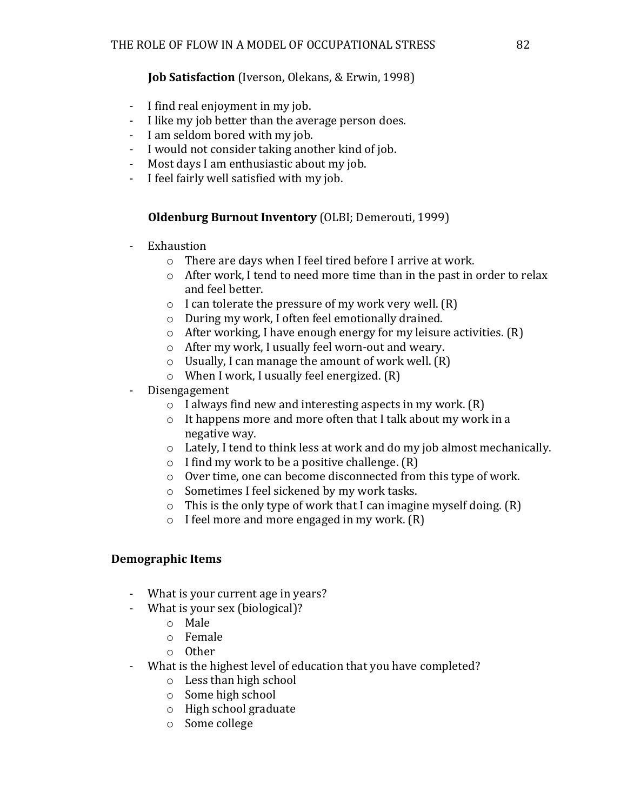### **Job Satisfaction** (Iverson, Olekans, & Erwin, 1998)

- I find real enjoyment in my job.
- I like my job better than the average person does.
- I am seldom bored with my job.
- I would not consider taking another kind of job.
- Most days I am enthusiastic about my job.
- I feel fairly well satisfied with my job.

### **Oldenburg Burnout Inventory** (OLBI; Demerouti, 1999)

- Exhaustion
	- $\circ$  There are days when I feel tired before I arrive at work.
	- $\circ$  After work, I tend to need more time than in the past in order to relax and feel better.
	- $\circ$  I can tolerate the pressure of my work very well. (R)
	- $\circ$  During my work, I often feel emotionally drained.
	- $\circ$  After working, I have enough energy for my leisure activities. (R)
	- $\circ$  After my work, I usually feel worn-out and weary.
	- $\circ$  Usually, I can manage the amount of work well. (R)
	- $\circ$  When I work, I usually feel energized. (R)
- Disengagement
	- $\circ$  I always find new and interesting aspects in my work. (R)
	- $\circ$  It happens more and more often that I talk about my work in a negative way.
	- $\circ$  Lately, I tend to think less at work and do my job almost mechanically.
	- $\circ$  I find my work to be a positive challenge.  $(R)$
	- $\circ$  Over time, one can become disconnected from this type of work.
	- $\circ$  Sometimes I feel sickened by my work tasks.
	- $\circ$  This is the only type of work that I can imagine myself doing. (R)
	- $\circ$  I feel more and more engaged in my work.  $(R)$

### **Demographic Items**

- What is your current age in years?
- What is your sex (biological)?
	- o Male
	- o Female
	- o Other
- What is the highest level of education that you have completed?
	- $\circ$  Less than high school
	- $\circ$  Some high school
	- $\circ$  High school graduate
	- o Some college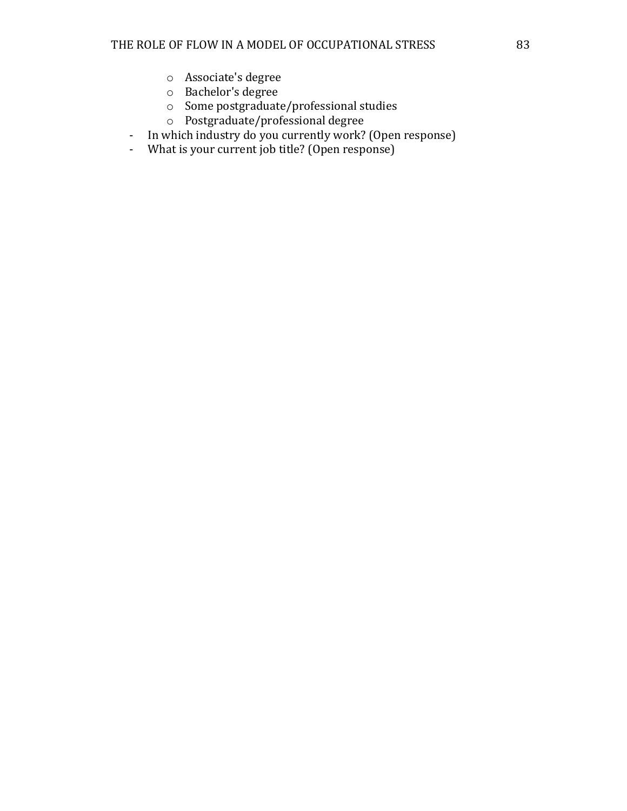- o Associate's degree
- o Bachelor's degree
- $\circ$  Some postgraduate/professional studies
- $\circ$  Postgraduate/professional degree
- In which industry do you currently work? (Open response)
- What is your current job title? (Open response)